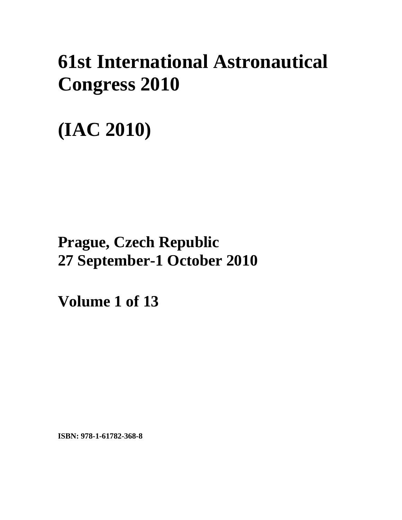# **61st International Astronautical Congress 2010**

# **(IAC 2010)**

## **Prague, Czech Republic 27 September-1 October 2010**

**Volume 1 of 13** 

**ISBN: 978-1-61782-368-8**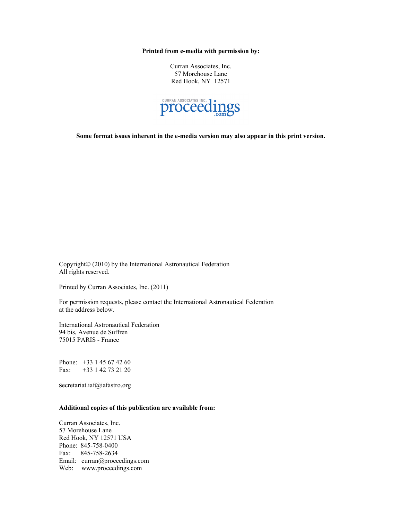**Printed from e-media with permission by:** 

Curran Associates, Inc. 57 Morehouse Lane Red Hook, NY 12571



**Some format issues inherent in the e-media version may also appear in this print version.** 

Copyright© (2010) by the International Astronautical Federation All rights reserved.

Printed by Curran Associates, Inc. (2011)

For permission requests, please contact the International Astronautical Federation at the address below.

International Astronautical Federation 94 bis, Avenue de Suffren 75015 PARIS - France

Phone: +33 1 45 67 42 60 Fax: +33 1 42 73 21 20

**S**ecretariat.iaf@iafastro.org

## **Additional copies of this publication are available from:**

Curran Associates, Inc. 57 Morehouse Lane Red Hook, NY 12571 USA Phone: 845-758-0400 Fax: 845-758-2634 Email: curran@proceedings.com Web: www.proceedings.com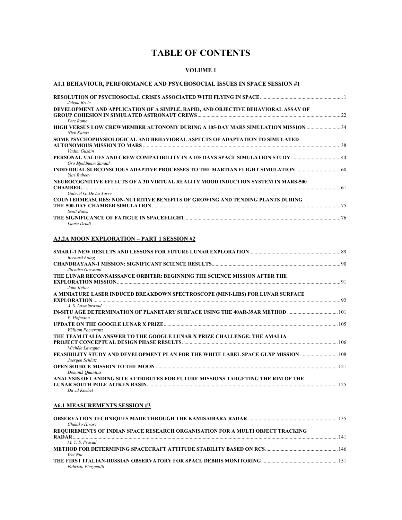## **TABLE OF CONTENTS**

## **VOLUME 1**

## **A1.1 BEHAVIOUR, PERFORMANCE AND PSYCHOSOCIAL ISSUES IN SPACE SESSION #1**

| Jelena Brcic                                                                               |  |
|--------------------------------------------------------------------------------------------|--|
| DEVELOPMENT AND APPLICATION OF A SIMPLE, RAPID, AND OBJECTIVE BEHAVIORAL ASSAY OF          |  |
|                                                                                            |  |
| Pete Roma                                                                                  |  |
| HIGH VERSUS LOW CREWMEMBER AUTONOMY DURING A 105-DAY MARS SIMULATION MISSION 34            |  |
| Nick Kanas                                                                                 |  |
| SOME PSYCHOPHYSIOLOGICAL AND BEHAVIORAL ASPECTS OF ADAPTATION TO SIMULATED                 |  |
|                                                                                            |  |
| Vadim Gushin                                                                               |  |
| PERSONAL VALUES AND CREW COMPATIBILITY IN A 105 DAYS SPACE SIMULATION STUDY 44             |  |
| Gro Mjeldheim Sandal                                                                       |  |
| INDIVIDUAL SUBCONSCIOUS ADAPTIVE PROCESSES TO THE MARTIAN FLIGHT SIMULATION<br>Yuri Bubeev |  |
|                                                                                            |  |
| NEUROCOGNITIVE EFFECTS OF A 3D VIRTUAL REALITY MOOD INDUCTION SYSTEM IN MARS-500           |  |
| Gabriel G. De La Torre                                                                     |  |
| <b>COUNTERMEASURES: NON-NUTRITIVE BENEFITS OF GROWING AND TENDING PLANTS DURING</b>        |  |
|                                                                                            |  |
| <b>Scott Bates</b>                                                                         |  |
|                                                                                            |  |
| Laura Drudi                                                                                |  |
|                                                                                            |  |
| <b>Bernard Foing</b>                                                                       |  |
| Jitendra Goswami                                                                           |  |
| THE LUNAR RECONNAISSANCE ORBITER: BEGINNING THE SCIENCE MISSION AFTER THE                  |  |
|                                                                                            |  |
| John Keller                                                                                |  |
| A MINIATURE LASER INDUCED BREAKDOWN SPECTROSCOPE (MINI-LIBS) FOR LUNAR SURFACE             |  |
| A. S. Laxmiprasad                                                                          |  |
| IN-SITU AGE DETERMINATION OF PLANETARY SURFACE USING THE 40AR-39AR METHOD 101              |  |
| P. Hofmann                                                                                 |  |
|                                                                                            |  |
| <b>William Pomerantz</b>                                                                   |  |
| THE TEAM ITALIA ANSWER TO THE GOOGLE LUNAR X PRIZE CHALLENGE: THE AMALIA                   |  |
|                                                                                            |  |
| Michèle Lavagna                                                                            |  |
| FEASIBILITY STUDY AND DEVELOPMENT PLAN FOR THE WHITE LABEL SPACE GLXP MISSION  108         |  |
| Juergen Schlutz                                                                            |  |
|                                                                                            |  |
| Dominik Ouantius                                                                           |  |
| ANALYSIS OF LANDING SITE ATTRIBUTES FOR FUTURE MISSIONS TARGETING THE RIM OF THE           |  |

## **A6.1 MEASUREMENTS SESSION #3**

*David Koebel* 

| Chikako Hirose                                                                 |     |
|--------------------------------------------------------------------------------|-----|
| REQUIREMENTS OF INDIAN SPACE RESEARCH ORGANISATION FOR A MULTI OBJECT TRACKING |     |
|                                                                                | 141 |
| M. Y. S. Prasad                                                                |     |
|                                                                                |     |
| Wei Niu                                                                        |     |
|                                                                                |     |
| Fabrizio Piergentili                                                           |     |

**LUNAR SOUTH POLE AITKEN BASIN**...................................................................................................................................................125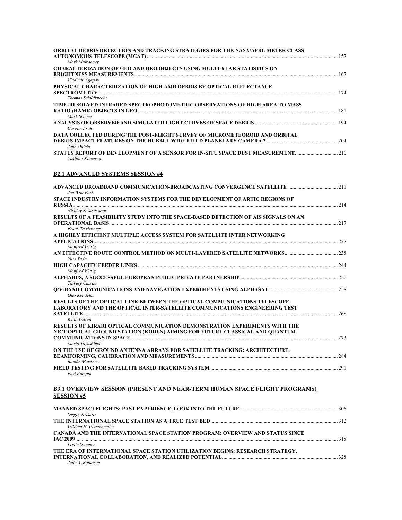| ORBITAL DEBRIS DETECTION AND TRACKING STRATEGIES FOR THE NASA/AFRL METER CLASS                                                                         |  |
|--------------------------------------------------------------------------------------------------------------------------------------------------------|--|
| Mark Mulrooney                                                                                                                                         |  |
| <b>CHARACTERIZATION OF GEO AND HEO OBJECTS USING MULTI-YEAR STATISTICS ON</b><br>Vladimir Agapov                                                       |  |
| PHYSICAL CHARACTERIZATION OF HIGH AMR DEBRIS BY OPTICAL REFLECTANCE                                                                                    |  |
| Thomas Schildknecht<br>TIME-RESOLVED INFRARED SPECTROPHOTOMETRIC OBSERVATIONS OF HIGH AREA TO MASS                                                     |  |
| Mark Skinner                                                                                                                                           |  |
| Carolin Früh<br>DATA COLLECTED DURING THE POST-FLIGHT SURVEY OF MICROMETEOROID AND ORBITAL                                                             |  |
| John Opiela<br>STATUS REPORT OF DEVELOPMENT OF A SENSOR FOR IN-SITU SPACE DUST MEASUREMENT210<br>Yukihito Kitazawa                                     |  |
| <b>B2.1 ADVANCED SYSTEMS SESSION #4</b>                                                                                                                |  |
| Jae Woo Park                                                                                                                                           |  |
| SPACE INDUSTRY INFORMATION SYSTEMS FOR THE DEVELOPMENT OF ARTIC REGIONS OF                                                                             |  |
| Nikolay Sevastiyanov                                                                                                                                   |  |
| RESULTS OF A FEASIBILITY STUDY INTO THE SPACE-BASED DETECTION OF AIS SIGNALS ON AN<br>Frank Te Hennepe                                                 |  |
| A HIGHLY EFFICIENT MULTIPLE ACCESS SYSTEM FOR SATELLITE INTER NETWORKING                                                                               |  |
| Manfred Wittig                                                                                                                                         |  |
| Yuta Tada                                                                                                                                              |  |
| Manfred Wittig                                                                                                                                         |  |
| Thibery Cussac                                                                                                                                         |  |
| Otto Koudelka                                                                                                                                          |  |
| RESULTS OF THE OPTICAL LINK BETWEEN THE OPTICAL COMMUNICATIONS TELESCOPE<br>LABORATORY AND THE OPTICAL INTER-SATELLITE COMMUNICATIONS ENGINEERING TEST |  |
| Keith Wilson                                                                                                                                           |  |
| RESULTS OF KIRARI OPTICAL COMMUNICATION DEMONSTRATION EXPERIMENTS WITH THE                                                                             |  |
| NICT OPTICAL GROUND STATION (KODEN) AIMING FOR FUTURE CLASSICAL AND QUANTUM                                                                            |  |
| Morio Toyoshima                                                                                                                                        |  |
| ON THE USE OF GROUND ANTENNA ARRAYS FOR SATELLITE TRACKING: ARCHITECTURE,                                                                              |  |
| Ramón Martínez                                                                                                                                         |  |
| Pasi Kämppi                                                                                                                                            |  |
| <b>B3.1 OVERVIEW SESSION (PRESENT AND NEAR-TERM HUMAN SPACE FLIGHT PROGRAMS)</b><br><b>SESSION #5</b>                                                  |  |
|                                                                                                                                                        |  |
| Sergey Krikalev                                                                                                                                        |  |
| William H. Gerstenmaier<br>CANADA AND THE INTERNATIONAL SPACE STATION PROGRAM: OVERVIEW AND STATUS SINCE                                               |  |
|                                                                                                                                                        |  |
| Leslie Sponder<br>THE ERA OF INTERNATIONAL SPACE STATION UTILIZATION BEGINS: RESEARCH STRATEGY,                                                        |  |
| Julie A. Robinson                                                                                                                                      |  |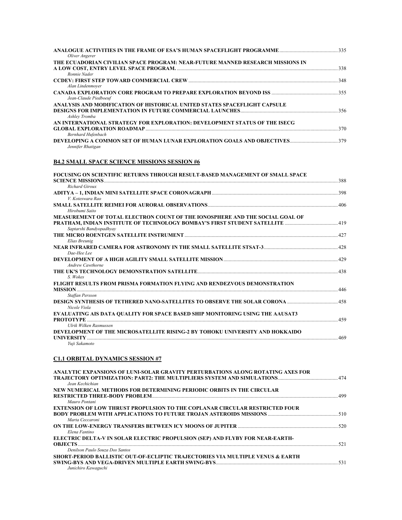| Oliver Angerer                                                                                   |     |
|--------------------------------------------------------------------------------------------------|-----|
| THE ECUADORIAN CIVILIAN SPACE PROGRAM: NEAR-FUTURE MANNED RESEARCH MISSIONS IN                   | 338 |
| Ronnie Nader<br>Alan Lindenmover                                                                 |     |
| Jean-Claude Piedboeuf                                                                            |     |
| ANALYSIS AND MODIFICATION OF HISTORICAL UNITED STATES SPACEFLIGHT CAPSULE<br>Ashley Tromba       |     |
| AN INTERNATIONAL STRATEGY FOR EXPLORATION: DEVELOPMENT STATUS OF THE ISECG<br>Bernhard Hufenbach | 370 |
| Jennifer Rhatigan                                                                                |     |

## **B4.2 SMALL SPACE SCIENCE MISSIONS SESSION #6**

| FOCUSING ON SCIENTIFIC RETURNS THROUGH RESULT-BASED MANAGEMENT OF SMALL SPACE        |     |
|--------------------------------------------------------------------------------------|-----|
|                                                                                      | 388 |
| Richard Giroux                                                                       |     |
| V. Koteswara Rao                                                                     | 398 |
| Hirobumi Saito                                                                       |     |
| MEASUREMENT OF TOTAL ELECTRON COUNT OF THE IONOSPHERE AND THE SOCIAL GOAL OF         |     |
|                                                                                      |     |
| Saptarshi Bandyopadhyay                                                              |     |
| Elias Breunig                                                                        |     |
| Dae-Hee Lee                                                                          |     |
| <b>Andrew Cawthorne</b>                                                              | 429 |
| S. Wokes                                                                             |     |
| FLIGHT RESULTS FROM PRISMA FORMATION FLYING AND RENDEZVOUS DEMONSTRATION             |     |
| <b>MISSION</b>                                                                       | 446 |
| <b>Staffan Persson</b>                                                               |     |
| Nicole Viola                                                                         |     |
| <b>EVALUATING AIS DATA QUALITY FOR SPACE BASED SHIP MONITORING USING THE AAUSAT3</b> |     |
|                                                                                      | 459 |
| Ulrik Wilken Rasmussen                                                               |     |
| DEVELOPMENT OF THE MICROSATELLITE RISING-2 BY TOHOKU UNIVERSITY AND HOKKAIDO         |     |
| <b>UNIVERSITY</b>                                                                    | 469 |
| Yuii Sakamoto                                                                        |     |

## **C1.1 ORBITAL DYNAMICS SESSION #7**

| ANALYTIC EXPANSIONS OF LUNI-SOLAR GRAVITY PERTURBATIONS ALONG ROTATING AXES FOR<br>Jean Kechichian |     |
|----------------------------------------------------------------------------------------------------|-----|
| NEW NUMERICAL METHODS FOR DETERMINING PERIODIC ORBITS IN THE CIRCULAR                              |     |
|                                                                                                    | 499 |
| Mauro Pontani                                                                                      |     |
| <b>EXTENSION OF LOW THRUST PROPULSION TO THE COPLANAR CIRCULAR RESTRICTED FOUR</b>                 |     |
|                                                                                                    |     |
| Marta Ceccaroni                                                                                    |     |
|                                                                                                    |     |
| Elena Fantino                                                                                      |     |
| ELECTRIC DELTA-V IN SOLAR ELECTRIC PROPULSION (SEP) AND FLYBY FOR NEAR-EARTH-                      |     |
| <b>OBJECTS</b>                                                                                     | 521 |
| Denilson Paulo Souza Dos Santos                                                                    |     |
| <b>SHORT-PERIOD BALLISTIC OUT-OF-ECLIPTIC TRAJECTORIES VIA MULTIPLE VENUS &amp; EARTH</b>          |     |
|                                                                                                    |     |
| Junichiro Kawaguchi                                                                                |     |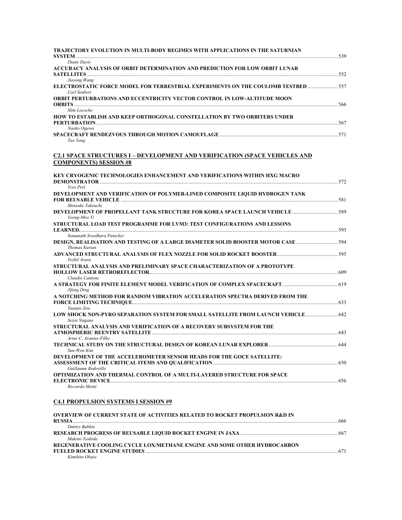| TRAJECTORY EVOLUTION IN MULTI-BODY REGIMES WITH APPLICATIONS IN THE SATURNIAN                                   |  |
|-----------------------------------------------------------------------------------------------------------------|--|
| Diane Davis<br>ACCURACY ANALYSIS OF ORBIT DETERMINATION AND PREDICTION FOR LOW ORBIT LUNAR                      |  |
|                                                                                                                 |  |
| Jiasong Wang<br><b>ELECTROSTATIC FORCE MODEL FOR TERRESTRIAL EXPERIMENTS ON THE COULOMB TESTBED 557</b>         |  |
| Carl Seubert<br><b>ORBIT PERTURBATIONS AND ECCENTRICITY VECTOR CONTROL IN LOW-ALTITUDE MOON</b>                 |  |
|                                                                                                                 |  |
| Slim Locoche                                                                                                    |  |
| HOW TO ESTABLISH AND KEEP ORTHOGONAL CONSTELLATION BY TWO ORBITERS UNDER                                        |  |
|                                                                                                                 |  |
| Naoko Ogawa<br>Tao Yang                                                                                         |  |
| <b>C2.1 SPACE STRUCTURES I - DEVELOPMENT AND VERIFICATION (SPACE VEHICLES AND</b>                               |  |
| <b>COMPONENTS) SESSION #8</b>                                                                                   |  |
| KEY CRYOGENIC TECHNOLOGIES ENHANCEMENT AND VERIFICATIONS WITHIN HXG MACRO                                       |  |
| <b>Yves</b> Prel<br>DEVELOPMENT AND VERIFICATION OF POLYMER-LINED COMPOSITE LIQUID HYDROGEN TANK                |  |
| Shinsuke Takeuchi                                                                                               |  |
| Yeong-Moo Yi                                                                                                    |  |
| STRUCTURAL LOAD TEST PROGRAMME FOR LVM3: TEST CONFIGURATIONS AND LESSONS<br>Somanath Sreedhara Panicker         |  |
| DESIGN, REALISATION AND TESTING OF A LARGE DIAMETER SOLID BOOSTER MOTOR CASE 594<br>Thomas Kurian               |  |
| Yezhil Arasu                                                                                                    |  |
| STRUCTURAL ANALYSIS AND PRELIMINARY SPACE CHARACTERIZATION OF A PROTOTYPE<br>Claudio Cantone                    |  |
| Jifeng Ding                                                                                                     |  |
| A NOTCHING METHOD FOR RANDOM VIBRATION ACCELERATION SPECTRA DERIVED FROM THE                                    |  |
| Yuanjie Zou<br>LOW SHOCK NON-PYRO SEPARATION SYSTEM FOR SMALL SATELLITE FROM LAUNCH VEHICLE 642<br>Seiya Nagano |  |
| STRUCTURAL ANALYSIS AND VERIFICATION OF A RECOVERY SUBSYSTEM FOR THE                                            |  |
| Artur C. Arantes-Filho                                                                                          |  |
| Sun-Won Kim                                                                                                     |  |
| DEVELOPMENT OF THE ACCELEROMETER SENSOR HEADS FOR THE GOCE SATELLITE:                                           |  |
| Guillaume Bodoville<br>OPTIMIZATION AND THERMAL CONTROL OF A MULTI-LAYERED STRUCTURE FOR SPACE                  |  |
| Riccardo Monti                                                                                                  |  |

## **C4.1 PROPULSION SYSTEMS I SESSION #9**

| OVERVIEW OF CURRENT STATE OF ACTIVITIES RELATED TO ROCKET PROPULSION R&D IN |      |
|-----------------------------------------------------------------------------|------|
| <b>RUSSIA</b>                                                               | 666  |
| Dmitry Babkin                                                               |      |
|                                                                             | -667 |
| Makoto Yoshida                                                              |      |
| REGENERATIVE COOLING CYCLE LOX/METHANE ENGINE AND SOME OTHER HYDROCARBON    |      |
|                                                                             | 671  |
| Kimihito Obase                                                              |      |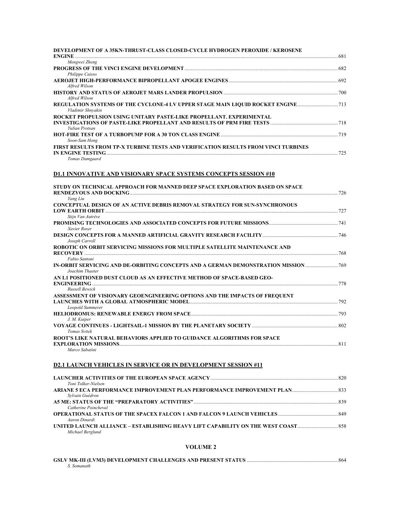| DEVELOPMENT OF A 35KN-THRUST-CLASS CLOSED-CYCLE HYDROGEN PEROXIDE / KEROSENE                      |     |
|---------------------------------------------------------------------------------------------------|-----|
| <b>ENGINE</b>                                                                                     |     |
| Mengwei Zheng                                                                                     |     |
|                                                                                                   |     |
| Philippe Caisso                                                                                   |     |
| Alfred Wilson                                                                                     |     |
|                                                                                                   |     |
| Alfred Wilson                                                                                     |     |
| REGULATION SYSTEMS OF THE CYCLONE-4 LV UPPER STAGE MAIN LIOUID ROCKET ENGINE<br>Vladimir Shnyakin |     |
| ROCKET PROPULSION USING UNITARY PASTE-LIKE PROPELLANT. EXPERIMENTAL                               |     |
| <b>Yulian Protsan</b>                                                                             |     |
|                                                                                                   |     |
| Soon-Sam Hong                                                                                     |     |
| FIRST RESULTS FROM TP-X TURBINE TESTS AND VERIFICATION RESULTS FROM VINCI TURBINES                |     |
| IN ENGINE TESTING                                                                                 | 725 |
| Tomas Damgaard                                                                                    |     |

## **D1.1 INNOVATIVE AND VISIONARY SPACE SYSTEMS CONCEPTS SESSION #10**

| STUDY ON TECHNICAL APPROACH FOR MANNED DEEP SPACE EXPLORATION BASED ON SPACE                      | 726 |
|---------------------------------------------------------------------------------------------------|-----|
| Yang Liu                                                                                          |     |
| CONCEPTUAL DESIGN OF AN ACTIVE DEBRIS REMOVAL STRATEGY FOR SUN-SYNCHRONOUS                        | 727 |
| Stijn Van Autrève                                                                                 |     |
| Xavier Roser                                                                                      |     |
| Joseph Carroll                                                                                    |     |
| ROBOTIC ON ORBIT SERVICING MISSIONS FOR MULTIPLE SATELLITE MAINTENANCE AND                        |     |
| RECOVERY 768                                                                                      |     |
| Fabio Santoni                                                                                     |     |
| IN-ORBIT SERVICING AND DE-ORBITING CONCEPTS AND A GERMAN DEMONSTRATION MISSION<br>Joachim Thaeter |     |
| AN L1 POSITIONED DUST CLOUD AS AN EFFECTIVE METHOD OF SPACE-BASED GEO-                            |     |
|                                                                                                   | 778 |
| <b>Russell Bewick</b>                                                                             |     |
| ASSESSMENT OF VISIONARY GEOENGINEERING OPTIONS AND THE IMPACTS OF FREQUENT                        | 792 |
| Leopold Summerer                                                                                  |     |
|                                                                                                   | 793 |
| J. M. Kuiper                                                                                      |     |
| <b>Tomas Svitek</b>                                                                               |     |
| ROOT'S LIKE NATURAL BEHAVIORS APPLIED TO GUIDANCE ALGORITHMS FOR SPACE                            |     |
| <b>EXPLORATION MISSIONS.</b>                                                                      |     |
| Marco Sabatini                                                                                    |     |

## **D2.1 LAUNCH VEHICLES IN SERVICE OR IN DEVELOPMENT SESSION #11**

| Toni Tolker-Nielsen  |  |
|----------------------|--|
|                      |  |
| Sylvain Guédron      |  |
|                      |  |
| Catherine Poincheval |  |
|                      |  |
| Aaron Dinardi        |  |
|                      |  |
| Michael Berglund     |  |
|                      |  |

## **VOLUME 2**

| S. Somanath |  |
|-------------|--|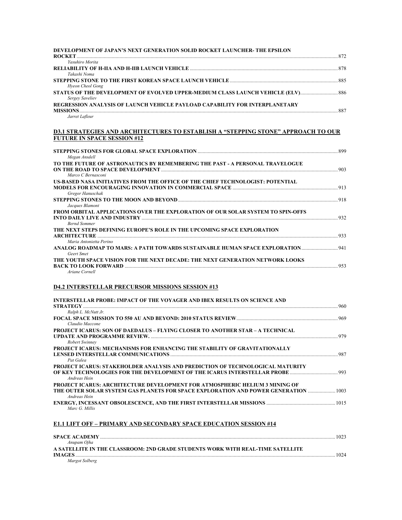| DEVELOPMENT OF JAPAN'S NEXT GENERATION SOLID ROCKET LAUNCHER-THE EPSILON                        |     |
|-------------------------------------------------------------------------------------------------|-----|
|                                                                                                 | 872 |
| Yasuhiro Morita                                                                                 |     |
|                                                                                                 | 878 |
| Takashi Noma                                                                                    |     |
|                                                                                                 | 885 |
| Hyeon Cheol Gong                                                                                |     |
| STATUS OF THE DEVELOPMENT OF EVOLVED UPPER-MEDIUM CLASS LAUNCH VEHICLE (ELV)<br>Sergey Saveliev |     |
| REGRESSION ANALYSIS OF LAUNCH VEHICLE PAYLOAD CAPABILITY FOR INTERPLANETARY                     |     |
|                                                                                                 |     |
| Jarret Lafleur                                                                                  |     |

## **D3.1 STRATEGIES AND ARCHITECTURES TO ESTABLISH A "STEPPING STONE" APPROACH TO OUR FUTURE IN SPACE SESSION #12**

| Megan Ansdell                                                                                      |     |
|----------------------------------------------------------------------------------------------------|-----|
| TO THE FUTURE OF ASTRONAUTICS BY REMEMBERING THE PAST - A PERSONAL TRAVELOGUE                      |     |
| Marco C Bernasconi                                                                                 | 903 |
| US-BASED NASA INITIATIVES FROM THE OFFICE OF THE CHIEF TECHNOLOGIST: POTENTIAL                     |     |
| Gregor Hanuschak                                                                                   | 913 |
|                                                                                                    |     |
| Jacques Blamont<br>FROM ORBITAL APPLICATIONS OVER THE EXPLORATION OF OUR SOLAR SYSTEM TO SPIN-OFFS |     |
| <b>Bernd Sommer</b>                                                                                | 932 |
| THE NEXT STEPS DEFINING EUROPE'S ROLE IN THE UPCOMING SPACE EXPLORATION                            |     |
| <b>ARCHITECTURE</b><br>Maria Antonietta Perino                                                     | 933 |
| ANALOG ROADMAP TO MARS: A PATH TOWARDS SUSTAINABLE HUMAN SPACE EXPLORATION                         | 941 |
| Geert Smet<br>THE YOUTH SPACE VISION FOR THE NEXT DECADE: THE NEXT GENERATION NETWORK LOOKS        |     |
| <b>BACK TO LOOK FORWARD</b>                                                                        | 953 |
| Ariane Cornell                                                                                     |     |

## **D4.2 INTERSTELLAR PRECURSOR MISSIONS SESSION #13**

| <b>INTERSTELLAR PROBE: IMPACT OF THE VOYAGER AND IBEX RESULTS ON SCIENCE AND</b><br><b>STRATEGY</b>                                                                                       | 960 |
|-------------------------------------------------------------------------------------------------------------------------------------------------------------------------------------------|-----|
| Ralph L. McNutt Jr.                                                                                                                                                                       |     |
| Claudio Maccone                                                                                                                                                                           |     |
| <b>PROJECT ICARUS: SON OF DAEDALUS – FLYING CLOSER TO ANOTHER STAR – A TECHNICAL</b>                                                                                                      | 979 |
| Robert Swinney<br>PROJECT ICARUS: MECHANISMS FOR ENHANCING THE STABILITY OF GRAVITATIONALLY                                                                                               | 987 |
| Pat Galea<br><b>PROJECT ICARUS: STAKEHOLDER ANALYSIS AND PREDICTION OF TECHNOLOGICAL MATURITY</b>                                                                                         |     |
| Andreas Hein<br><b>PROJECT ICARUS: ARCHITECTURE DEVELOPMENT FOR ATMOSPHERIC HELIUM 3 MINING OF</b><br>THE OUTER SOLAR SYSTEM GAS PLANETS FOR SPACE EXPLORATION AND POWER GENERATION  1003 |     |
| Andreas Hein<br>Marc G. Millis                                                                                                                                                            |     |

## **E1.1 LIFT OFF – PRIMARY AND SECONDARY SPACE EDUCATION SESSION #14**

| <b>SPACE ACADEMY</b>                                                           | 1023 |
|--------------------------------------------------------------------------------|------|
| Anupam Ojha                                                                    |      |
| A SATELLITE IN THE CLASSROOM: 2ND GRADE STUDENTS WORK WITH REAL-TIME SATELLITE |      |
| <b>IMAGES</b>                                                                  | 1024 |
| Margot Solberg                                                                 |      |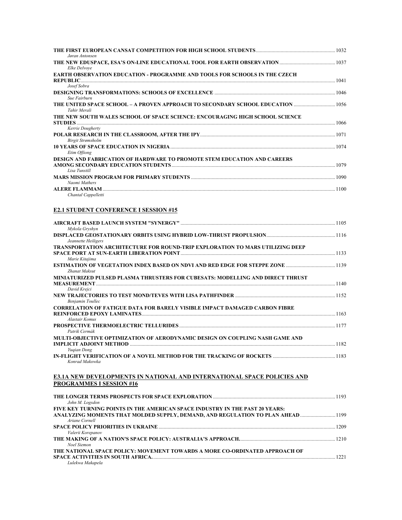| Jøran Antonsen                                                                    |  |
|-----------------------------------------------------------------------------------|--|
| Elke Delvove                                                                      |  |
| <b>EARTH OBSERVATION EDUCATION - PROGRAMME AND TOOLS FOR SCHOOLS IN THE CZECH</b> |  |
|                                                                                   |  |
| Josef Sobra                                                                       |  |
|                                                                                   |  |
| Sue Fairburn                                                                      |  |
|                                                                                   |  |
| Tahir Merali                                                                      |  |
| THE NEW SOUTH WALES SCHOOL OF SPACE SCIENCE: ENCOURAGING HIGH SCHOOL SCIENCE      |  |
|                                                                                   |  |
| Kerrie Dougherty                                                                  |  |
|                                                                                   |  |
| <b>Birgit Strømsholm</b>                                                          |  |
|                                                                                   |  |
| Etim Offiong                                                                      |  |
| DESIGN AND FABRICATION OF HARDWARE TO PROMOTE STEM EDUCATION AND CAREERS          |  |
|                                                                                   |  |
| Lisa Tunstill                                                                     |  |
|                                                                                   |  |
| Naomi Mathers                                                                     |  |
|                                                                                   |  |
| Chantal Cappelletti                                                               |  |
|                                                                                   |  |
| <b>E2.1 STUDENT CONFERENCE I SESSION #15</b>                                      |  |
|                                                                                   |  |
| Mykola Gryshyn                                                                    |  |
|                                                                                   |  |
|                                                                                   |  |

| Jeannette Heiligers                                                                   |      |
|---------------------------------------------------------------------------------------|------|
| <b>TRANSPORTATION ARCHITECTURE FOR ROUND-TRIP EXPLORATION TO MARS UTILIZING DEEP</b>  |      |
|                                                                                       | 1133 |
| Marie Kitajima                                                                        |      |
| <b>ESTIMATION OF VEGETATION INDEX BASED ON NDVI AND RED EDGE FOR STEPPE ZONE 1139</b> |      |
| Zhanat Maksut                                                                         |      |
| MINIATURIZED PULSED PLASMA THRUSTERS FOR CUBESATS: MODELLING AND DIRECT THRUST        |      |
|                                                                                       | 1140 |
| David Krejci                                                                          |      |
|                                                                                       | 1152 |
| Benjamin Toullec                                                                      |      |
| <b>CORRELATION OF FATIGUE DATA FOR BARELY VISIBLE IMPACT DAMAGED CARBON FIBRE</b>     |      |
|                                                                                       | 1163 |
| <b>Alastair Komus</b>                                                                 |      |
|                                                                                       | 1177 |
| Patrik Cermák                                                                         |      |
| MULTI-OBJECTIVE OPTIMIZATION OF AERODYNAMIC DESIGN ON COUPLING NASH GAME AND          |      |
|                                                                                       | 1182 |
| Yugian Dong                                                                           |      |
|                                                                                       | 1183 |
| Konrad Makowka                                                                        |      |
|                                                                                       |      |

#### **E3.1A NEW DEVELOPMENTS IN NATIONAL AND INTERNATIONAL SPACE POLICIES AND PROGRAMMES I SESSION #16**

| John M. Logsdon                                                                                                                                                  |      |
|------------------------------------------------------------------------------------------------------------------------------------------------------------------|------|
| FIVE KEY TURNING POINTS IN THE AMERICAN SPACE INDUSTRY IN THE PAST 20 YEARS:<br>ANALYZING MOMENTS THAT MOLDED SUPPLY, DEMAND, AND REGULATION TO PLAN AHEAD  1199 |      |
| Ariane Cornell<br>Valerii Korepanov                                                                                                                              | 1209 |
| Noel Siemon                                                                                                                                                      |      |
| THE NATIONAL SPACE POLICY: MOVEMENT TOWARDS A MORE CO-ORDINATED APPROACH OF<br>Lulekwa Makapela                                                                  | 1221 |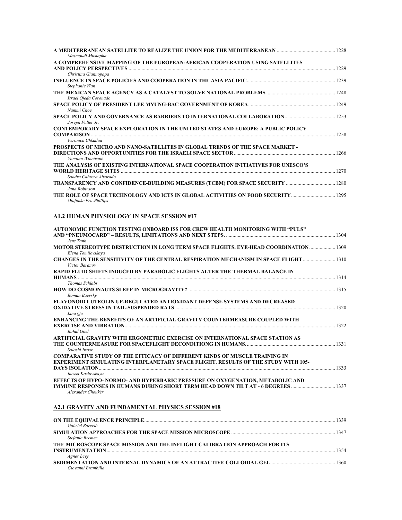| Masmoudi Mustapha                                                                                                      |  |
|------------------------------------------------------------------------------------------------------------------------|--|
| A COMPREHENSIVE MAPPING OF THE EUROPEAN-AFRICAN COOPERATION USING SATELLITES                                           |  |
| Christina Giannopapa                                                                                                   |  |
| Stephanie Wan                                                                                                          |  |
| Israel Ojeda Coronado                                                                                                  |  |
| Nammi Choe                                                                                                             |  |
| Joseph Fuller Jr.                                                                                                      |  |
| CONTEMPORARY SPACE EXPLORATION IN THE UNITED STATES AND EUROPE: A PUBLIC POLICY                                        |  |
| Veronica Chkadua<br>PROSPECTS OF MICRO AND NANO-SATELLITES IN GLOBAL TRENDS OF THE SPACE MARKET -<br>Yonatan Winetraub |  |
| THE ANALYSIS OF EXISTING INTERNATIONAL SPACE COOPERATION INITIATIVES FOR UNESCO'S                                      |  |
| Sandra Cabrera Alvarado                                                                                                |  |
| Jana Robinson                                                                                                          |  |
| Olufunke Ero-Phillips                                                                                                  |  |
| A1.2 HUMAN PHYSIOLOGY IN SPACE SESSION #17                                                                             |  |
| AUTONOMIC FUNCTION TESTING ONBOARD ISS FOR CREW HEALTH MONITORING WITH "PULS"                                          |  |
|                                                                                                                        |  |

| MOTOR STEREOTYPE DESTRUCTION IN LONG TERM SPACE FLIGHTS. EYE-HEAD COORDINATION 1309          |
|----------------------------------------------------------------------------------------------|
| <b>CHANGES IN THE SENSITIVITY OF THE CENTRAL RESPIRATION MECHANISM IN SPACE FLIGHT </b> 1310 |
|                                                                                              |
|                                                                                              |
|                                                                                              |
|                                                                                              |
|                                                                                              |
|                                                                                              |
|                                                                                              |
|                                                                                              |
|                                                                                              |
|                                                                                              |
|                                                                                              |
| <b>DAYS ISOLATION</b> 2333                                                                   |
| <b>IMMUNE RESPONSES IN HUMANS DURING SHORT TERM HEAD DOWN TILT AT - 6 DEGREES </b> 1337      |
|                                                                                              |

|                                                                            | 1339 |
|----------------------------------------------------------------------------|------|
| Gabriel Barceló                                                            |      |
|                                                                            | 1347 |
| Stefanie Bremer                                                            |      |
| THE MICROSCOPE SPACE MISSION AND THE INFLIGHT CALIBRATION APPROACH FOR ITS |      |
|                                                                            | 1354 |
| Agnes Levy                                                                 |      |
|                                                                            |      |
| Giovanni Brambilla                                                         |      |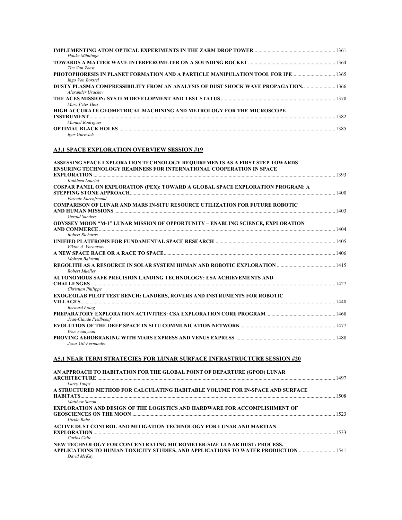| Hauke Müntinga                                                                                         |  |
|--------------------------------------------------------------------------------------------------------|--|
|                                                                                                        |  |
| Tim Van Zoest<br>Ingo Von Borstel                                                                      |  |
| DUSTY PLASMA COMPRESSIBILITY FROM AN ANALYSIS OF DUST SHOCK WAVE PROPAGATION 1366<br>Alexander Usachev |  |
| Marc Peter Hess                                                                                        |  |
| HIGH ACCURATE GEOMETRICAL MACHINING AND METROLOGY FOR THE MICROSCOPE                                   |  |
| <b>Manuel Rodrigues</b><br>Igor Gurevich                                                               |  |

## **A3.1 SPACE EXPLORATION OVERVIEW SESSION #19**

| ASSESSING SPACE EXPLORATION TECHNOLOGY REQUIREMENTS AS A FIRST STEP TOWARDS<br><b>ENSURING TECHNOLOGY READINESS FOR INTERNATIONAL COOPERATION IN SPACE</b> |      |
|------------------------------------------------------------------------------------------------------------------------------------------------------------|------|
|                                                                                                                                                            |      |
| Kathleen Laurini                                                                                                                                           |      |
| COSPAR PANEL ON EXPLORATION (PEX): TOWARD A GLOBAL SPACE EXPLORATION PROGRAM: A                                                                            |      |
|                                                                                                                                                            |      |
| Pascale Ehrenfreund                                                                                                                                        |      |
| <b>COMPARISON OF LUNAR AND MARS IN-SITU RESOURCE UTILIZATION FOR FUTURE ROBOTIC</b>                                                                        |      |
| AND HUMAN MISSIONS 2003 2003                                                                                                                               |      |
| <b>Gerald Sanders</b>                                                                                                                                      |      |
| <b>ODYSSEY MOON "M-1" LUNAR MISSION OF OPPORTUNITY – ENABLING SCIENCE, EXPLORATION</b>                                                                     |      |
|                                                                                                                                                            | 1404 |
| Robert Richards                                                                                                                                            |      |
|                                                                                                                                                            |      |
| Viktor A. Vorontsov                                                                                                                                        |      |
|                                                                                                                                                            |      |
| Mohsen Bahrami                                                                                                                                             |      |
| Robert Mueller                                                                                                                                             |      |
| AUTONOMOUS SAFE PRECISION LANDING TECHNOLOGY: ESA ACHIEVEMENTS AND                                                                                         |      |
| 1427                                                                                                                                                       |      |
| Christian Philippe                                                                                                                                         |      |
| <b>EXOGEOLAB PILOT TEST BENCH: LANDERS, ROVERS AND INSTRUMENTS FOR ROBOTIC</b>                                                                             |      |
|                                                                                                                                                            |      |
| <b>Bernard Foing</b>                                                                                                                                       |      |
|                                                                                                                                                            |      |
| Jean-Claude Piedboeuf                                                                                                                                      |      |
|                                                                                                                                                            |      |
| Wen Yuanyuan                                                                                                                                               |      |
|                                                                                                                                                            |      |
| Jesus Gil-Fernandez                                                                                                                                        |      |

## **A5.1 NEAR TERM STRATEGIES FOR LUNAR SURFACE INFRASTRUCTURE SESSION #20**

| AN APPROACH TO HABITATION FOR THE GLOBAL POINT OF DEPARTURE (GPOD) LUNAR          |      |
|-----------------------------------------------------------------------------------|------|
|                                                                                   | 1497 |
| Larry Toups                                                                       |      |
| A STRUCTURED METHOD FOR CALCULATING HABITABLE VOLUME FOR IN-SPACE AND SURFACE     |      |
| <b>HABITATS</b>                                                                   | 1508 |
| Matthew Simon                                                                     |      |
| <b>EXPLORATION AND DESIGN OF THE LOGISTICS AND HARDWARE FOR ACCOMPLISHMENT OF</b> |      |
|                                                                                   | 1523 |
| Ulrike Rahe                                                                       |      |
| ACTIVE DUST CONTROL AND MITIGATION TECHNOLOGY FOR LUNAR AND MARTIAN               |      |
|                                                                                   | 1533 |
| Carlos Calle                                                                      |      |
| NEW TECHNOLOGY FOR CONCENTRATING MICROMETER-SIZE LUNAR DUST: PROCESS.             |      |
| APPLICATIONS TO HUMAN TOXICITY STUDIES, AND APPLICATIONS TO WATER PRODUCTION1541  |      |
| David McKav                                                                       |      |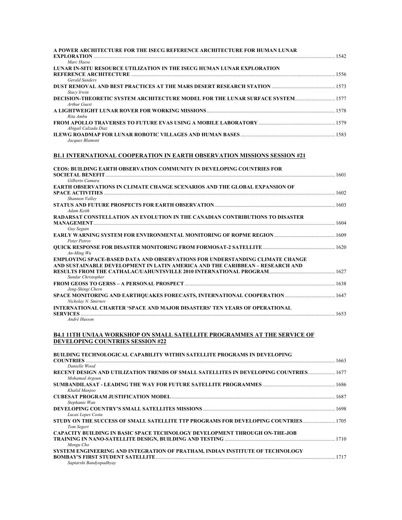| A POWER ARCHITECTURE FOR THE ISECG REFERENCE ARCHITECTURE FOR HUMAN LUNAR<br>Marc Haese                       |  |
|---------------------------------------------------------------------------------------------------------------|--|
| LUNAR IN-SITU RESOURCE UTILIZATION IN THE ISECG HUMAN LUNAR EXPLORATION                                       |  |
| <b>Gerald Sanders</b>                                                                                         |  |
| Stacy Irwin<br>DECISION-THEORETIC SYSTEM ARCHITECTURE MODEL FOR THE LUNAR SURFACE SYSTEM 1577<br>Arthur Guest |  |
| Rita Ambu                                                                                                     |  |
| Abigail Calzada Diaz                                                                                          |  |
| Jacques Blamont                                                                                               |  |

## **B1.1 INTERNATIONAL COOPERATION IN EARTH OBSERVATION MISSIONS SESSION #21**

| CEOS: BUILDING EARTH OBSERVATION COMMUNITY IN DEVELOPING COUNTRIES FOR                 |      |
|----------------------------------------------------------------------------------------|------|
|                                                                                        | 1601 |
| Gilberto Camara                                                                        |      |
| EARTH OBSERVATIONS IN CLIMATE CHANGE SCENARIOS AND THE GLOBAL EXPANSION OF             |      |
| Shannon Valley                                                                         |      |
|                                                                                        |      |
| Adam Keith                                                                             |      |
| RADARSAT CONSTELLATION AN EVOLUTION IN THE CANADIAN CONTRIBUTIONS TO DISASTER          |      |
| <b>MANAGEMENT</b>                                                                      | 1604 |
| Guy Seguin                                                                             |      |
|                                                                                        |      |
| Peter Petrov                                                                           |      |
| $An$ -Ming Wu                                                                          |      |
| <b>EMPLOYING SPACE-BASED DATA AND OBSERVATIONS FOR UNDERSTANDING CLIMATE CHANGE</b>    |      |
| AND SUSTAINABLE DEVELOPMENT IN LATIN AMERICA AND THE CARIBBEAN – RESEARCH AND          |      |
| 1627 - RESULTS FROM THE CATHALAC/UAHUNTSVILLE 2010 INTERNATIONAL PROGRAM (1999) - 1627 |      |
| Sundar Christopher                                                                     |      |
|                                                                                        |      |
| Jeng-Shingi Chern                                                                      |      |
| Nickolay N. Smirnov                                                                    |      |
| <b>INTERNATIONAL CHARTER 'SPACE AND MAJOR DISASTERS' TEN YEARS OF OPERATIONAL</b>      |      |
| <b>SERVICES</b>                                                                        | 1653 |
| André Husson                                                                           |      |

#### **B4.1 11TH UN/IAA WORKSHOP ON SMALL SATELLITE PROGRAMMES AT THE SERVICE OF DEVELOPING COUNTRIES SESSION #22**

| <b>BUILDING TECHNOLOGICAL CAPABILITY WITHIN SATELLITE PROGRAMS IN DEVELOPING</b>                                      |      |
|-----------------------------------------------------------------------------------------------------------------------|------|
|                                                                                                                       |      |
| Danielle Wood                                                                                                         |      |
| RECENT DESIGN AND UTILIZATION TRENDS OF SMALL SATELLITES IN DEVELOPING COUNTRIES 1677                                 |      |
| Mohamed Argoun                                                                                                        |      |
|                                                                                                                       |      |
| Khalid Manjoo                                                                                                         |      |
| Stephanie Wan                                                                                                         |      |
|                                                                                                                       |      |
| Lucas Lopes Costa<br>STUDY ON THE SUCCESS OF SMALL SATELLITE TTP PROGRAMS FOR DEVELOPING COUNTRIES 1705<br>Tom Segert |      |
| <b>CAPACITY BUILDING IN BASIC SPACE TECHNOLOGY DEVELOPMENT THROUGH ON-THE-JOB</b>                                     |      |
| Mengu Cho                                                                                                             |      |
| SYSTEM ENGINEERING AND INTEGRATION OF PRATHAM, INDIAN INSTITUTE OF TECHNOLOGY                                         | 1717 |
| Saptarshi Bandyopadhyay                                                                                               |      |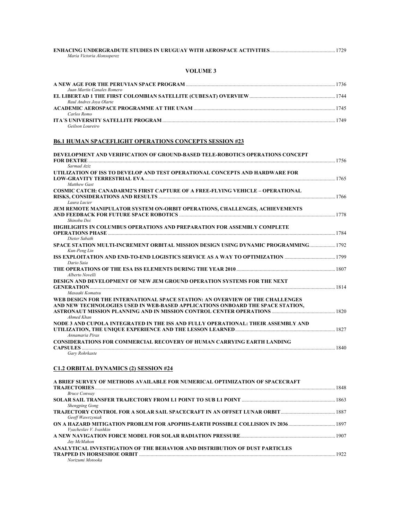| Maria Victoria Alonsoperez |  |
|----------------------------|--|

## **VOLUME 3**

|                            | 1736 |
|----------------------------|------|
| Juan Martin Canales Romero |      |
|                            |      |
| Raul Andres Jova Olarte    |      |
|                            |      |
| Carlos Romo                |      |
|                            |      |
| Geilson Loureiro           |      |

## **B6.1 HUMAN SPACEFLIGHT OPERATIONS CONCEPTS SESSION #23**

| DEVELOPMENT AND VERIFICATION OF GROUND-BASED TELE-ROBOTICS OPERATIONS CONCEPT         |  |
|---------------------------------------------------------------------------------------|--|
| <b>FOR DEXTRE</b> 2756                                                                |  |
| Sarmad Aziz                                                                           |  |
| UTILIZATION OF ISS TO DEVELOP AND TEST OPERATIONAL CONCEPTS AND HARDWARE FOR          |  |
|                                                                                       |  |
| Matthew Gast                                                                          |  |
| <b>COSMIC CATCH: CANADARM2'S FIRST CAPTURE OF A FREE-FLYING VEHICLE - OPERATIONAL</b> |  |
|                                                                                       |  |
| Laura Lucier                                                                          |  |
| <b>JEM REMOTE MANIPULATOR SYSTEM ON-ORBIT OPERATIONS, CHALLENGES, ACHIEVEMENTS</b>    |  |
|                                                                                       |  |
| Shinobu Doi                                                                           |  |
| HIGHLIGHTS IN COLUMBUS OPERATIONS AND PREPARATION FOR ASSEMBLY COMPLETE               |  |
|                                                                                       |  |
| Dieter Sabath                                                                         |  |
| SPACE STATION MULTI-INCREMENT ORBITAL MISSION DESIGN USING DYNAMIC PROGRAMMING 1792   |  |
| Kun-Peng Lin                                                                          |  |
| 1799 - ISS EXPLOITATION AND END-TO-END LOGISTICS SERVICE AS A WAY TO OPTIMIZATION     |  |
| Dario Saia                                                                            |  |
|                                                                                       |  |
| Alberto Novelli                                                                       |  |
| <b>DESIGN AND DEVELOPMENT OF NEW JEM GROUND OPERATION SYSTEMS FOR THE NEXT</b>        |  |
|                                                                                       |  |
| Masaaki Komatsu                                                                       |  |
| WEB DESIGN FOR THE INTERNATIONAL SPACE STATION: AN OVERVIEW OF THE CHALLENGES         |  |
| AND NEW TECHNOLOGIES USED IN WEB-BASED APPLICATIONS ONBOARD THE SPACE STATION.        |  |
| Ahmed Khan                                                                            |  |
| NODE 3 AND CUPOLA INTEGRATED IN THE ISS AND FULLY OPERATIONAL: THEIR ASSEMBLY AND     |  |
|                                                                                       |  |
| Annamaria Piras                                                                       |  |
| <b>CONSIDERATIONS FOR COMMERCIAL RECOVERY OF HUMAN CARRYING EARTH LANDING</b>         |  |
| CAPSULES                                                                              |  |
| Gary Rohrkaste                                                                        |  |
|                                                                                       |  |

## **C1.2 ORBITAL DYNAMICS (2) SESSION #24**

| A BRIEF SURVEY OF METHODS AVAILABLE FOR NUMERICAL OPTIMIZATION OF SPACECRAFT                          |      |
|-------------------------------------------------------------------------------------------------------|------|
|                                                                                                       | 1848 |
| <b>Bruce Conway</b>                                                                                   |      |
|                                                                                                       |      |
| <b>Shengping Gong</b>                                                                                 |      |
| 1887 - TRAJECTORY CONTROL FOR A SOLAR SAIL SPACECRAFT IN AN OFFSET LUNAR ORBIT                        |      |
| Geoff Wawrzyniak                                                                                      |      |
| ON A HAZARD MITIGATION PROBLEM FOR APOPHIS-EARTH POSSIBLE COLLISION IN 2036<br>Vyacheslav V. Ivashkin |      |
|                                                                                                       | 1907 |
| Jay McMahon                                                                                           |      |
| ANALYTICAL INVESTIGATION OF THE BEHAVIOR AND DISTRIBUTION OF DUST PARTICLES                           |      |
|                                                                                                       | 1922 |
| Norizumi Motooka                                                                                      |      |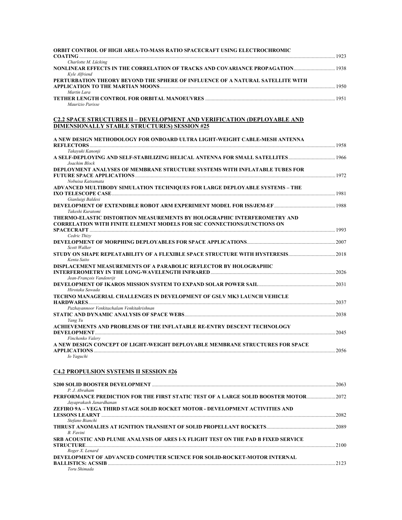| ORBIT CONTROL OF HIGH AREA-TO-MASS RATIO SPACECRAFT USING ELECTROCHROMIC                        | 1923 |
|-------------------------------------------------------------------------------------------------|------|
| Charlotte M. Lücking                                                                            |      |
|                                                                                                 |      |
| Kyle Alfriend<br>PERTURBATION THEORY BEYOND THE SPHERE OF INFLUENCE OF A NATURAL SATELLITE WITH |      |
|                                                                                                 | 1950 |
| Martin Lara                                                                                     |      |
|                                                                                                 | 1951 |

*Maurizio Parisse* 

#### **C2.2 SPACE STRUCTURES II – DEVELOPMENT AND VERIFICATION (DEPLOYABLE AND DIMENSIONALLY STABLE STRUCTURES) SESSION #25**

| A NEW DESIGN METHODOLOGY FOR ONBOARD ULTRA LIGHT-WEIGHT CABLE-MESH ANTENNA                                                                                 |       |
|------------------------------------------------------------------------------------------------------------------------------------------------------------|-------|
| <b>REFLECTORS</b><br>Takavuki Kanonji                                                                                                                      | 1958  |
| Joachim Block                                                                                                                                              |       |
| <b>DEPLOYMENT ANALYSES OF MEMBRANE STRUCTURE SYSTEMS WITH INFLATABLE TUBES FOR</b>                                                                         |       |
| Nobuisa Katsumata                                                                                                                                          | 1972  |
| <b>ADVANCED MULTIBODY SIMULATION TECHNIQUES FOR LARGE DEPLOYABLE SYSTEMS – THE</b>                                                                         |       |
| Gianluigi Baldesi                                                                                                                                          |       |
| Takeshi Kuratomi                                                                                                                                           |       |
| THERMO-ELASTIC DISTORTION MEASUREMENTS BY HOLOGRAPHIC INTERFEROMETRY AND<br><b>CORRELATION WITH FINITE ELEMENT MODELS FOR SIC CONNECTIONS/JUNCTIONS ON</b> |       |
| $\sim$ 1993                                                                                                                                                |       |
| Cedric Thizy                                                                                                                                               | .2007 |
| Scott Walker                                                                                                                                               |       |
| Kenta Saito                                                                                                                                                | .2018 |
| <b>DISPLACEMENT MEASUREMENTS OF A PARABOLIC REFLECTOR BY HOLOGRAPHIC</b>                                                                                   |       |
| Jean-François Vandenrijt                                                                                                                                   | 2026  |
| Hirotaka Sawada                                                                                                                                            | 2031  |
| <b>TECHNO MANAGERIAL CHALLENGES IN DEVELOPMENT OF GSLV MK3 LAUNCH VEHICLE</b>                                                                              |       |
|                                                                                                                                                            | 2037  |
| Pazhayannoor Venkitachalam Venkitakrishnan                                                                                                                 | 2038  |
| Yang Yu                                                                                                                                                    |       |
| ACHIEVEMENTS AND PROBLEMS OF THE INFLATABLE RE-ENTRY DESCENT TECHNOLOGY                                                                                    |       |
| <b>DEVELOPMENT</b>                                                                                                                                         | 2045  |
| Finchenko Valerv                                                                                                                                           |       |
| A NEW DESIGN CONCEPT OF LIGHT-WEIGHT DEPLOYABLE MEMBRANE STRUCTURES FOR SPACE<br><b>APPLICATIONS</b>                                                       | 2056  |
| Io Yaguchi                                                                                                                                                 |       |

## **C4.2 PROPULSION SYSTEMS II SESSION #26**

| P. J. Abraham                                                                                              | 2063 |
|------------------------------------------------------------------------------------------------------------|------|
| PERFORMANCE PREDICTION FOR THE FIRST STATIC TEST OF A LARGE SOLID BOOSTER MOTOR<br>Jayaprakash Janardhanan | 2072 |
| ZEFIRO 9A – VEGA THIRD STAGE SOLID ROCKET MOTOR - DEVELOPMENT ACTIVITIES AND<br>LESSONS LEARNT             | 2082 |
| Stefano Bianchi<br>THRUST ANOMALIES AT IGNITION TRANSIENT OF SOLID PROPELLANT ROCKETS<br>B. Favini         | 2089 |
| SRB ACQUSTIC AND PLUME ANALYSIS OF ARES I-X FLIGHT TEST ON THE PAD B FIXED SERVICE<br><b>STRUCTURE.</b>    | 2100 |
| Roger X. Lenard<br>DEVELOPMENT OF ADVANCED COMPUTER SCIENCE FOR SOLID-ROCKET-MOTOR INTERNAL                |      |
| <b>BALLISTICS: ACSSIB.</b><br>Toru Shimada                                                                 | 2123 |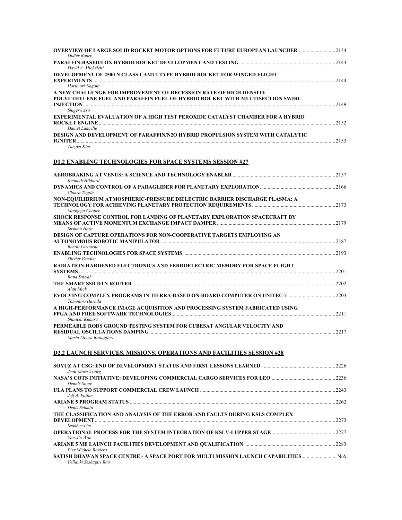| OVERVIEW OF LARGE SOLID ROCKET MOTOR OPTIONS FOR FUTURE EUROPEAN LAUNCHER2134                                                                                        |  |
|----------------------------------------------------------------------------------------------------------------------------------------------------------------------|--|
| Didier Boury                                                                                                                                                         |  |
| David A. Micheletti<br>DEVELOPMENT OF 2500 N CLASS CAMUI TYPE HYBRID ROCKET FOR WINGED FLIGHT                                                                        |  |
| Harunori Nagata<br>A NEW CHALLENGE FOR IMPROVEMENT OF RECESSION RATE OF HIGH DENSITY<br>POLYETHYLENE FUEL AND PARAFFIN FUEL OF HYBRID ROCKET WITH MULTISECTION SWIRL |  |
| Shigeru Aso                                                                                                                                                          |  |
| EXPERIMENTAL EVALUATION OF A HIGH TEST PEROXIDE CATALYST CHAMBER FOR A HYBRID<br>Daniel Lancelle                                                                     |  |
| DESIGN AND DEVELOPMENT OF PARAFFIN/N2O HYBRID PROPULSION SYSTEM WITH CATALYTIC<br>Taegyu Kim                                                                         |  |
| <b>D1.2 ENABLING TECHNOLOGIES FOR SPACE SYSTEMS SESSION #27</b>                                                                                                      |  |
|                                                                                                                                                                      |  |
| Kenneth Hibbard<br>Chiara Toglia                                                                                                                                     |  |
| NON-EOUILIBRIUM ATMOSPHERIC-PRESSURE DIELECTRIC BARRIER DISCHARGE PLASMA: A<br>Moogega Cooper                                                                        |  |
| SHOCK RESPONSE CONTROL FOR LANDING OF PLANETARY EXPLORATION SPACECRAFT BY<br>Susumu Hara                                                                             |  |
| DESIGN OF CAPTURE OPERATIONS FOR NON-COOPERATIVE TARGETS EMPLOYING AN<br><b>Benoit Larouche</b>                                                                      |  |
| Olivier Vendier                                                                                                                                                      |  |
| RADIATION-HARDENED ELECTRONICS AND FERROELECTRIC MEMORY FOR SPACE FLIGHT                                                                                             |  |
| Rana Sayyah                                                                                                                                                          |  |
| Alan Mick<br>Tomohiro Harada                                                                                                                                         |  |
| A HIGH-PERFORMANCE IMAGE ACOUISITION AND PROCESSING SYSTEM FABRICATED USING<br>Shinichi Kimura                                                                       |  |
| PERMEABLE RODS GROUND TESTING SYSTEM FOR CUBESAT ANGULAR VELOCITY AND<br>Maria Libera Battagliere                                                                    |  |
| <b>D2.2 LAUNCH SERVICES, MISSIONS, OPERATIONS AND FACILITIES SESSION #28</b>                                                                                         |  |
| Jean-Marc Astorg                                                                                                                                                     |  |
| Dennis Stone                                                                                                                                                         |  |
| Jeff A. Patton                                                                                                                                                       |  |
| Denis Schmitt                                                                                                                                                        |  |
| THE CLASSIFICATION AND ANALYSIS OF THE ERROR AND FAULTS DURING KSLS COMPLEX                                                                                          |  |
| Seokhee Lim                                                                                                                                                          |  |
| You-Jin Won                                                                                                                                                          |  |
| Pier Michele Roviera<br>SATISH DHAWAN SPACE CENTRE - A SPACE PORT FOR MULTI MISSION LAUNCH CAPABILITIES<br>Vellanki Seshagiri Rao                                    |  |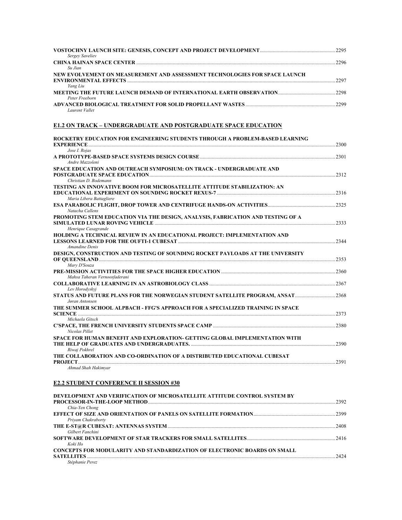| Sergey Saveliev                                                            |      |
|----------------------------------------------------------------------------|------|
|                                                                            | 2296 |
| Su Jian                                                                    |      |
| NEW EVOLVEMENT ON MEASUREMENT AND ASSESSMENT TECHNOLOGIES FOR SPACE LAUNCH |      |
|                                                                            | 2297 |
| Yang Liu                                                                   |      |
|                                                                            |      |
| Peter Freeborn                                                             |      |
|                                                                            |      |
| Laurent Vallet                                                             |      |

## **E1.2 ON TRACK – UNDERGRADUATE AND POSTGRADUATE SPACE EDUCATION**

#### **ROCKETRY EDUCATION FOR ENGINEERING STUDENTS THROUGH A PROBLEM-BASED LEARNING**

| Jose I. Rojas                                                                   |       |
|---------------------------------------------------------------------------------|-------|
|                                                                                 |       |
| Andre Mazzoleni                                                                 |       |
| SPACE EDUCATION AND OUTREACH SYMPOSIUM: ON TRACK - UNDERGRADUATE AND            |       |
|                                                                                 |       |
| Christian D. Bodemann                                                           |       |
| <b>TESTING AN INNOVATIVE BOOM FOR MICROSATELLITE ATTITUDE STABILIZATION: AN</b> |       |
| Maria Libera Battagliere                                                        |       |
|                                                                                 |       |
| Natacha Callens                                                                 |       |
| PROMOTING STEM EDUCATION VIA THE DESIGN, ANALYSIS, FABRICATION AND TESTING OF A |       |
|                                                                                 | .2333 |
| Henrique Casagrande                                                             |       |
| <b>HOLDING A TECHNICAL REVIEW IN AN EDUCATIONAL PROJECT: IMPLEMENTATION AND</b> |       |
|                                                                                 | 2344  |
| <b>Amandine Denis</b>                                                           |       |
| DESIGN, CONSTRUCTION AND TESTING OF SOUNDING ROCKET PAYLOADS AT THE UNIVERSITY  |       |
|                                                                                 | .2353 |
| Mary D'Souza                                                                    |       |
| Mahsa Taheran Vernoosfaderani                                                   | 2360  |
|                                                                                 | 2367  |
| Lev Horodyskyj                                                                  |       |
| STATUS AND FUTURE PLANS FOR THE NORWEGIAN STUDENT SATELLITE PROGRAM, ANSAT      | 2368  |
| Jøran Antonsen                                                                  |       |
| THE SUMMER SCHOOL ALPBACH - FFG'S APPROACH FOR A SPECIALIZED TRAINING IN SPACE  |       |
| SCIENCE <b><i>SCIENCE SCIENCE BOOTHERS</i></b>                                  | 2373  |
| Michaela Gitsch                                                                 |       |
|                                                                                 | 2380  |
| Nicolas Pillet                                                                  |       |
| SPACE FOR HUMAN BENEFIT AND EXPLORATION- GETTING GLOBAL IMPLEMENTATION WITH     |       |
| Riwaj Pokhrel                                                                   | 2390  |
| THE COLLABORATION AND CO-ORDINATION OF A DISTRIBUTED EDUCATIONAL CUBESAT        |       |
|                                                                                 | 2391  |
| Ahmad Shah Hakimyar                                                             |       |
|                                                                                 |       |

## **E2.2 STUDENT CONFERENCE II SESSION #30**

| DEVELOPMENT AND VERIFICATION OF MICROSATELLITE ATTITUDE CONTROL SYSTEM BY        |      |
|----------------------------------------------------------------------------------|------|
|                                                                                  | 2392 |
| Chia-Yen Chong                                                                   |      |
|                                                                                  |      |
| Priyam Chakraborty                                                               |      |
|                                                                                  | 2408 |
| Gilbert Fanchini                                                                 |      |
|                                                                                  | 2416 |
| Koki Ho                                                                          |      |
| <b>CONCEPTS FOR MODULARITY AND STANDARDIZATION OF ELECTRONIC BOARDS ON SMALL</b> |      |
|                                                                                  | 2424 |
| Stéphanie Perez                                                                  |      |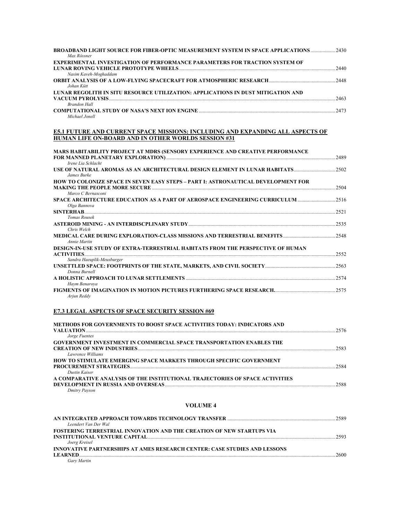| <b>BROADBAND LIGHT SOURCE FOR FIBER-OPTIC MEASUREMENT SYSTEM IN SPACE APPLICATIONS  2430</b><br>Max Rössner |      |
|-------------------------------------------------------------------------------------------------------------|------|
| <b>EXPERIMENTAL INVESTIGATION OF PERFORMANCE PARAMETERS FOR TRACTION SYSTEM OF</b>                          |      |
|                                                                                                             | 2440 |
| Nasim Kaveh-Moghaddam                                                                                       |      |
|                                                                                                             | 2448 |
| Johan Kütt                                                                                                  |      |
| LUNAR REGOLITH IN SITU RESOURCE UTILIZATION: APPLICATIONS IN DUST MITIGATION AND                            |      |
|                                                                                                             | 2463 |
| Brandon Hall                                                                                                |      |
|                                                                                                             | 2473 |
| Michael Jonell                                                                                              |      |

### **E5.1 FUTURE AND CURRENT SPACE MISSIONS: INCLUDING AND EXPANDING ALL ASPECTS OF HUMAN LIFE ON-BOARD AND IN OTHER WORLDS SESSION #31**

| MARS HABITABILITY PROJECT AT MDRS (SENSORY EXPERIENCE AND CREATIVE PERFORMANCE    |         |
|-----------------------------------------------------------------------------------|---------|
|                                                                                   | 2489    |
| Irene Lia Schlacht                                                                |         |
| James Burke                                                                       | $-2502$ |
| HOW TO COLONIZE SPACE IN SEVEN EASY STEPS – PART I: ASTRONAUTICAL DEVELOPMENT FOR |         |
|                                                                                   | 2504    |
| Marco C Bernasconi                                                                |         |
| SPACE ARCHITECTURE EDUCATION AS A PART OF AEROSPACE ENGINEERING CURRICULUM        | 2516    |
| Olga Bannova                                                                      |         |
|                                                                                   | 2521    |
| <b>Tomas Rousek</b>                                                               |         |
|                                                                                   | 2535    |
| Chris Welch                                                                       |         |
|                                                                                   | 2548    |
| Annie Martin                                                                      |         |
| DESIGN-IN-USE STUDY OF EXTRA-TERRESTRIAL HABITATS FROM THE PERSPECTIVE OF HUMAN   |         |
| <b>ACTIVITIES</b>                                                                 | 2552    |
| Sandra Haeuplik-Meusburger                                                        |         |
|                                                                                   |         |
| Donna Burnell                                                                     |         |
|                                                                                   | 2574    |
| Haym Benarova                                                                     |         |
|                                                                                   | 2575    |
| Arjun Reddy                                                                       |         |

## **E7.3 LEGAL ASPECTS OF SPACE SECURITY SESSION #69**

| <b>METHODS FOR GOVERNMENTS TO BOOST SPACE ACTIVITIES TODAY: INDICATORS AND</b> |      |
|--------------------------------------------------------------------------------|------|
|                                                                                | 2576 |
| Jorge Fuentes                                                                  |      |
| <b>GOVERNMENT INVESTMENT IN COMMERCIAL SPACE TRANSPORTATION ENABLES THE</b>    |      |
|                                                                                | 2583 |
| Lawrence Williams                                                              |      |
| HOW TO STIMULATE EMERGING SPACE MARKETS THROUGH SPECIFIC GOVERNMENT            |      |
|                                                                                | 2584 |
| Dustin Kaiser                                                                  |      |
| A COMPARATIVE ANALYSIS OF THE INSTITUTIONAL TRAJECTORIES OF SPACE ACTIVITIES   |      |
|                                                                                | 2588 |
| Dmitry Payson                                                                  |      |

#### **VOLUME 4**

|                                                                                  | 2589 |
|----------------------------------------------------------------------------------|------|
| Leendert Van Der Wal                                                             |      |
| FOSTERING TERRESTRIAL INNOVATION AND THE CREATION OF NEW STARTUPS VIA            |      |
|                                                                                  | 2593 |
| Joerg Kreisel                                                                    |      |
| <b>INNOVATIVE PARTNERSHIPS AT AMES RESEARCH CENTER: CASE STUDIES AND LESSONS</b> |      |
| <b>LEARNED</b>                                                                   | 2600 |
| <b>Gary Martin</b>                                                               |      |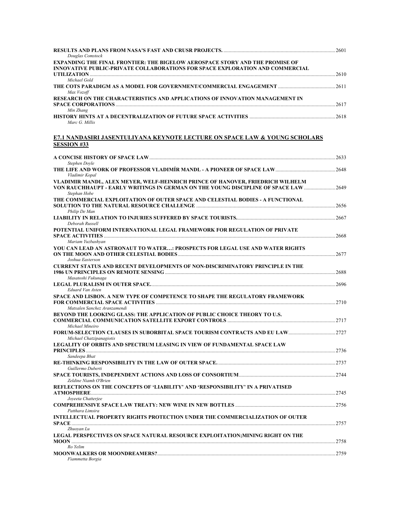|                                                                                     | 2601 |
|-------------------------------------------------------------------------------------|------|
| Douglas Comstock                                                                    |      |
| <b>EXPANDING THE FINAL FRONTIER: THE BIGELOW AEROSPACE STORY AND THE PROMISE OF</b> |      |
| INNOVATIVE PUBLIC-PRIVATE COLLABORATIONS FOR SPACE EXPLORATION AND COMMERCIAL       |      |
|                                                                                     | 2610 |
| Michael Gold                                                                        |      |
|                                                                                     | 2611 |
| Max Vozoff                                                                          |      |
| RESEARCH ON THE CHARACTERISTICS AND APPLICATIONS OF INNOVATION MANAGEMENT IN        |      |
|                                                                                     | 2617 |
| Min Zhang                                                                           |      |
|                                                                                     | 2618 |
| Marc G. Millis                                                                      |      |

## **E7.1 NANDASIRI JASENTULIYANA KEYNOTE LECTURE ON SPACE LAW & YOUNG SCHOLARS SESSION #33**

| Stephen Doyle                                                                                                                                                                         |  |
|---------------------------------------------------------------------------------------------------------------------------------------------------------------------------------------|--|
| Vladimir Kopal                                                                                                                                                                        |  |
| VLADIMIR MANDL, ALEX MEYER, WELF-HEINRICH PRINCE OF HANOVER, FRIEDRICH WILHELM<br>VON RAUCHHAUPT - EARLY WRITINGS IN GERMAN ON THE YOUNG DISCIPLINE OF SPACE LAW 2649<br>Stephan Hobe |  |
| THE COMMERCIAL EXPLOITATION OF OUTER SPACE AND CELESTIAL BODIES - A FUNCTIONAL<br>Philip De Man                                                                                       |  |
| Deborah Russell                                                                                                                                                                       |  |
| POTENTIAL UNIFORM INTERNATIONAL LEGAL FRAMEWORK FOR REGULATION OF PRIVATE<br>Mariam Yuzbashyan                                                                                        |  |
| YOU CAN LEAD AN ASTRONAUT TO WATER: PROSPECTS FOR LEGAL USE AND WATER RIGHTS<br>Joshua Easterson                                                                                      |  |
| <b>CURRENT STATUS AND RECENT DEVELOPMENTS OF NON-DISCRIMINATORY PRINCIPLE IN THE</b><br>Masatoshi Fukunaga                                                                            |  |
| Eduard Van Asten                                                                                                                                                                      |  |
| SPACE AND LISBON. A NEW TYPE OF COMPETENCE TO SHAPE THE REGULATORY FRAMEWORK<br>Matxalen Sanchez Aranzamendi                                                                          |  |
| BEYOND THE LOOKING GLASS: THE APPLICATION OF PUBLIC CHOICE THEORY TO U.S.<br>Michael Mineiro                                                                                          |  |
| Michael Chatzipanagiotis                                                                                                                                                              |  |
| <b>LEGALITY OF ORBITS AND SPECTRUM LEASING IN VIEW OF FUNDAMENTAL SPACE LAW</b><br>Sandeepa Bhat                                                                                      |  |
| Guillermo Duberti                                                                                                                                                                     |  |
| Zeldine Niamh O'Brien                                                                                                                                                                 |  |
| REFLECTIONS ON THE CONCEPTS OF 'LIABILITY' AND 'RESPONSIBILITY' IN A PRIVATISED<br>Joyeeta Chatterjee                                                                                 |  |
| Patthara Limsira                                                                                                                                                                      |  |
| INTELLECTUAL PROPERTY RIGHTS PROTECTION UNDER THE COMMERCIALIZATION OF OUTER                                                                                                          |  |
| Zhuovan Lu<br>LEGAL PERSPECTIVES ON SPACE NATURAL RESOURCE EXPLOITATION;MINING RIGHT ON THE                                                                                           |  |
| Ro Yelim<br>Fiammetta Borgia                                                                                                                                                          |  |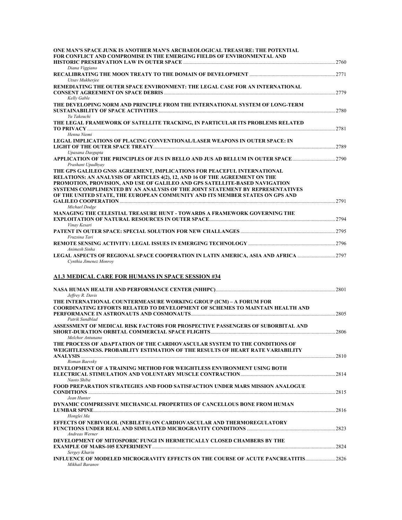| ONE MAN'S SPACE JUNK IS ANOTHER MAN'S ARCHAEOLOGICAL TREASURE: THE POTENTIAL                                                                                                                                                                                                                                                                                                                           |  |
|--------------------------------------------------------------------------------------------------------------------------------------------------------------------------------------------------------------------------------------------------------------------------------------------------------------------------------------------------------------------------------------------------------|--|
| FOR CONFLICT AND COMPROMISE IN THE EMERGING FIELDS OF ENVIRONMENTAL AND<br>Diana Viggiano                                                                                                                                                                                                                                                                                                              |  |
| Utsav Mukherjee                                                                                                                                                                                                                                                                                                                                                                                        |  |
| REMEDIATING THE OUTER SPACE ENVIRONMENT: THE LEGAL CASE FOR AN INTERNATIONAL<br>Kelly Gable                                                                                                                                                                                                                                                                                                            |  |
| THE DEVELOPING NORM AND PRINCIPLE FROM THE INTERNATIONAL SYSTEM OF LONG-TERM<br>Yu Takeuchi                                                                                                                                                                                                                                                                                                            |  |
| THE LEGAL FRAMEWORK OF SATELLITE TRACKING, IN PARTICULAR ITS PROBLEMS RELATED<br>Henna Niemi                                                                                                                                                                                                                                                                                                           |  |
| LEGAL IMPLICATIONS OF PLACING CONVENTIONAL/LASER WEAPONS IN OUTER SPACE: IN                                                                                                                                                                                                                                                                                                                            |  |
| Upasana Dasgupta<br>APPLICATION OF THE PRINCIPLES OF JUS IN BELLO AND JUS AD BELLUM IN OUTER SPACE2790<br>Prashant Upadhyay                                                                                                                                                                                                                                                                            |  |
| THE GPS GALILEO GNSS AGREEMENT, IMPLICATIONS FOR PEACEFUL INTERNATIONAL<br>RELATIONS: AN ANALYSIS OF ARTICLES 4(2), 12, AND 16 OF THE AGREEMENT ON THE<br>PROMOTION, PROVISION, AND USE OF GALILEO AND GPS SATELLITE-BASED NAVIGATION<br>SYSTEMS COMPLIMENTED BY AN ANALYSIS OF THE JOINT STATEMENT BY REPRESENTATIVES<br>OF THE UNITED STATE, THE EUROPEAN COMMUNITY AND ITS MEMBER STATES ON GPS AND |  |
| Michael Dodge<br>MANAGING THE CELESTIAL TREASURE HUNT - TOWARDS A FRAMEWORK GOVERNING THE                                                                                                                                                                                                                                                                                                              |  |
| Vinay Kesari<br>Fruzsina Tari                                                                                                                                                                                                                                                                                                                                                                          |  |
| Animesh Sinha                                                                                                                                                                                                                                                                                                                                                                                          |  |
| LEGAL ASPECTS OF REGIONAL SPACE COOPERATION IN LATIN AMERICA, ASIA AND AFRICA 2797<br>Cynthia Jimenez Monroy                                                                                                                                                                                                                                                                                           |  |
| A1.3 MEDICAL CARE FOR HUMANS IN SPACE SESSION #34                                                                                                                                                                                                                                                                                                                                                      |  |
| Jeffrey R. Davis                                                                                                                                                                                                                                                                                                                                                                                       |  |
| THE INTERNATIONAL COUNTERMEASURE WORKING GROUP (ICM) – A FORUM FOR<br><b>COORDINATING EFFORTS RELATED TO DEVELOPMENT OF SCHEMES TO MAINTAIN HEALTH AND</b><br>Patrik Sundblad                                                                                                                                                                                                                          |  |
| ASSESSMENT OF MEDICAL RISK FACTORS FOR PROSPECTIVE PASSENGERS OF SUBORBITAL AND<br>Melchor Antunano                                                                                                                                                                                                                                                                                                    |  |
| THE PROCESS OF ADAPTATION OF THE CARDIOVASCULAR SYSTEM TO THE CONDITIONS OF<br>WEIGHTLESSNESS. PROBABLITY ESTIMATION OF THE RESULTS OF HEART RATE VARIABILITY<br>Roman Baevsky                                                                                                                                                                                                                         |  |
| DEVELOPMENT OF A TRAINING METHOD FOR WEIGHTLESS ENVIRONMENT USING BOTH<br>Naoto Shiba                                                                                                                                                                                                                                                                                                                  |  |
| FOOD PREPARATION STRATEGIES AND FOOD SATISFACTION UNDER MARS MISSION ANALOGUE<br>Jean Hunter                                                                                                                                                                                                                                                                                                           |  |
| DYNAMIC COMPRESSIVE MECHANICAL PROPERTIES OF CANCELLOUS BONE FROM HUMAN<br>Honglei Ma                                                                                                                                                                                                                                                                                                                  |  |
| EFFECTS OF NEBIVOLOL (NEBILET®) ON CARDIOVASCULAR AND THERMOREGULATORY<br>Andreas Werner                                                                                                                                                                                                                                                                                                               |  |
| DEVELOPMENT OF MITOSPORIC FUNGI IN HERMETICALLY CLOSED CHAMBERS BY THE                                                                                                                                                                                                                                                                                                                                 |  |
| Sergey Kharin<br>INFLUENCE OF MODELED MICROGRAVITY EFFECTS ON THE COURSE OF ACUTE PANCREATITIS2826<br>Mikhail Baranov                                                                                                                                                                                                                                                                                  |  |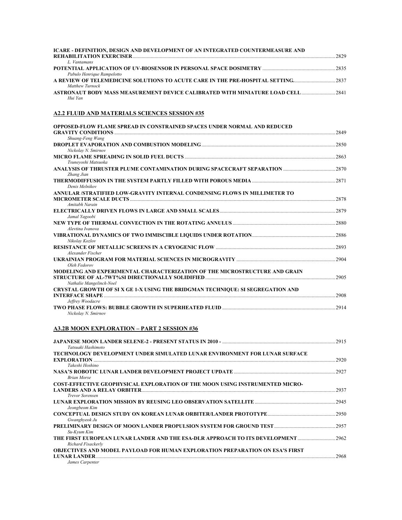| ICARE - DEFINITION, DESIGN AND DEVELOPMENT OF AN INTEGRATED COUNTERMEASURE AND   | 2829 |
|----------------------------------------------------------------------------------|------|
| L. Vantamans                                                                     |      |
|                                                                                  | 2835 |
| Pabulo Henrique Rampelotto                                                       |      |
| A REVIEW OF TELEMEDICINE SOLUTIONS TO ACUTE CARE IN THE PRE-HOSPITAL SETTING2837 |      |
| Matthew Turnock                                                                  |      |
| ASTRONAUT BODY MASS MEASUREMENT DEVICE CALIBRATED WITH MINIATURE LOAD CELL  2841 |      |
| Hui Yan                                                                          |      |

## **A2.2 FLUID AND MATERIALS SCIENCES SESSION #35**

| <b>OPPOSED-FLOW FLAME SPREAD IN CONSTRAINED SPACES UNDER NORMAL AND REDUCED</b>      | 2849  |
|--------------------------------------------------------------------------------------|-------|
| Shuang-Feng Wang                                                                     |       |
| Nickolay N. Smirnov                                                                  | .2850 |
|                                                                                      | .2863 |
| Tsuneyoshi Matsuoka                                                                  |       |
|                                                                                      | 2870  |
| Zhang Jian                                                                           | 2871  |
| Denis Melnikov                                                                       |       |
| ANNULAR /STRATIFIED LOW-GRAVITY INTERNAL CONDENSING FLOWS IN MILLIMETER TO           |       |
|                                                                                      | 2878  |
| Amitabh Narain                                                                       |       |
|                                                                                      | 2879  |
| Jamal Yagoobi                                                                        |       |
|                                                                                      | 2880  |
| Alevtina Ivanova                                                                     |       |
|                                                                                      | 2886  |
| Nikolay Kozlov                                                                       |       |
|                                                                                      | 2893  |
| Alexander Fischer                                                                    | 2904  |
| Oleh Fedorov                                                                         |       |
| MODELING AND EXPERIMENTAL CHARACTERIZATION OF THE MICROSTRUCTURE AND GRAIN           |       |
|                                                                                      | 2905  |
| Nathalie Mangelinck-Noel                                                             |       |
| <b>CRYSTAL GROWTH OF SIX GE 1-X USING THE BRIDGMAN TECHNIQUE: SI SEGREGATION AND</b> |       |
| <b>INTERFACE SHAPE</b>                                                               | 2908  |
| Jeffrey Woodacre                                                                     |       |
|                                                                                      | 2914  |
| Nickolay N. Smirnov                                                                  |       |

## **A3.2B MOON EXPLORATION – PART 2 SESSION #36**

| Tatsuaki Hashimoto                                                                   | 2915 |
|--------------------------------------------------------------------------------------|------|
| <b>TECHNOLOGY DEVELOPMENT UNDER SIMULATED LUNAR ENVIRONMENT FOR LUNAR SURFACE</b>    |      |
| <b>EXPLORATION</b>                                                                   | 2920 |
| Takeshi Hoshino                                                                      |      |
| <b>Brian Morse</b>                                                                   | 2927 |
| <b>COST-EFFECTIVE GEOPHYSICAL EXPLORATION OF THE MOON USING INSTRUMENTED MICRO-</b>  |      |
| <b>LANDERS AND A RELAY ORBITER.</b>                                                  | 2937 |
| <b>Trevor Sorensen</b>                                                               |      |
|                                                                                      | 2945 |
| Jeongbeom Kim                                                                        |      |
|                                                                                      | 2950 |
| Gwanghyeok Ju                                                                        |      |
|                                                                                      | 2957 |
| Su-Kyum Kim                                                                          |      |
| THE FIRST EUROPEAN LUNAR LANDER AND THE ESA-DLR APPROACH TO ITS DEVELOPMENT          | 2962 |
| Richard Fisackerly                                                                   |      |
| <b>OBJECTIVES AND MODEL PAYLOAD FOR HUMAN EXPLORATION PREPARATION ON ESA'S FIRST</b> |      |
| <b>LUNAR LANDER</b>                                                                  | 2968 |
| James Carpenter                                                                      |      |
|                                                                                      |      |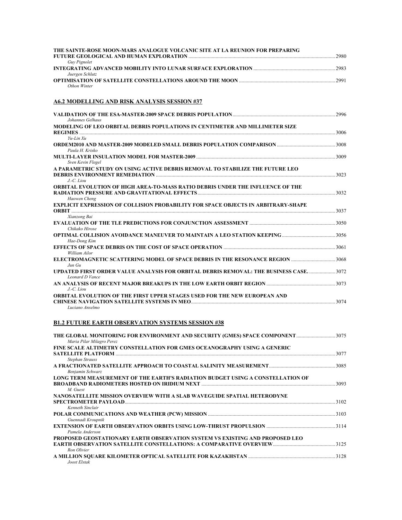| THE SAINTE-ROSE MOON-MARS ANALOGUE VOLCANIC SITE AT LA REUNION FOR PREPARING | 2980 |
|------------------------------------------------------------------------------|------|
| <b>Guy Pignolet</b>                                                          |      |
|                                                                              | 2983 |
| Juergen Schlutz                                                              |      |
|                                                                              | 2991 |
| Othon Winter                                                                 |      |

## **A6.2 MODELLING AND RISK ANALYSIS SESSION #37**

| Johannes Gelhaus                                                                                          |       |
|-----------------------------------------------------------------------------------------------------------|-------|
| MODELING OF LEO ORBITAL DEBRIS POPULATIONS IN CENTIMETER AND MILLIMETER SIZE                              |       |
| 3006                                                                                                      |       |
| $Yu-Lin Xu$                                                                                               |       |
| Paula H. Krisko                                                                                           |       |
| Sven Kevin Flegel                                                                                         |       |
| A PARAMETRIC STUDY ON USING ACTIVE DEBRIS REMOVAL TO STABILIZE THE FUTURE LEO<br>$J$ -C. Liou             | 3023  |
| ORBITAL EVOLUTION OF HIGH AREA-TO-MASS RATIO DEBRIS UNDER THE INFLUENCE OF THE                            | .3032 |
| Haowen Cheng<br><b>EXPLICIT EXPRESSION OF COLLISION PROBABILITY FOR SPACE OBJECTS IN ARBITRARY-SHAPE</b>  |       |
|                                                                                                           |       |
| Xianzong Bai                                                                                              |       |
| EVALUATION OF THE TLE PREDICTIONS FOR CONJUNCTION ASSESSMENT <b>EXAMPLE 2018</b> 3050<br>Chikako Hirose   |       |
| Hae-Dong Kim                                                                                              |       |
| William Ailor                                                                                             |       |
| ELECTROMAGNETIC SCATTERING MODEL OF SPACE DEBRIS IN THE RESONANCE REGION 3068<br>Jun Gu                   |       |
| UPDATED FIRST ORDER VALUE ANALYSIS FOR ORBITAL DEBRIS REMOVAL: THE BUSINESS CASE. 3072<br>Leonard D Vance |       |
| $J.-C.$ Liou                                                                                              |       |
| ORBITAL EVOLUTION OF THE FIRST UPPER STAGES USED FOR THE NEW EUROPEAN AND                                 | 3074  |
| Luciano Anselmo                                                                                           |       |

## **B1.2 FUTURE EARTH OBSERVATION SYSTEMS SESSION #38**

| THE GLOBAL MONITORING FOR ENVIRONMENT AND SECURITY (GMES) SPACE COMPONENT 3075                                                                                               |      |
|------------------------------------------------------------------------------------------------------------------------------------------------------------------------------|------|
| Maria Pilar Milagro Perez                                                                                                                                                    |      |
| FINE SCALE ALTIMETRY CONSTELLATION FOR GMES OCEANOGRAPHY USING A GENERIC                                                                                                     |      |
|                                                                                                                                                                              | 3077 |
| Stephan Strauss                                                                                                                                                              |      |
|                                                                                                                                                                              |      |
| Benjamin Schwarz                                                                                                                                                             |      |
| LONG TERM MEASUREMENT OF THE EARTH'S RADIATION BUDGET USING A CONSTELLATION OF                                                                                               |      |
|                                                                                                                                                                              | 3093 |
| M. Guest                                                                                                                                                                     |      |
| NANOSATELLITE MISSION OVERVIEW WITH A SLAB WAVEGUIDE SPATIAL HETERODYNE                                                                                                      |      |
|                                                                                                                                                                              | 3102 |
| <b>Kenneth Sinclair</b>                                                                                                                                                      |      |
|                                                                                                                                                                              |      |
| Guennadi Kroupnik                                                                                                                                                            |      |
|                                                                                                                                                                              |      |
| Pamela Anderson                                                                                                                                                              |      |
| PROPOSED GEOSTATIONARY EARTH OBSERVATION SYSTEM VS EXISTING AND PROPOSED LEO                                                                                                 |      |
| <b>EARTH OBSERVATION SATELLITE CONSTELLATIONS: A COMPARATIVE OVERVIEW [1978] [29] EARTH OBSERVATION SATELLITE CONSTELLATIONS: A COMPARATIVE OVERVIEW [1979] [29] [3] [3]</b> |      |
| Ron Olivier                                                                                                                                                                  |      |
|                                                                                                                                                                              |      |
| Joost Elstak                                                                                                                                                                 |      |
|                                                                                                                                                                              |      |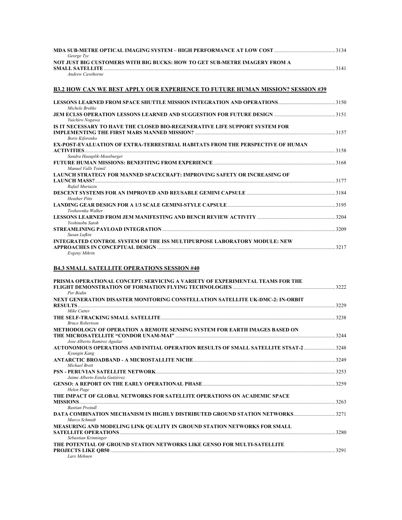|                                                                            | 3134 |
|----------------------------------------------------------------------------|------|
| George Tyc                                                                 |      |
| NOT JUST BIG CUSTOMERS WITH BIG BUCKS: HOW TO GET SUB-METRE IMAGERY FROM A |      |
| <b>SMALL SATELLITE</b>                                                     | 3141 |
| Andrew Cawthorne                                                           |      |

## **B3.2 HOW CAN WE BEST APPLY OUR EXPERIENCE TO FUTURE HUMAN MISSION? SESSION #39**

| Michele Brekke                                                                                   |      |
|--------------------------------------------------------------------------------------------------|------|
| Yuichiro Nogawa                                                                                  |      |
| IS IT NECESSARY TO HAVE THE CLOSED BIO-REGENERATIVE LIFE SUPPORT SYSTEM FOR<br>Boris Kiforenko   |      |
| <b>EX-POST-EVALUATION OF EXTRA-TERRESTRIAL HABITATS FROM THE PERSPECTIVE OF HUMAN</b>            |      |
| Sandra Haeuplik-Meusburger<br>Manuel Valls Toimil                                                |      |
| LAUNCH STRATEGY FOR MANNED SPACECRAFT: IMPROVING SAFETY OR INCREASING OF<br><b>LAUNCH MASS?</b>  |      |
| Rafail Murtazin<br><b>Heather Pitts</b>                                                          |      |
| Toshawnka Walker                                                                                 |      |
| Yoshinobu Satoh                                                                                  |      |
| Susan Lufkin                                                                                     | 3209 |
| <b>INTEGRATED CONTROL SYSTEM OF THE ISS MULTIPURPOSE LABORATORY MODULE: NEW</b><br>Evgeny Mikrin | 3217 |

## **B4.3 SMALL SATELLITE OPERATIONS SESSION #40**

| PRISMA OPERATIONAL CONCEPT: SERVICING A VARIETY OF EXPERIMENTAL TEAMS FOR THE                 | 3222  |
|-----------------------------------------------------------------------------------------------|-------|
| Per Bodin                                                                                     |       |
| NEXT GENERATION DISASTER MONITORING CONSTELLATION SATELLITE UK-DMC-2: IN-ORBIT                |       |
|                                                                                               | 3229  |
| Mike Cutter                                                                                   |       |
|                                                                                               |       |
| <b>Bruce Robertson</b>                                                                        |       |
| METHODOLOGY OF OPERATION A REMOTE SENSING SYSTEM FOR EARTH IMAGES BASED ON                    |       |
|                                                                                               | 3244  |
| Jose Alberto Ramirez Aguilar                                                                  |       |
| AUTONOMOUS OPERATIONS AND INITIAL OPERATION RESULTS OF SMALL SATELLITE STSAT-2 3248           |       |
| Kyungin Kang                                                                                  |       |
|                                                                                               |       |
| Michael Brett                                                                                 |       |
| PSN - PERUVIAN SATELLITE NETWORK 253<br>Jaime Alberto Estela Gutiérrez                        |       |
| Helen Page                                                                                    |       |
| THE IMPACT OF GLOBAL NETWORKS FOR SATELLITE OPERATIONS ON ACADEMIC SPACE                      |       |
|                                                                                               |       |
| <b>Bastian Preindl</b>                                                                        |       |
| DATA COMBINATION MECHANISM IN HIGHLY DISTRIBUTED GROUND STATION NETWORKS3271<br>Marco Schmidt |       |
| MEASURING AND MODELING LINK OUALITY IN GROUND STATION NETWORKS FOR SMALL                      |       |
|                                                                                               | .3280 |
| Sebastian Krinninger                                                                          |       |
| THE POTENTIAL OF GROUND STATION NETWORKS LIKE GENSO FOR MULTI-SATELLITE                       |       |
|                                                                                               | 3291  |
| Lars Mehnen                                                                                   |       |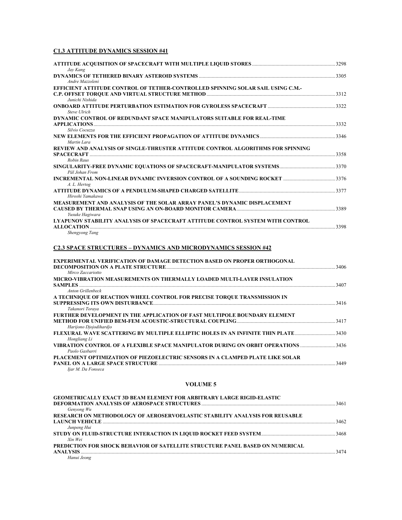## **C1.3 ATTITUDE DYNAMICS SESSION #41**

| Jay Kang                                                                                                               | 3298  |
|------------------------------------------------------------------------------------------------------------------------|-------|
| Andre Mazzoleni                                                                                                        | .3305 |
| EFFICIENT ATTITUDE CONTROL OF TETHER-CONTROLLED SPINNING SOLAR SAIL USING C.M.-                                        |       |
| Junichi Nishida                                                                                                        | 3312  |
| Steve Ulrich                                                                                                           |       |
| DYNAMIC CONTROL OF REDUNDANT SPACE MANIPULATORS SUITABLE FOR REAL-TIME                                                 | 3332  |
| Silvio Cocuzza                                                                                                         |       |
| Martin Lara<br>REVIEW AND ANALYSIS OF SINGLE-THRUSTER ATTITUDE CONTROL ALGORITHMS FOR SPINNING                         |       |
| Robin Raus                                                                                                             | 3358  |
| Pål Johan From                                                                                                         |       |
| A. L. Hertog                                                                                                           |       |
| Hiroshi Yamakawa                                                                                                       |       |
| MEASUREMENT AND ANALYSIS OF THE SOLAR ARRAY PANEL'S DYNAMIC DISPLACEMENT                                               |       |
| Yusuke Hagiwara<br>LYAPUNOV STABILITY ANALYSIS OF SPACECRAFT ATTITUDE CONTROL SYSTEM WITH CONTROL<br><b>ALLOCATION</b> | 3398  |
| Shengyong Tang                                                                                                         |       |

## **C2.3 SPACE STRUCTURES – DYNAMICS AND MICRODYNAMICS SESSION #42**

| <b>EXPERIMENTAL VERIFICATION OF DAMAGE DETECTION BASED ON PROPER ORTHOGONAL</b>              | 3406 |
|----------------------------------------------------------------------------------------------|------|
| Mirco Zaccariotto<br>MICRO-VIBRATION MEASUREMENTS ON THERMALLY LOADED MULTI-LAYER INSULATION |      |
| <b>SAMPLES</b>                                                                               | 3407 |
| Anton Grillenbeck                                                                            |      |
| A TECHNIQUE OF REACTION WHEEL CONTROL FOR PRECISE TORQUE TRANSMISSION IN                     |      |
|                                                                                              | 3416 |
| Takanori Torava                                                                              |      |
| FURTHER DEVELOPMENT IN THE APPLICATION OF FAST MULTIPOLE BOUNDARY ELEMENT                    |      |
|                                                                                              |      |
| Harijono Djojodihardjo                                                                       |      |
|                                                                                              |      |
| Hongliang Li                                                                                 |      |
| VIBRATION CONTROL OF A FLEXIBLE SPACE MANIPULATOR DURING ON ORBIT OPERATIONS 3436            |      |
| Paolo Gasbarri                                                                               |      |
| PLACEMENT OPTIMIZATION OF PIEZOELECTRIC SENSORS IN A CLAMPED PLATE LIKE SOLAR                |      |
|                                                                                              | 3449 |
| Iiar M. Da Fonseca                                                                           |      |

## **VOLUME 5**

| <b>GEOMETRICALLY EXACT 3D BEAM ELEMENT FOR ARBITRARY LARGE RIGID-ELASTIC</b>         |      |
|--------------------------------------------------------------------------------------|------|
|                                                                                      | 3461 |
| Genvong Wu                                                                           |      |
| RESEARCH ON METHODOLOGY OF AEROSERVOELASTIC STABILITY ANALYSIS FOR REUSABLE          |      |
|                                                                                      | 3462 |
| Junpeng Hui                                                                          |      |
|                                                                                      |      |
| Xin Wei                                                                              |      |
| <b>PREDICTION FOR SHOCK BEHAVIOR OF SATELLITE STRUCTURE PANEL BASED ON NUMERICAL</b> |      |
| <b>ANALYSIS</b>                                                                      | 3474 |
| Hanui Jeong                                                                          |      |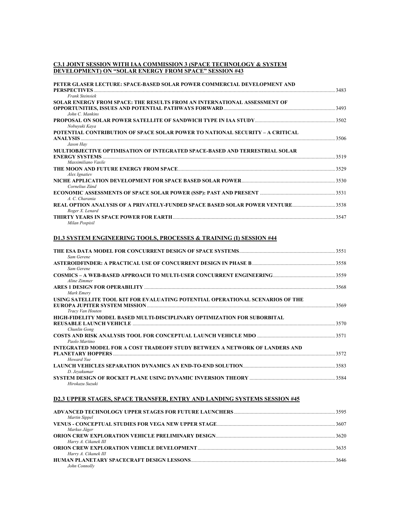#### **C3.1 JOINT SESSION WITH IAA COMMISSION 3 (SPACE TECHNOLOGY & SYSTEM DEVELOPMENT) ON "SOLAR ENERGY FROM SPACE" SESSION #43**

| PETER GLASER LECTURE: SPACE-BASED SOLAR POWER COMMERCIAL DEVELOPMENT AND             |      |
|--------------------------------------------------------------------------------------|------|
| <b>PERSPECTIVES</b>                                                                  | 3483 |
| <b>Frank Steinsiek</b>                                                               |      |
| SOLAR ENERGY FROM SPACE: THE RESULTS FROM AN INTERNATIONAL ASSESSMENT OF             |      |
|                                                                                      | 3493 |
| John C. Mankins                                                                      |      |
|                                                                                      | 3502 |
| Nobuvuki Kava                                                                        |      |
| <b>POTENTIAL CONTRIBUTION OF SPACE SOLAR POWER TO NATIONAL SECURITY – A CRITICAL</b> |      |
| <b>ANALYSIS</b>                                                                      | 3506 |
| Jason Hav                                                                            |      |
| MULTIOBJECTIVE OPTIMISATION OF INTEGRATED SPACE-BASED AND TERRESTRIAL SOLAR          |      |
| <b>ENERGY SYSTEMS</b>                                                                | 3519 |
| Massimiliano Vasile                                                                  |      |
|                                                                                      | 3529 |
| Alex Ignatiev                                                                        |      |
|                                                                                      | 3530 |
| Cornelius Zünd                                                                       |      |
|                                                                                      | 3531 |
| A. C. Charania                                                                       |      |
| REAL OPTION ANALYSIS OF A PRIVATELY-FUNDED SPACE BASED SOLAR POWER VENTURE           | 3538 |
| Roger X. Lenard                                                                      |      |
|                                                                                      | 3547 |
| Milan Pospisil                                                                       |      |

## **D1.3 SYSTEM ENGINEERING TOOLS, PROCESSES & TRAINING (I) SESSION #44**

| Sam Gerene                                                                                              | 3551 |
|---------------------------------------------------------------------------------------------------------|------|
| Sam Gerene                                                                                              |      |
| Aline Zimmer                                                                                            | 3559 |
|                                                                                                         | 3568 |
| Mark Emery<br>USING SATELLITE TOOL KIT FOR EVALUATING POTENTIAL OPERATIONAL SCENARIOS OF THE            | 3569 |
| Tracy Van Houten<br>HIGH-FIDELITY MODEL BASED MULTI-DISCIPLINARY OPTIMIZATION FOR SUBORBITAL            | 3570 |
| Chunlin Gong<br>Paolo Martino                                                                           | 3571 |
| INTEGRATED MODEL FOR A COST TRADEOFF STUDY BETWEEN A NETWORK OF LANDERS AND<br><b>PLANETARY HOPPERS</b> | 3572 |
| Howard Yue<br>D. Jevakumar                                                                              | 3583 |
| Hirokazu Suzuki                                                                                         | 3584 |

## **D2.3 UPPER STAGES, SPACE TRANSFER, ENTRY AND LANDING SYSTEMS SESSION #45**

| Martin Sippel        |      |
|----------------------|------|
|                      | 3607 |
| Markus Jäger         |      |
| Harry A. Cikanek III |      |
| Harry A. Cikanek III | 3635 |
|                      | 3646 |
| John Connolly        |      |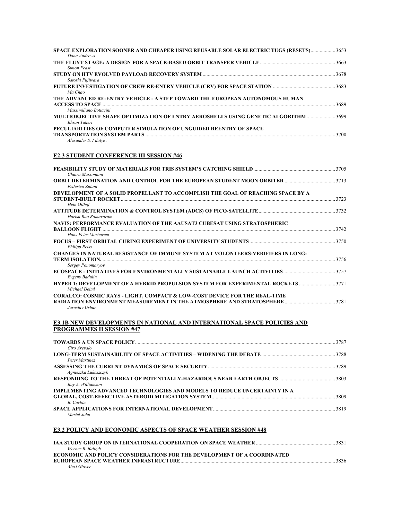| SPACE EXPLORATION SOONER AND CHEAPER USING REUSABLE SOLAR ELECTRIC TUGS (RESETS)3653<br>Dana Andrews                         |       |
|------------------------------------------------------------------------------------------------------------------------------|-------|
| <b>Simon Feast</b>                                                                                                           | .3663 |
| Satoshi Fujiwara                                                                                                             | .3678 |
| Ma Chao                                                                                                                      |       |
| THE ADVANCED RE-ENTRY VEHICLE - A STEP TOWARD THE EUROPEAN AUTONOMOUS HUMAN                                                  | 3689  |
| Massimiliano Bottacini<br>MULTIOBJECTIVE SHAPE OPTIMIZATION OF ENTRY AEROSHELLS USING GENETIC ALGORITHM 3699<br>Ehsan Taheri |       |
| PECULIARITIES OF COMPUTER SIMULATION OF UNGUIDED REENTRY OF SPACE<br>Alexander S. Filatyev                                   | 3700  |

## **E2.3 STUDENT CONFERENCE III SESSION #46**

|                                                                                         | 3705 |
|-----------------------------------------------------------------------------------------|------|
| Chiara Massimiani                                                                       |      |
|                                                                                         |      |
| Federico Zuiani                                                                         |      |
| DEVELOPMENT OF A SOLID PROPELLANT TO ACCOMPLISH THE GOAL OF REACHING SPACE BY A         |      |
|                                                                                         | 3723 |
| Hein Olthof                                                                             |      |
|                                                                                         |      |
| Harish Rao Ramayaram                                                                    |      |
| NAVIS: PERFORMANCE EVALUATION OF THE AAUSAT3 CUBESAT USING STRATOSPHERIC                |      |
|                                                                                         | 3742 |
| Hans Peter Mortensen                                                                    |      |
|                                                                                         |      |
| <b>Philipp Reiss</b>                                                                    |      |
| <b>CHANGES IN NATURAL RESISTANCE OF IMMUNE SYSTEM AT VOLONTEERS-VERIFIERS IN LONG-</b>  |      |
|                                                                                         | 3756 |
| Sergey Ponomaryov                                                                       |      |
|                                                                                         |      |
| Evgeny Badulin                                                                          |      |
| <b>HYPER 1: DEVELOPMENT OF A HYBRID PROPULSION SYSTEM FOR EXPERIMENTAL ROCKETS </b> 371 |      |
| Michael Deiml                                                                           |      |
| <b>CORALCO: COSMIC RAYS - LIGHT, COMPACT &amp; LOW-COST DEVICE FOR THE REAL-TIME</b>    |      |
|                                                                                         | 3781 |
| Jaroslav Urbar                                                                          |      |

#### **E3.1B NEW DEVELOPMENTS IN NATIONAL AND INTERNATIONAL SPACE POLICIES AND PROGRAMMES II SESSION #47**

|                                                                          | 3787 |
|--------------------------------------------------------------------------|------|
| Ciro Arevalo                                                             |      |
|                                                                          |      |
| Peter Martinez                                                           |      |
|                                                                          | 3789 |
| Agnieszka Lukaszczyk                                                     |      |
|                                                                          |      |
| Ray A. Williamson                                                        |      |
| IMPLEMENTING ADVANCED TECHNOLOGIES AND MODELS TO REDUCE UNCERTAINTY IN A |      |
|                                                                          | 3809 |
| B. Corbin                                                                |      |
|                                                                          |      |
| Mariel John                                                              |      |

## **E3.2 POLICY AND ECONOMIC ASPECTS OF SPACE WEATHER SESSION #48**

|                                                                         | 3831 |
|-------------------------------------------------------------------------|------|
| Werner R. Balogh                                                        |      |
| ECONOMIC AND POLICY CONSIDERATIONS FOR THE DEVELOPMENT OF A COORDINATED |      |
|                                                                         | 3836 |
| Alexi Glover                                                            |      |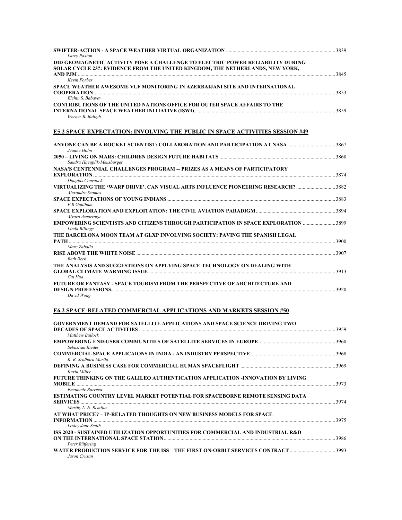| Larry Paxton                                                                                                                                                    |  |
|-----------------------------------------------------------------------------------------------------------------------------------------------------------------|--|
| DID GEOMAGNETIC ACTIVITY POSE A CHALLENGE TO ELECTRIC POWER RELIABILITY DURING<br>SOLAR CYCLE 23?: EVIDENCE FROM THE UNITED KINGDOM, THE NETHERLANDS, NEW YORK, |  |
| <b>Kevin Forbes</b>                                                                                                                                             |  |
| SPACE WEATHER AWESOME VLF MONITORING IN AZERBAIJANI SITE AND INTERNATIONAL<br>Elchin S. Babayev                                                                 |  |
| <b>CONTRIBUTIONS OF THE UNITED NATIONS OFFICE FOR OUTER SPACE AFFAIRS TO THE</b><br>Werner R. Balogh                                                            |  |
| <b>E5.2 SPACE EXPECTATION: INVOLVING THE PUBLIC IN SPACE ACTIVITIES SESSION #49</b>                                                                             |  |
| ANYONE CAN BE A ROCKET SCIENTIST: COLLABORATION AND PARTICIPATION AT NASA3867<br>Jeanne Holm                                                                    |  |
| Sandra Haeuplik-Meusburger                                                                                                                                      |  |
| NASA'S CENTENNIAL CHALLENGES PROGRAM -- PRIZES AS A MEANS OF PARTICIPATORY                                                                                      |  |
| Douglas Comstock<br>VIRTUALIZING THE 'WARP DRIVE'. CAN VISUAL ARTS INFLUENCE PIONEERING RESEARCH? 3882<br>Alexandre Szames                                      |  |
| P R Goutham                                                                                                                                                     |  |
| Alvaro Azcarraga                                                                                                                                                |  |
| <b>EMPOWERING SCIENTISTS AND CITIZENS THROUGH PARTICIPATION IN SPACE EXPLORATION 3899</b><br>Linda Billings                                                     |  |
| THE BARCELONA MOON TEAM AT GLXP INVOLVING SOCIETY: PAVING THE SPANISH LEGAL<br>Marc Zaballa                                                                     |  |
| <b>Beth Beck</b>                                                                                                                                                |  |
| THE ANALYSIS AND SUGGESTIONS ON APPLYING SPACE TECHNOLOGY ON DEALING WITH<br>GLOBAL CLIMATE WARMING ISSUE 2013<br>Cai Hua                                       |  |
| FUTURE OR FANTASY - SPACE TOURISM FROM THE PERSPECTIVE OF ARCHITECTURE AND<br>David Wong                                                                        |  |

## **E6.2 SPACE-RELATED COMMERCIAL APPLICATIONS AND MARKETS SESSION #50**

| <b>GOVERNMENT DEMAND FOR SATELLITE APPLICATIONS AND SPACE SCIENCE DRIVING TWO</b>   |      |
|-------------------------------------------------------------------------------------|------|
|                                                                                     | 3959 |
| <b>Matthew Bullock</b>                                                              |      |
| Sebastian Rieder                                                                    | 3960 |
| K. R. Sridhara Murthi                                                               | 3968 |
| Kevin Miller                                                                        |      |
| FUTURE THINKING ON THE GALILEO AUTHENTICATION APPLICATION -INNOVATION BY LIVING     |      |
| <b>MOBILE</b><br>Emanuele Barreca                                                   | 3973 |
| <b>ESTIMATING COUNTRY LEVEL MARKET POTENTIAL FOR SPACEBORNE REMOTE SENSING DATA</b> |      |
| <b>SERVICES</b><br>Murthy L. N. Remilla                                             | 3974 |
| AT WHAT PRICE? - IP-RELATED THOUGHTS ON NEW BUSINESS MODELS FOR SPACE               |      |
| <b>INFORMATION</b><br>Lesley Jane Smith                                             | 3975 |
| ISS 2020 - SUSTAINED UTILIZATION OPPORTUNITIES FOR COMMERCIAL AND INDUSTRIAL R&D    |      |
|                                                                                     | 3986 |
| Peter Bütfering                                                                     |      |
| WATER PRODUCTION SERVICE FOR THE ISS - THE FIRST ON-ORBIT SERVICES CONTRACT 3993    |      |
| Jason Crusan                                                                        |      |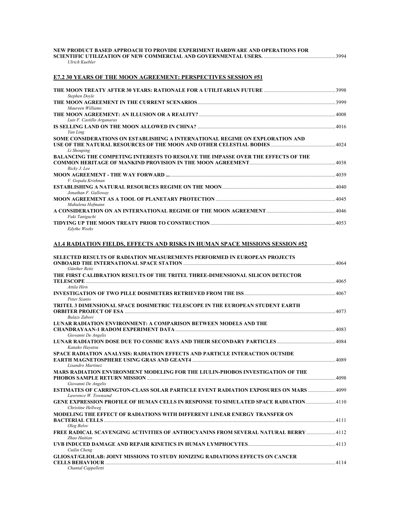|                |  | NEW PRODUCT BASED APPROACH TO PROVIDE EXPERIMENT HARDWARE AND OPERATIONS FOR ' |      |
|----------------|--|--------------------------------------------------------------------------------|------|
|                |  |                                                                                | 3994 |
| Ulrich Kuebler |  |                                                                                |      |

## **E7.2 30 YEARS OF THE MOON AGREEMENT: PERSPECTIVES SESSION #51**

| Stephen Dovle                                                                                           |      |
|---------------------------------------------------------------------------------------------------------|------|
| Maureen Williams                                                                                        |      |
| Luis F. Castillo Arganaras                                                                              |      |
| Yan Ling                                                                                                |      |
| SOME CONSIDERATIONS ON ESTABLISHING A INTERNATIONAL REGIME ON EXPLORATION AND<br>Li Shouping            |      |
| <b>BALANCING THE COMPETING INTERESTS TO RESOLVE THE IMPASSE OVER THE EFFECTS OF THE</b><br>Ricky J. Lee |      |
| V. Gopala Krishnan                                                                                      |      |
| Jonathan F. Galloway                                                                                    | 4040 |
| Mahulena Hofmann                                                                                        |      |
| Fuki Taniguchi                                                                                          |      |
| <b>Edythe Weeks</b>                                                                                     |      |

## **A1.4 RADIATION FIELDS, EFFECTS AND RISKS IN HUMAN SPACE MISSIONS SESSION #52**

| <b>SELECTED RESULTS OF RADIATION MEASUREMENTS PERFORMED IN EUROPEAN PROJECTS</b>                    | 4064 |
|-----------------------------------------------------------------------------------------------------|------|
| Günther Reitz                                                                                       |      |
| THE FIRST CALIBRATION RESULTS OF THE TRITEL THREE-DIMENSIONAL SILICON DETECTOR                      |      |
|                                                                                                     |      |
| Attila Hirn                                                                                         |      |
|                                                                                                     |      |
| Peter Szanto                                                                                        |      |
| TRITEL 3 DIMENSIONAL SPACE DOSIMETRIC TELESCOPE IN THE EUROPEAN STUDENT EARTH                       |      |
| <b>ORBITER PROJECT OF ESA</b>                                                                       |      |
| <b>Balazs Zabori</b>                                                                                |      |
| LUNAR RADIATION ENVIRONMENT: A COMPARISON BETWEEN MODELS AND THE                                    |      |
|                                                                                                     |      |
| Giovanni De Angelis                                                                                 |      |
| Kanako Havatsu                                                                                      |      |
| SPACE RADIATION ANALYSIS: RADIATION EFFECTS AND PARTICLE INTERACTION OUTSIDE                        |      |
|                                                                                                     |      |
| Lisandro Martinez                                                                                   |      |
| MARS RADIATION ENVIRONMENT MODELING FOR THE LIULIN-PHOBOS INVESTIGATION OF THE                      |      |
| <b>PHOBOS SAMPLE RETURN MISSION</b>                                                                 |      |
| Giovanni De Angelis                                                                                 |      |
| ESTIMATES OF CARRINGTON-CLASS SOLAR PARTICLE EVENT RADIATION EXPOSURES ON MARS  4099                |      |
| Lawrence W. Townsend                                                                                |      |
| <b>GENE EXPRESSION PROFILE OF HUMAN CELLS IN RESPONSE TO SIMULATED SPACE RADIATION4110</b>          |      |
| Christine Hellweg                                                                                   |      |
| MODELING THE EFFECT OF RADIATIONS WITH DIFFERENT LINEAR ENERGY TRANSFER ON                          |      |
|                                                                                                     |      |
| Oleg Belov                                                                                          |      |
| FREE RADICAL SCAVENGING ACTIVITIES OF ANTHOCYANINS FROM SEVERAL NATURAL BERRY  4112<br>Zhao Haitian |      |
|                                                                                                     |      |
| Cuilin Cheng                                                                                        |      |
| <b>GLIOSAT/GLIOLAB: JOINT MISSIONS TO STUDY IONIZING RADIATIONS EFFECTS ON CANCER</b>               |      |
| <b>CELLS BEHAVIOUR</b>                                                                              |      |
| Chantal Cappelletti                                                                                 |      |
|                                                                                                     |      |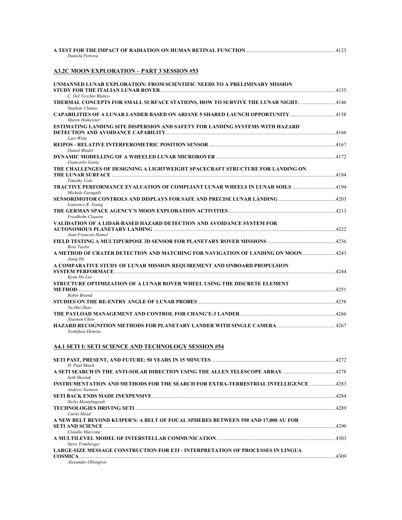| Daniela Petrova                                                                                     |  |
|-----------------------------------------------------------------------------------------------------|--|
| A3.2C MOON EXPLORATION - PART 3 SESSION #53                                                         |  |
| UNMANNED LUNAR EXPLORATION: FROM SCIENTIFIC NEEDS TO A PRELIMINARY MISSION                          |  |
| C. Del Vecchio Blanco                                                                               |  |
| THERMAL CONCEPTS FOR SMALL SURFACE STATIONS, HOW TO SURVIVE THE LUNAR NIGHT. 4146<br>Stephan Ulamec |  |
| CAPABILITIES OF A LUNAR LANDER BASED ON ARIANE 5 SHARED LAUNCH OPPORTUNITY 4158                     |  |
| Maren Homeister                                                                                     |  |
| ESTIMATING LANDING SITE DISPERSION AND SAFETY FOR LANDING SYSTEMS WITH HAZARD                       |  |
| Lars Witte                                                                                          |  |
| Daniel Bindel                                                                                       |  |
|                                                                                                     |  |
| Giancarlo Genta                                                                                     |  |
| THE CHALLENGES OF DESIGNING A LIGHTWEIGHT SPACECRAFT STRUCTURE FOR LANDING ON                       |  |
| Timothy Cole                                                                                        |  |
| Michele Faragalli                                                                                   |  |
|                                                                                                     |  |
| Laurence R. Young                                                                                   |  |
| Friedhelm Claasen                                                                                   |  |
| VALIDATION OF A LIDAR-BASED HAZARD DETECTION AND AVOIDANCE SYSTEM FOR                               |  |
| Jean-Francois Hamel                                                                                 |  |
|                                                                                                     |  |
| Ross Taylor<br>A METHOD OF CRATER DETECTION AND MATCHING FOR NAVIGATION OF LANDING ON MOON  4243    |  |
| Jiang He                                                                                            |  |
| A COMPARATIVE STUDY OF LUNAR MISSION REOUIREMENT AND ONBOARD PROPULSION                             |  |
| Kyun Ho Lee                                                                                         |  |
| STRUCTURE OPTIMIZATION OF A LUNAR ROVER WHEEL USING THE DISCRETE ELEMENT                            |  |
| Robin Briend                                                                                        |  |
|                                                                                                     |  |
| Yu-Hui Zhao                                                                                         |  |
| Xiaomin Chen                                                                                        |  |
| Yoshifusa Demizu                                                                                    |  |

## **A4.1 SETI I: SETI SCIENCE AND TECHNOLOGY SESSION #54**

| H. Paul Shuch                                                                                                            |      |
|--------------------------------------------------------------------------------------------------------------------------|------|
|                                                                                                                          |      |
| Seth Shostak                                                                                                             |      |
| <b>Andrew Siemion</b>                                                                                                    |      |
|                                                                                                                          |      |
| Stelio Montebugnoli<br>Curtis Mead                                                                                       |      |
| A NEW BELT BEYOND KUIPER'S: A BELT OF FOCAL SPHERES BETWEEN 550 AND 17.000 AU FOR                                        |      |
| Claudio Maccone<br>Steve Trimberger                                                                                      | 4303 |
| LARGE-SIZE MESSAGE CONSTRUCTION FOR ETI - INTERPRETATION OF PROCESSES IN LINGUA<br><b>COSMICA</b><br>Alexander Ollongren | 4309 |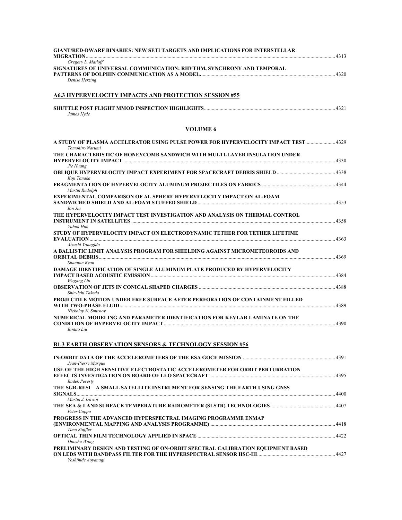| <b>GIANT/RED-DWARF BINARIES: NEW SETI TARGETS AND IMPLICATIONS FOR INTERSTELLAR</b>              |  |
|--------------------------------------------------------------------------------------------------|--|
| Gregory L. Matloff                                                                               |  |
| SIGNATURES OF UNIVERSAL COMMUNICATION: RHYTHM, SYNCHRONY AND TEMPORAL                            |  |
|                                                                                                  |  |
| Denise Herzing                                                                                   |  |
| <b>A6.3 HYPERVELOCITY IMPACTS AND PROTECTION SESSION #55</b>                                     |  |
| James Hyde                                                                                       |  |
| <b>VOLUME 6</b>                                                                                  |  |
| A STUDY OF PLASMA ACCELERATOR USING PULSE POWER FOR HYPERVELOCITY IMPACT TEST 4329               |  |
| Tomohiro Narumi                                                                                  |  |
| THE CHARACTERISTIC OF HONEYCOMB SANDWICH WITH MULTI-LAYER INSULATION UNDER                       |  |
| Jie Huang                                                                                        |  |
| Koji Tanaka                                                                                      |  |
| Martin Rudolph                                                                                   |  |
| <b>EXPERIMENTAL COMPARISON OF AL SPHERE HYPERVELOCITY IMPACT ON AL-FOAM</b>                      |  |
|                                                                                                  |  |
| Bin Jia<br>THE HYPERVELOCITY IMPACT TEST INVESTIGATION AND ANALYSIS ON THERMAL CONTROL           |  |
|                                                                                                  |  |
| Yuhua Huo                                                                                        |  |
| STUDY OF HYPERVELOCITY IMPACT ON ELECTRODYNAMIC TETHER FOR TETHER LIFETIME                       |  |
| Atsushi Yanagida                                                                                 |  |
| A BALLISTIC LIMIT ANALYSIS PROGRAM FOR SHIELDING AGAINST MICROMETEOROIDS AND                     |  |
|                                                                                                  |  |
| Shannon Ryan<br><b>DAMAGE IDENTIFICATION OF SINGLE ALUMINUM PLATE PRODUCED BY HYPERVELOCITY</b>  |  |
|                                                                                                  |  |
| <b>Wugang Liu</b>                                                                                |  |
|                                                                                                  |  |
| Shin-Ichi Takeda<br>PROJECTILE MOTION UNDER FREE SURFACE AFTER PERFORATION OF CONTAINMENT FILLED |  |
|                                                                                                  |  |
| Nickolay N. Smirnov                                                                              |  |
| NUMERICAL MODELING AND PARAMETER IDENTIFICATION FOR KEVLAR LAMINATE ON THE                       |  |
| Bintao Liu                                                                                       |  |
| <b>B1.3 EARTH OBSERVATION SENSORS &amp; TECHNOLOGY SESSION #56</b>                               |  |
|                                                                                                  |  |
| Jean-Pierre Marque                                                                               |  |
| USE OF THE HIGH SENSITIVE ELECTROSTATIC ACCELEROMETER FOR ORBIT PERTURBATION                     |  |

| Peter Coppo                                                                     |      |
|---------------------------------------------------------------------------------|------|
| PROGRESS IN THE ADVANCED HYPERSPECTRAL IMAGING PROGRAMME ENMAP                  |      |
|                                                                                 |      |
| Timo Stuffler                                                                   |      |
|                                                                                 | 4422 |
| Duoshu Wang                                                                     |      |
| PRELIMINARY DESIGN AND TESTING OF ON-ORBIT SPECTRAL CALIBRATION EQUIPMENT BASED |      |
|                                                                                 |      |
| Yoshihide Aoyanagi                                                              |      |

**EFFECTS INVESTIGATION ON BOARD OF LEO SPACECRAFT** .................................................................................................4395

**SIGNALS**.......................................................................................................................................................................................................4400

**THE SGR-RESI – A SMALL SATELLITE INSTRUMENT FOR SENSING THE EARTH USING GNSS** 

*Radek Peresty* 

*Martin J. Unwin*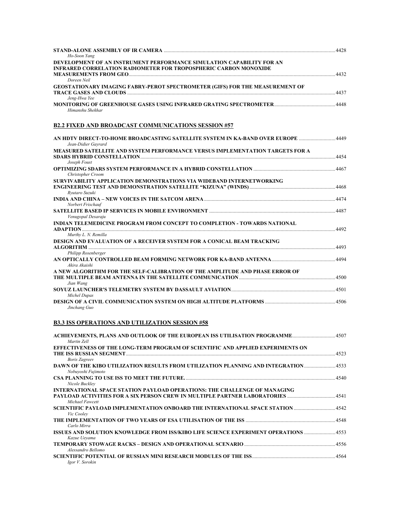|                                                                                     | 4428 |
|-------------------------------------------------------------------------------------|------|
| Ho-Soon Yang                                                                        |      |
| DEVELOPMENT OF AN INSTRUMENT PERFORMANCE SIMULATION CAPABILITY FOR AN               |      |
| INFRARED CORRELATION RADIOMETER FOR TROPOSPHERIC CARBON MONOXIDE                    |      |
|                                                                                     | 4432 |
| Doreen Neil                                                                         |      |
| <b>GEOSTATIONARY IMAGING FABRY-PEROT SPECTROMETER (GIFS) FOR THE MEASUREMENT OF</b> |      |
|                                                                                     | 4437 |
| Jeng-Hwa Yee                                                                        |      |
|                                                                                     |      |
| Himanshu Shekhar                                                                    |      |

## **B2.2 FIXED AND BROADCAST COMMUNICATIONS SESSION #57**

| AN HDTV DIRECT-TO-HOME BROADCASTING SATELLITE SYSTEM IN KA-BAND OVER EUROPE<br>Jean-Didier Gayrard | 4449  |
|----------------------------------------------------------------------------------------------------|-------|
| MEASURED SATELLITE AND SYSTEM PERFORMANCE VERSUS IMPLEMENTATION TARGETS FOR A                      | 4454  |
| Joseph Foust                                                                                       |       |
| Christopher Croom                                                                                  |       |
| SURVIVABILITY APPLICATION DEMONSTRATIONS VIA WIDEBAND INTERNETWORKING                              |       |
| Rvutaro Suzuki                                                                                     | 4468  |
| INDIA AND CHINA – NEW VOICES IN THE SATCOM ARENA ……………………………………………………………………………………                  | 4474  |
| Norbert Frischauf                                                                                  |       |
| Venugopal Desaraju                                                                                 |       |
| <b>INDIAN TELEMEDICINE PROGRAM FROM CONCEPT TO COMPLETION - TOWARDS NATIONAL</b>                   |       |
|                                                                                                    | 4492  |
| Murthy L. N. Remilla                                                                               |       |
| <b>DESIGN AND EVALUATION OF A RECEIVER SYSTEM FOR A CONICAL BEAM TRACKING</b>                      |       |
| <b>Philipp Rosenberger</b>                                                                         | 4493  |
| Akira Akaishi                                                                                      | .4494 |
| A NEW ALGORITHM FOR THE SELF-CALIBRATION OF THE AMPLITUDE AND PHASE ERROR OF                       |       |
| Jian Wang                                                                                          | 4500  |
| Michel Dupas                                                                                       | 4501  |
| Jinchang Guo                                                                                       | 4506  |

## **B3.3 ISS OPERATIONS AND UTILIZATION SESSION #58**

| Martin Zell                                                                                               |       |
|-----------------------------------------------------------------------------------------------------------|-------|
| EFFECTIVENESS OF THE LONG-TERM PROGRAM OF SCIENTIFIC AND APPLIED EXPERIMENTS ON                           |       |
| <b>Boris Zagreev</b>                                                                                      | 4523  |
| DAWN OF THE KIBO UTILIZATION RESULTS FROM UTILIZATION PLANNING AND INTEGRATION 4533<br>Nobuvoshi Fujimoto |       |
| Nicole Buckley                                                                                            |       |
| INTERNATIONAL SPACE STATION PAYLOAD OPERATIONS: THE CHALLENGE OF MANAGING                                 |       |
| PAYLOAD ACTIVITIES FOR A SIX PERSON CREW IN MULTIPLE PARTNER LABORATORIES<br>Michael Fawcett              | 4541  |
| <b>SCIENTIFIC PAYLOAD IMPLEMENTATION ONBOARD THE INTERNATIONAL SPACE STATION 4542</b><br>Vic Coolev       |       |
| Carlo Mirra                                                                                               |       |
| <b>ISSUES AND SOLUTION KNOWLEDGE FROM ISS/KIBO LIFE SCIENCE EXPERIMENT OPERATIONS </b><br>Kazue Uevama    | 4553  |
| Alessandro Bellomo                                                                                        | .4556 |
| Igor V. Sorokin                                                                                           | 4564  |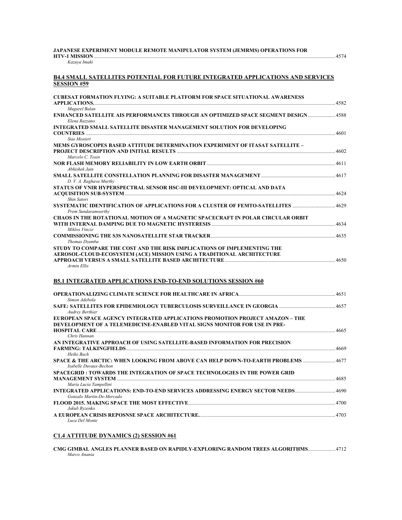#### **JAPANESE EXPERIMENT MODULE REMOTE MANIPULATOR SYSTEM (JEMRMS) OPERATIONS FOR HTV-1 MISSION**..........................................................................................................................................................................................4574

*Kazuya Imaki* 

#### **B4.4 SMALL SATELLITES POTENTIAL FOR FUTURE INTEGRATED APPLICATIONS AND SERVICES SESSION #59**

| <b>CUBESAT FORMATION FLYING: A SUITABLE PLATFORM FOR SPACE SITUATIONAL AWARENESS</b>                                                                      |  |
|-----------------------------------------------------------------------------------------------------------------------------------------------------------|--|
|                                                                                                                                                           |  |
| Mugurel Balan<br>ENHANCED SATELLITE AIS PERFORMANCES THROUGH AN OPTIMIZED SPACE SEGMENT DESIGN4588                                                        |  |
| Elena Razzano                                                                                                                                             |  |
| <b>INTEGRATED SMALL SATELLITE DISASTER MANAGEMENT SOLUTION FOR DEVELOPING</b>                                                                             |  |
|                                                                                                                                                           |  |
| <b>Sias Mostert</b><br><b>MEMS GYROSCOPES BASED ATTITUDE DETERMINATION EXPERIMENT OF ITASAT SATELLITE -</b>                                               |  |
|                                                                                                                                                           |  |
| Marcelo C. Tosin                                                                                                                                          |  |
| Abhishek Jain                                                                                                                                             |  |
| D. V. A. Raghava Murthy                                                                                                                                   |  |
| STATUS OF VNIR HYPERSPECTRAL SENSOR HSC-III DEVELOPMENT: OPTICAL AND DATA                                                                                 |  |
| Shin Satori                                                                                                                                               |  |
| SYSTEMATIC IDENTIFICATION OF APPLICATIONS FOR A CLUSTER OF FEMTO-SATELLITES 4629                                                                          |  |
| Prem Sundaramoorthy                                                                                                                                       |  |
| <b>CHAOS IN THE ROTATIONAL MOTION OF A MAGNETIC SPACECRAFT IN POLAR CIRCULAR ORBIT</b>                                                                    |  |
| Miklos Vincze                                                                                                                                             |  |
|                                                                                                                                                           |  |
| Thomas Dzamba                                                                                                                                             |  |
| STUDY TO COMPARE THE COST AND THE RISK IMPLICATIONS OF IMPLEMENTING THE                                                                                   |  |
| AEROSOL-CLOUD-ECOSYSTEM (ACE) MISSION USING A TRADITIONAL ARCHITECTURE<br>Armin Ellis                                                                     |  |
| <b>B5.1 INTEGRATED APPLICATIONS END-TO-END SOLUTIONS SESSION #60</b>                                                                                      |  |
| Simon Adebola                                                                                                                                             |  |
|                                                                                                                                                           |  |
| <b>Audrey Berthier</b>                                                                                                                                    |  |
| EUROPEAN SPACE AGENCY INTEGRATED APPLICATIONS PROMOTION PROJECT AMAZON – THE<br>DEVELOPMENT OF A TELEMEDICINE-ENABLED VITAL SIGNS MONITOR FOR USE IN PRE- |  |
|                                                                                                                                                           |  |
| Chris Hannan                                                                                                                                              |  |
| AN INTEGRATIVE APPROACH OF USING SATELLITE-BASED INFORMATION FOR PRECISION                                                                                |  |
| Heike Bach                                                                                                                                                |  |
| SPACE & THE ARCTIC: WHEN LOOKING FROM ABOVE CAN HELP DOWN-TO-EARTH PROBLEMS  4677                                                                         |  |
| Isabelle Duvaux-Bechon                                                                                                                                    |  |
| <b>SPACEGRID: TOWARDS THE INTEGRATION OF SPACE TECHNOLOGIES IN THE POWER GRID</b>                                                                         |  |
| Maria Lucia Tampellini                                                                                                                                    |  |
| 1690 INTEGRATED APPLICATIONS: END-TO-END SERVICES ADDRESSING ENERGY SECTOR NEEDS4690                                                                      |  |
| Gonzalo Martin-De-Mercado                                                                                                                                 |  |
|                                                                                                                                                           |  |
| Jakub Ryzenko                                                                                                                                             |  |
|                                                                                                                                                           |  |

*Luca Del Monte* 

## **C1.4 ATTITUDE DYNAMICS (2) SESSION #61**

**CMG GIMBAL ANGLES PLANNER BASED ON RAPIDLY-EXPLORING RANDOM TREES ALGORITHMS**.....................4712 *Marco Anania*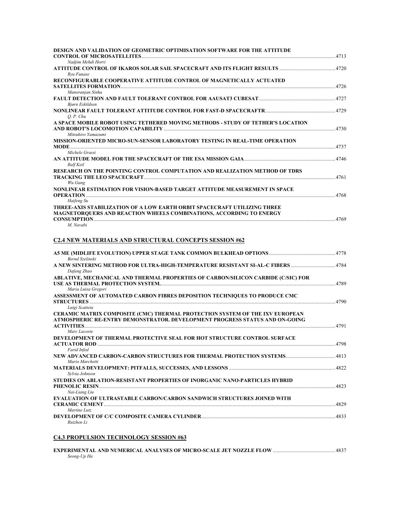| DESIGN AND VALIDATION OF GEOMETRIC OPTIMISATION SOFTWARE FOR THE ATTITUDE<br>Nadjim Mehdi Horri                                                                               |  |
|-------------------------------------------------------------------------------------------------------------------------------------------------------------------------------|--|
| Ryu Funase                                                                                                                                                                    |  |
| RECONFIGURABLE COOPERATIVE ATTITUDE CONTROL OF MAGNETICALLY ACTUATED                                                                                                          |  |
| Manoranjan Sinha<br>Bjørn Eskildsen                                                                                                                                           |  |
| O. P. Chu                                                                                                                                                                     |  |
| A SPACE MOBILE ROBOT USING TETHERED MOVING METHODS - STUDY OF TETHER'S LOCATION<br>Mitsuhiro Yamazumi                                                                         |  |
| MISSION-ORIENTED MICRO-SUN-SENSOR LABORATORY TESTING IN REAL-TIME OPERATION                                                                                                   |  |
| Michele Grassi                                                                                                                                                                |  |
| Ralf Keil<br>RESEARCH ON THE POINTING CONTROL COMPUTATION AND REALIZATION METHOD OF TDRS                                                                                      |  |
| Wu Gang<br>NONLINEAR ESTIMATION FOR VISION-BASED TARGET ATTITUDE MEASUREMENT IN SPACE                                                                                         |  |
| Haifeng Su<br>THREE-AXIS STABILIZATION OF A LOW EARTH ORBIT SPACECRAFT UTILIZING THREE<br>MAGNETOROUERS AND REACTION WHEELS COMBINATIONS, ACCORDING TO ENERGY                 |  |
| <b>C2.4 NEW MATERIALS AND STRUCTURAL CONCEPTS SESSION #62</b><br>A5 ME (MIDLIFE EVOLUTION) UPPER STAGE TANK COMMON BULKHEAD OPTIONS ……………………………………………4778                     |  |
| Bernd Szelinski                                                                                                                                                               |  |
| Dafang Zhao                                                                                                                                                                   |  |
| ABLATIVE, MECHANICAL AND THERMAL PROPERTIES OF CARBON/SILICON CARBIDE (C/SIC) FOR                                                                                             |  |
| Maria Luisa Gregori<br>ASSESSMENT OF AUTOMATED CARBON FIBRES DEPOSITION TECHNIQUES TO PRODUCE CMC                                                                             |  |
| Luigi Scatteia<br>CERAMIC MATRIX COMPOSITE (CMC) THERMAL PROTECTION SYSTEM OF THE IXV EUROPEAN<br>ATMOSPHERIC RE-ENTRY DEMONSTRATOR. DEVELOPMENT PROGRESS STATUS AND ON-GOING |  |
| Marc Lacoste<br>DEVELOPMENT OF THERMAL PROTECTIVE SEAL FOR HOT STRUCTURE CONTROL SURFACE<br>Farid Infed                                                                       |  |
| Mario Marchetti                                                                                                                                                               |  |
| Sylvia Johnson                                                                                                                                                                |  |
| STUDIES ON ABLATION-RESISTANT PROPERTIES OF INORGANIC NANO-PARTICLES HYBRID                                                                                                   |  |
| Nai-Liang Liu<br>EVALUATION OF ULTRASTABLE CARBON/CARBON SANDWICH STRUCTURES JOINED WITH                                                                                      |  |
| Martine Lutz                                                                                                                                                                  |  |
| Ruizhen Li                                                                                                                                                                    |  |

## **C4.3 PROPULSION TECHNOLOGY SESSION #63**

|             | <b>EXPERIMENTAL AND NUMERICAL ANALYSES OF MICRO-SCALE JET NOZZLE FLOW</b> | .4837 |
|-------------|---------------------------------------------------------------------------|-------|
| Seong-Up Ha |                                                                           |       |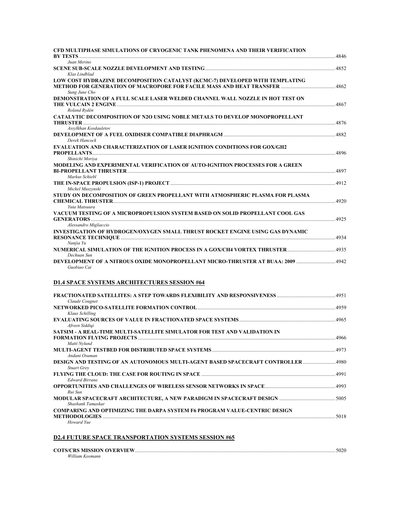| CFD MULTIPHASE SIMULATIONS OF CRYOGENIC TANK PHENOMENA AND THEIR VERIFICATION                                           |  |
|-------------------------------------------------------------------------------------------------------------------------|--|
| Juan Merino                                                                                                             |  |
| Klas Lindblad<br>LOW COST HYDRAZINE DECOMPOSITION CATALYST (KCMC-7) DEVELOPED WITH TEMPLATING<br>Sung June Cho          |  |
| DEMONSTRATION OF A FULL SCALE LASER WELDED CHANNEL WALL NOZZLE IN HOT TEST ON<br>Roland Rydén                           |  |
| <b>CATALYTIC DECOMPOSITION OF N2O USING NOBLE METALS TO DEVELOP MONOPROPELLANT</b>                                      |  |
| Assylkhan Kosdauletov<br>Derek Hancock                                                                                  |  |
| <b>EVALUATION AND CHARACTERIZATION OF LASER IGNITION CONDITIONS FOR GOX/GH2</b>                                         |  |
| Shinichi Moriva<br>MODELING AND EXPERIMENTAL VERIFICATION OF AUTO-IGNITION PROCESSES FOR A GREEN                        |  |
| Markus Schiebl<br>Michel Muszynski                                                                                      |  |
| STUDY ON DECOMPOSITION OF GREEN PROPELLANT WITH ATMOSPHERIC PLASMA FOR PLASMA                                           |  |
| Yuta Matsuura<br>VACUUM TESTING OF A MICROPROPULSION SYSTEM BASED ON SOLID PROPELLANT COOL GAS<br>Alessandro Migliaccio |  |
| <b>INVESTIGATION OF HYDROGEN/OXYGEN SMALL THRUST ROCKET ENGINE USING GAS DYNAMIC</b>                                    |  |
| Nanjia Yu<br>Dechuan Sun                                                                                                |  |
| Guobiao Cai                                                                                                             |  |
| <b>D1.4 SPACE SYSTEMS ARCHITECTURES SESSION #64</b>                                                                     |  |
| Claude Cougnet                                                                                                          |  |
| NETWORKED PICO-SATELLITE FORMATION CONTROL <b>CONTROL CONTROL</b> 20059<br>Klaus Schilling                              |  |
| Afreen Siddiqi                                                                                                          |  |
| SATSIM - A REAL-TIME MULTI-SATELLITE SIMULATOR FOR TEST AND VALIDATION IN<br>Matti Nylund                               |  |
| Andani Osuman                                                                                                           |  |
| 1980 DESIGN AND TESTING OF AN AUTONOMOUS MULTI-AGENT BASED SPACECRAFT CONTROLLER<br><b>Stuart Grey</b>                  |  |
| <b>Edward Birrane</b>                                                                                                   |  |
| Rui Sun                                                                                                                 |  |
|                                                                                                                         |  |

**METHODOLOGIES** ...................................................................................................................................................................................5018 *Howard Yue* 

*Shashank Tamaskar* 

## **D2.4 FUTURE SPACE TRANSPORTATION SYSTEMS SESSION #65**

**COMPARING AND OPTIMIZING THE DARPA SYSTEM F6 PROGRAM VALUE-CENTRIC DESIGN** 

| COTS/CRS MISSION OVERVIEW. | 5020 |
|----------------------------|------|
| William Kosmann            |      |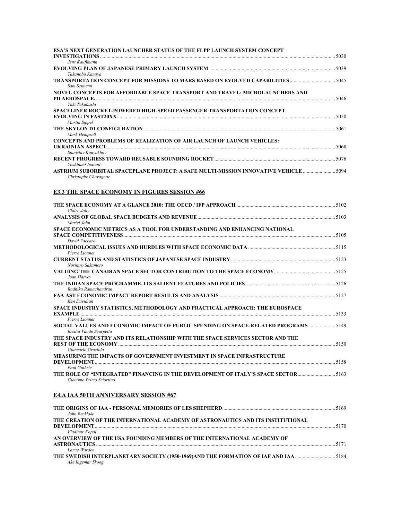| <b>ESA'S NEXT GENERATION LAUNCHER STATUS OF THE FLPP LAUNCH SYSTEM CONCEPT</b><br>Jens Kauffmann                             |  |
|------------------------------------------------------------------------------------------------------------------------------|--|
| Takanobu Kamiya                                                                                                              |  |
| TRANSPORTATION CONCEPT FOR MISSIONS TO MARS BASED ON EVOLVED CAPABILITIES 5045<br>Sam Scimemi                                |  |
| NOVEL CONCEPTS FOR AFFORDABLE SPACE TRANSPORT AND TRAVEL: MICROLAUNCHERS AND<br>Yuki Takahashi                               |  |
| SPACELINER ROCKET-POWERED HIGH-SPEED PASSENGER TRANSPORTATION CONCEPT<br><b>Martin Sippel</b>                                |  |
| Mark Hempsell                                                                                                                |  |
| <b>CONCEPTS AND PROBLEMS OF REALIZATION OF AIR LAUNCH OF LAUNCH VEHICLES:</b><br>Stanislav Konvukhov                         |  |
| Yoshifumi Inatani                                                                                                            |  |
| ASTRIUM SUBORBITAL SPACEPLANE PROJECT: A SAFE MULTI-MISSION INNOVATIVE VEHICLE 5094<br>Christophe Chavagnac                  |  |
| <b>E3.3 THE SPACE ECONOMY IN FIGURES SESSION #66</b>                                                                         |  |
| Claire Jolly                                                                                                                 |  |
| Mariel John                                                                                                                  |  |
| SPACE ECONOMIC METRICS AS A TOOL FOR UNDERSTANDING AND ENHANCING NATIONAL                                                    |  |
| David Vaccaro<br>Pierre Lionnet                                                                                              |  |
| Norihiro Sakamoto                                                                                                            |  |
| Joan Harvey                                                                                                                  |  |
| Radhika Ramachandran                                                                                                         |  |
| Ken Davidian                                                                                                                 |  |
| SPACE INDUSTRY STATISTICS, METHODOLOGY AND PRACTICAL APPROACH: THE EUROSPACE<br>Pierre Lionnet                               |  |
| SOCIAL VALUES AND ECONOMIC IMPACT OF PUBLIC SPENDING ON SPACE-RELATED PROGRAMS5149<br>Ersilia Vaudo Scarpetta                |  |
| THE SPACE INDUSTRY AND ITS RELATIONSHIP WITH THE SPACE SERVICES SECTOR AND THE                                               |  |
| Giancarlo Graziola<br>MEASURING THE IMPACTS OF GOVERNMENT INVESTMENT IN SPACE INFRASTRUCTURE                                 |  |
| Paul Guthrie<br>THE ROLE OF "INTEGRATED" FINANCING IN THE DEVELOPMENT OF ITALY'S SPACE SECTOR5163<br>Giacomo Primo Sciortino |  |

## **E4.A IAA 50TH ANNIVERSARY SESSION #67**

| John Becklake                                                                       | 5169 |
|-------------------------------------------------------------------------------------|------|
| THE CREATION OF THE INTERNATIONAL ACADEMY OF ASTRONAUTICS AND ITS INSTITUTIONAL     |      |
|                                                                                     | 5170 |
| Vladimir Kopal                                                                      |      |
| AN OVERVIEW OF THE USA FOUNDING MEMBERS OF THE INTERNATIONAL ACADEMY OF             |      |
|                                                                                     | 5171 |
| Lance Warden                                                                        |      |
| THE SWEDISH INTERPLANETARY SOCIETY (1950-1969)AND THE FORMATION OF IAF AND IAA 5184 |      |
| Ake Ingemar Skoog                                                                   |      |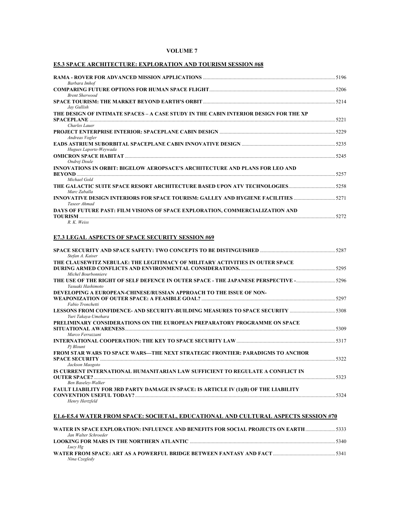#### **VOLUME 7**

## **E5.3 SPACE ARCHITECTURE: EXPLORATION AND TOURISM SESSION #68**

| Barbara Imhof                                                                        | 5196  |
|--------------------------------------------------------------------------------------|-------|
|                                                                                      |       |
| <b>Brent Sherwood</b>                                                                |       |
| Jay Gullish                                                                          |       |
| THE DESIGN OF INTIMATE SPACES – A CASE STUDY IN THE CABIN INTERIOR DESIGN FOR THE XP |       |
| <b>SPACEPLANE</b><br>Charles Lauer                                                   | 5221  |
| Andreas Vogler                                                                       | 5229  |
| Hugues Laporte-Weywada                                                               | 5235  |
|                                                                                      | 5245  |
| Ondrej Doule                                                                         |       |
| INNOVATIONS IN ORBIT: BIGELOW AEROPSACE'S ARCHITECTURE AND PLANS FOR LEO AND         |       |
| <b>REVOND</b>                                                                        | 5257  |
| Michael Gold                                                                         |       |
| Marc Zaballa                                                                         | 5258  |
| INNOVATIVE DESIGN INTERIORS FOR SPACE TOURISM: GALLEY AND HYGIENE FACILITIES         | 52.71 |
| Taseer Ahmad                                                                         |       |
| DAYS OF FUTURE PAST: FILM VISIONS OF SPACE EXPLORATION, COMMERCIALIZATION AND        |       |
| <b>TOURISM</b>                                                                       | 52.72 |
| $R$ , $K$ , <i>Weiss</i>                                                             |       |

## **E7.3 LEGAL ASPECTS OF SPACE SECURITY SESSION #69**

| Stefan A. Kaiser                                                                                                                              |      |
|-----------------------------------------------------------------------------------------------------------------------------------------------|------|
| THE CLAUSEWITZ NEBULAE: THE LEGITIMACY OF MILITARY ACTIVITIES IN OUTER SPACE                                                                  |      |
| Michel Bourbonniere                                                                                                                           |      |
| Yasuaki Hashimoto                                                                                                                             |      |
| DEVELOPING A EUROPEAN-CHINESE/RUSSIAN APPROACH TO THE ISSUE OF NON-<br>Fabio Tronchetti                                                       |      |
| Yuri Takaya-Umehara                                                                                                                           |      |
| PRELIMINARY CONSIDERATIONS ON THE EUROPEAN PREPARATORY PROGRAMME ON SPACE<br>Marco Ferrazzani                                                 |      |
| Pi Blount                                                                                                                                     |      |
| FROM STAR WARS TO SPACE WARS—THE NEXT STRATEGIC FRONTIER: PARADIGMS TO ANCHOR<br>Jackson Maogoto                                              | 5322 |
| IS CURRENT INTERNATIONAL HUMANITARIAN LAW SUFFICIENT TO REGULATE A CONFLICT IN                                                                | 5323 |
| Ben Baseley-Walker<br>FAULT LIABILITY FOR 3RD PARTY DAMAGE IN SPACE: IS ARTICLE IV (1)(B) OF THE LIABILITY<br><b>CONVENTION USEFUL TODAY?</b> | 5324 |
| Henry Hertzfeld                                                                                                                               |      |

## **E1.6-E5.4 WATER FROM SPACE: SOCIETAL, EDUCATIONAL AND CULTURAL ASPECTS SESSION #70**

| WATER IN SPACE EXPLORATION: INFLUENCE AND BENEFITS FOR SOCIAL PROJECTS ON EARTH 5333 |      |
|--------------------------------------------------------------------------------------|------|
| Jan Walter Schroeder                                                                 |      |
|                                                                                      | 5340 |
| Lucy Hg                                                                              |      |
|                                                                                      | 5341 |
| Nina Czegledy                                                                        |      |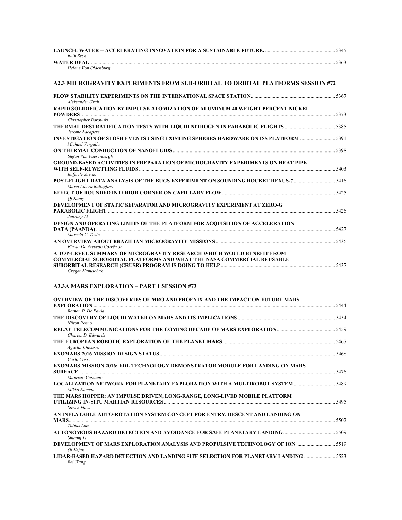|                      | 5345 |
|----------------------|------|
| <b>Beth Beck</b>     |      |
| WATER DEAL           | 5363 |
| Helene Von Oldenburg |      |

## **A2.3 MICROGRAVITY EXPERIMENTS FROM SUB-ORBITAL TO ORBITAL PLATFORMS SESSION #72**

| Aleksander Grah                                                                                                                                                           | 5367 |
|---------------------------------------------------------------------------------------------------------------------------------------------------------------------------|------|
| RAPID SOLIDIFICATION BY IMPULSE ATOMIZATION OF ALUMINUM 40 WEIGHT PERCENT NICKEL                                                                                          |      |
| Christopher Borowski                                                                                                                                                      | 5373 |
| Jerome Lacapere                                                                                                                                                           |      |
| <b>INVESTIGATION OF SLOSH EVENTS USING EXISTING SPHERES HARDWARE ON ISS PLATFORM </b> 5391<br>Michael Vergalla                                                            |      |
| Stefan Van Vaerenbergh                                                                                                                                                    |      |
| <b>GROUND-BASED ACTIVITIES IN PREPARATION OF MICROGRAVITY EXPERIMENTS ON HEAT PIPE</b><br>Raffaele Savino                                                                 | 5403 |
| POST-FLIGHT DATA ANALYSIS OF THE BUGS EXPERIMENT ON SOUNDING ROCKET REXUS-7<br>Maria Libera Battagliere                                                                   | 5416 |
| Oi Kang                                                                                                                                                                   |      |
| DEVELOPMENT OF STATIC SEPARATOR AND MICROGRAVITY EXPERIMENT AT ZERO-G<br><b>PARABOLIC FLIGHT</b><br>Junrong Li                                                            | 5426 |
| DESIGN AND OPERATING LIMITS OF THE PLATFORM FOR ACQUISITION OF ACCELERATION<br>Marcelo C. Tosin                                                                           | 5427 |
| Flávio De Azevedo Corrêa Jr                                                                                                                                               |      |
| A TOP-LEVEL SUMMARY OF MICROGRAVITY RESEARCH WHICH WOULD BENEFIT FROM<br><b>COMMERCIAL SUBORBITAL PLATFORMS AND WHAT THE NASA COMMERCIAL REUSABLE</b><br>Gregor Hanuschak | 5437 |

## **A3.3A MARS EXPLORATION – PART 1 SESSION #73**

| <b>OVERVIEW OF THE DISCOVERIES OF MRO AND PHOENIX AND THE IMPACT ON FUTURE MARS</b> |      |
|-------------------------------------------------------------------------------------|------|
|                                                                                     | 5444 |
| Ramon P. De Paula                                                                   |      |
|                                                                                     |      |
| Nilton Renno                                                                        |      |
|                                                                                     |      |
| Charles D. Edwards                                                                  |      |
|                                                                                     |      |
| <b>Agustin Chicarro</b>                                                             |      |
| Carlo Cassi                                                                         |      |
| <b>EXOMARS MISSION 2016: EDL TECHNOLOGY DEMONSTRATOR MODULE FOR LANDING ON MARS</b> |      |
|                                                                                     | 5476 |
| Maurizio Capuano                                                                    |      |
| LOCALIZATION NETWORK FOR PLANETARY EXPLORATION WITH A MULTIROBOT SYSTEM 5489        |      |
| Mikko Elomaa                                                                        |      |
| THE MARS HOPPER: AN IMPULSE DRIVEN, LONG-RANGE, LONG-LIVED MOBILE PLATFORM          |      |
|                                                                                     |      |
| <b>Steven Howe</b>                                                                  |      |
| AN INFLATABLE AUTO-ROTATION SYSTEM CONCEPT FOR ENTRY, DESCENT AND LANDING ON        |      |
|                                                                                     | 5502 |
| Tobias Lutz                                                                         |      |
| Shuang Li                                                                           |      |
| DEVELOPMENT OF MARS EXPLORATION ANALYSIS AND PROPULSIVE TECHNOLOGY OF ION 5519      |      |
| Qi Kejun                                                                            |      |
| Bei Wang                                                                            |      |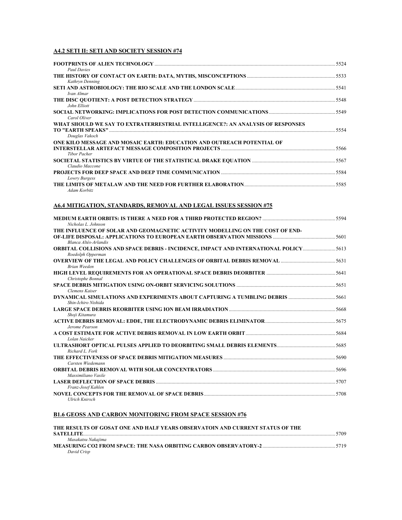### **A4.2 SETI II: SETI AND SOCIETY SESSION #74**

| <b>Paul Davies</b>                                                                                        |  |
|-----------------------------------------------------------------------------------------------------------|--|
| Kathryn Denning                                                                                           |  |
| Ivan Almar                                                                                                |  |
| John Elliott                                                                                              |  |
| Carol Oliver                                                                                              |  |
| WHAT SHOULD WE SAY TO EXTRATERRESTRIAL INTELLIGENCE?: AN ANALYSIS OF RESPONSES<br>Douglas Vakoch          |  |
| ONE KILO MESSAGE AND MOSAIC EARTH: EDUCATION AND OUTREACH POTENTIAL OF<br><b>Tibor Pacher</b>             |  |
| Claudio Maccone                                                                                           |  |
| Lowry Burgess                                                                                             |  |
| Adam Korbitz                                                                                              |  |
| A6.4 MITIGATION, STANDARDS, REMOVAL AND LEGAL ISSUES SESSION #75                                          |  |
| Nicholas L. Johnson                                                                                       |  |
| THE INFLUENCE OF SOLAR AND GEOMAGNETIC ACTIVITY MODELLING ON THE COST OF END-<br>Blanca Altés-Arlandis    |  |
| ORBITAL COLLISIONS AND SPACE DEBRIS - INCIDENCE, IMPACT AND INTERNATIONAL POLICY5613<br>Roedolph Opperman |  |
| <b>Brian Weeden</b>                                                                                       |  |
| Christophe Bonnal                                                                                         |  |
| Clemens Kaiser                                                                                            |  |
| DYNAMICAL SIMULATIONS AND EXPERIMENTS ABOUT CAPTURING A TUMBLING DEBRIS 5661<br>Shin-Ichiro Nishida       |  |
| Shoji Kitamura                                                                                            |  |
| Jerome Pearson                                                                                            |  |
| Lolan Naicker                                                                                             |  |
| Richard L. Fork                                                                                           |  |
| Carsten Wiedemann                                                                                         |  |
| Massimiliano Vasile                                                                                       |  |
| Franz-Josef Kahlen                                                                                        |  |
| Ulrich Knirsch                                                                                            |  |

#### **B1.6 GEOSS AND CARBON MONITORING FROM SPACE SESSION #76**

#### **THE RESULTS OF GOSAT ONE AND HALF YEARS OBSERVATOIN AND CURRENT STATUS OF THE SATELLITE**..................................................................................................................................................................................................5709 *Masakatsu Nakajima*  **MEASURING CO2 FROM SPACE: THE NASA ORBITING CARBON OBSERVATORY-2**........................................................5719 *David Crisp*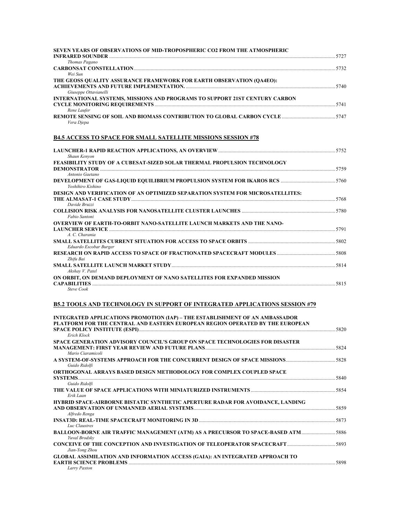| SEVEN YEARS OF OBSERVATIONS OF MID-TROPOSPHERIC CO2 FROM THE ATMOSPHERIC    |      |
|-----------------------------------------------------------------------------|------|
|                                                                             | 5727 |
| Thomas Pagano                                                               |      |
|                                                                             | 5732 |
| Wei Sun                                                                     |      |
| THE GEOSS OUALITY ASSURANCE FRAMEWORK FOR EARTH OBSERVATION (OA4EO):        |      |
|                                                                             | 5740 |
| Giuseppe Ottavianelli                                                       |      |
| INTERNATIONAL SYSTEMS, MISSIONS AND PROGRAMS TO SUPPORT 21ST CENTURY CARBON |      |
|                                                                             | 5741 |
| Rene Laufer                                                                 |      |
|                                                                             |      |
| Vera Diepa                                                                  |      |
|                                                                             |      |

### **B4.5 ACCESS TO SPACE FOR SMALL SATELLITE MISSIONS SESSION #78**

| Shaun Kenyon                                                                          |      |
|---------------------------------------------------------------------------------------|------|
| <b>FEASIBILITY STUDY OF A CUBESAT-SIZED SOLAR THERMAL PROPULSION TECHNOLOGY</b>       |      |
|                                                                                       |      |
| Antonio Gaetano                                                                       |      |
|                                                                                       |      |
| Yoshihiro Kishino                                                                     |      |
| <b>DESIGN AND VERIFICATION OF AN OPTIMIZED SEPARATION SYSTEM FOR MICROSATELLITES:</b> |      |
|                                                                                       | 5768 |
| Davide Bruzzi                                                                         |      |
|                                                                                       |      |
| Fabio Santoni                                                                         |      |
| <b>OVERVIEW OF EARTH-TO-ORBIT NANO-SATELLITE LAUNCH MARKETS AND THE NANO-</b>         |      |
|                                                                                       | 5791 |
| A. C. Charania                                                                        |      |
|                                                                                       |      |
| Eduardo Escobar Burger                                                                |      |
|                                                                                       |      |
| Zhifu Bai                                                                             |      |
|                                                                                       |      |
| Akshay V. Patel                                                                       |      |
| ON ORBIT, ON DEMAND DEPLOYMENT OF NANO SATELLITES FOR EXPANDED MISSION                |      |
| <b>CAPABILITIES</b>                                                                   |      |
| <b>Steve Cook</b>                                                                     |      |

### **B5.2 TOOLS AND TECHNOLOGY IN SUPPORT OF INTEGRATED APPLICATIONS SESSION #79**

| <b>INTEGRATED APPLICATIONS PROMOTION (IAP) – THE ESTABLISHMENT OF AN AMBASSADOR</b>       |       |
|-------------------------------------------------------------------------------------------|-------|
| PLATFORM FOR THE CENTRAL AND EASTERN EUROPEAN REGION OPERATED BY THE EUROPEAN             |       |
|                                                                                           | .5820 |
| Erich Klock                                                                               |       |
| <b>SPACE GENERATION ADVISORY COUNCIL'S GROUP ON SPACE TECHNOLOGIES FOR DISASTER</b>       |       |
|                                                                                           | 5824  |
| Mario Ciaramicoli                                                                         |       |
|                                                                                           | 5828  |
| Guido Ridolfi                                                                             |       |
| ORTHOGONAL ARRAYS BASED DESIGN METHODOLOGY FOR COMPLEX COUPLED SPACE                      |       |
|                                                                                           | 5840  |
| Guido Ridolfi                                                                             |       |
|                                                                                           |       |
| Erik Laan                                                                                 |       |
| <b>HYBRID SPACE-AIRBORNE BISTATIC SYNTHETIC APERTURE RADAR FOR AVOIDANCE, LANDING</b>     |       |
|                                                                                           | 5859  |
| Alfredo Renga                                                                             |       |
|                                                                                           | 5873  |
| Luc Claustres                                                                             |       |
| <b>BALLOON-BORNE AIR TRAFFIC MANAGEMENT (ATM) AS A PRECURSOR TO SPACE-BASED ATM  5886</b> |       |
| Yuval Brodsky                                                                             |       |
|                                                                                           |       |
| Jian-Yong Zhou                                                                            |       |
| <b>GLOBAL ASSIMILATION AND INFORMATION ACCESS (GAIA): AN INTEGRATED APPROACH TO</b>       |       |
|                                                                                           | 5898  |
| Larry Paxton                                                                              |       |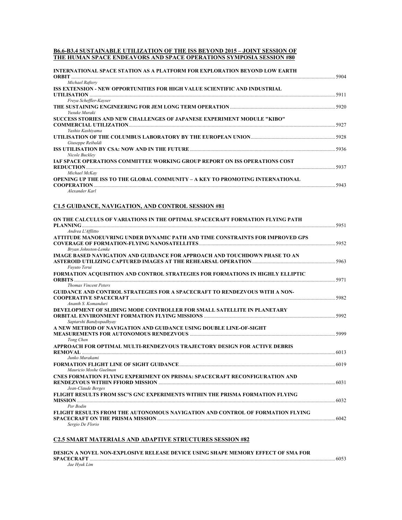#### **B6.6-B3.4 SUSTAINABLE UTILIZATION OF THE ISS BEYOND 2015 – JOINT SESSION OF THE HUMAN SPACE ENDEAVORS AND SPACE OPERATIONS SYMPOSIA SESSION #80**

| INTERNATIONAL SPACE STATION AS A PLATFORM FOR EXPLORATION BEYOND LOW EARTH<br><b>ORBIT</b> | 5904 |
|--------------------------------------------------------------------------------------------|------|
| Michael Raftery                                                                            |      |
| ISS EXTENSION - NEW OPPORTUNITIES FOR HIGH VALUE SCIENTIFIC AND INDUSTRIAL                 |      |
| <b>UTILISATION</b>                                                                         | 5911 |
| Freya Scheffler-Kayser                                                                     |      |
|                                                                                            | 5920 |
| Yusuke Muraki                                                                              |      |
| SUCCESS STORIES AND NEW CHALLENGES OF JAPANESE EXPERIMENT MODULE "KIBO"                    |      |
|                                                                                            | 5927 |
| Yashio Kashiyama                                                                           |      |
|                                                                                            | 5928 |
| Giuseppe Reibaldi                                                                          |      |
|                                                                                            | 5936 |
| Nicole Buckley                                                                             |      |
| IAF SPACE OPERATIONS COMMITTEE WORKING GROUP REPORT ON ISS OPERATIONS COST                 |      |
| <b>REDUCTION</b>                                                                           | 5937 |
| Michael McKav                                                                              |      |
| <b>OPENING UP THE ISS TO THE GLOBAL COMMUNITY - A KEY TO PROMOTING INTERNATIONAL</b>       |      |
| <b>COOPERATION</b>                                                                         | 5943 |
| Alexander Karl                                                                             |      |

#### **C1.5 GUIDANCE, NAVIGATION, AND CONTROL SESSION #81**

| ON THE CALCULUS OF VARIATIONS IN THE OPTIMAL SPACECRAFT FORMATION FLYING PATH         |       |
|---------------------------------------------------------------------------------------|-------|
|                                                                                       |       |
| Andrea L'Afflitto                                                                     |       |
| ATTITUDE MANOEUVRING UNDER DYNAMIC PATH AND TIME CONSTRAINTS FOR IMPROVED GPS         |       |
| Bryan Johnston-Lemke                                                                  | .5952 |
| <b>IMAGE BASED NAVIGATION AND GUIDANCE FOR APPROACH AND TOUCHDOWN PHASE TO AN</b>     |       |
| Fuvuto Terui                                                                          | 5963  |
| <b>FORMATION ACOUISITION AND CONTROL STRATEGIES FOR FORMATIONS IN HIGHLY ELLIPTIC</b> |       |
|                                                                                       | 5971  |
| <b>Thomas Vincent Peters</b>                                                          |       |
| <b>GUIDANCE AND CONTROL STRATEGIES FOR A SPACECRAFT TO RENDEZVOUS WITH A NON-</b>     |       |
|                                                                                       |       |
| Ananth S. Komanduri                                                                   |       |
| DEVELOPMENT OF SLIDING MODE CONTROLLER FOR SMALL SATELLITE IN PLANETARY               |       |
|                                                                                       |       |
| Saptarshi Bandyopadhyay                                                               |       |
| A NEW METHOD OF NAVIGATION AND GUIDANCE USING DOUBLE LINE-OF-SIGHT                    | 5999  |
| Tong Chen                                                                             |       |
| APPROACH FOR OPTIMAL MULTI-RENDEZVOUS TRAJECTORY DESIGN FOR ACTIVE DEBRIS             |       |
|                                                                                       |       |
| Junko Murakami                                                                        |       |
|                                                                                       |       |
| Mauricio Moshe Guelman                                                                |       |
| CNES FORMATION FLYING EXPERIMENT ON PRISMA: SPACECRAFT RECONFIGURATION AND            |       |
|                                                                                       | .6031 |
| Jean-Claude Berges                                                                    |       |
| <b>FLIGHT RESULTS FROM SSC'S GNC EXPERIMENTS WITHIN THE PRISMA FORMATION FLYING</b>   |       |
|                                                                                       | 6032  |
| Per Bodin                                                                             |       |
| FLIGHT RESULTS FROM THE AUTONOMOUS NAVIGATION AND CONTROL OF FORMATION FLYING         |       |
|                                                                                       | 6042  |
| Sergio De Florio                                                                      |       |

#### **C2.5 SMART MATERIALS AND ADAPTIVE STRUCTURES SESSION #82**

#### **DESIGN A NOVEL NON-EXPLOSIVE RELEASE DEVICE USING SHAPE MEMORY EFFECT OF SMA FOR SPACECRAFT** .............................................................................................................................................................................................6053

*Jae Hyuk Lim*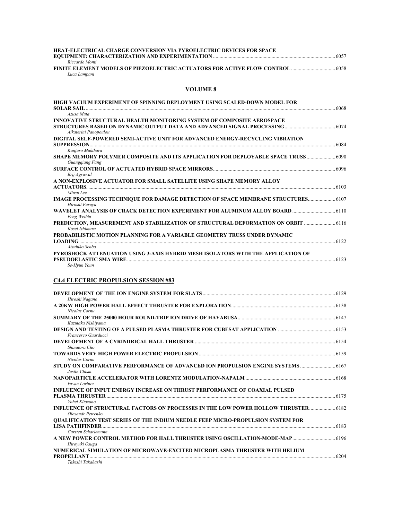| <b>HEAT-ELECTRICAL CHARGE CONVERSION VIA PYROELECTRIC DEVICES FOR SPACE</b> |      |
|-----------------------------------------------------------------------------|------|
|                                                                             | 6057 |
| Riccardo Monti                                                              |      |
|                                                                             | 6058 |
| Luca Lampani                                                                |      |

#### **VOLUME 8**

| HIGH VACUUM EXPERIMENT OF SPINNING DEPLOYMENT USING SCALED-DOWN MODEL FOR           |       |
|-------------------------------------------------------------------------------------|-------|
| <b>SOLAR SAIL</b>                                                                   | 6068  |
| Azusa Muta                                                                          |       |
| <b>INNOVATIVE STRUCTURAL HEALTH MONITORING SYSTEM OF COMPOSITE AEROSPACE</b>        |       |
| Aikaterini Panopoulou                                                               | 6074  |
| DIGITAL SELF-POWERED SEMI-ACTIVE UNIT FOR ADVANCED ENERGY-RECYCLING VIBRATION       |       |
| <b>SUPPRESSION.</b>                                                                 | 6084  |
| Kanjuro Makihara                                                                    |       |
| SHAPE MEMORY POLYMER COMPOSITE AND ITS APPLICATION FOR DEPLOYABLE SPACE TRUSS       | 6090  |
| Guanggiang Fang                                                                     |       |
|                                                                                     | 6096  |
| Brij Agrawal                                                                        |       |
| A NON-EXPLOSIVE ACTUATOR FOR SMALL SATELLITE USING SHAPE MEMORY ALLOY<br>ACTUATORS. | 6103  |
| Minsu Lee                                                                           |       |
| <b>IMAGE PROCESSING TECHNIQUE FOR DAMAGE DETECTION OF SPACE MEMBRANE STRUCTURES</b> | 6107  |
| Hiroshi Furuva                                                                      |       |
| Peng Weibin                                                                         | 6110  |
| PREDICTION, MEASUREMENT AND STABILIZATION OF STRUCTURAL DEFORMATION ON ORBIT        | .6116 |
| Kosei Ishimura                                                                      |       |
| PROBABILISTIC MOTION PLANNING FOR A VARIABLE GEOMETRY TRUSS UNDER DYNAMIC           |       |
|                                                                                     | 6122  |
| Atsuhiko Senba                                                                      |       |
| PYROSHOCK ATTENUATION USING 3-AXIS HYBRID MESH ISOLATORS WITH THE APPLICATION OF    |       |
| <b>PSEUDOELASTIC SMA WIRE</b>                                                       | 6123  |
| Se-Hvun Youn                                                                        |       |

### **C4.4 ELECTRIC PROPULSION SESSION #83**

| 0129 EVELOPMENT OF THE ION ENGINE SYSTEM FOR SLATS                                     |       |
|----------------------------------------------------------------------------------------|-------|
| Hiroshi Nagano                                                                         |       |
| Nicolas Cornu                                                                          |       |
| Kazutaka Nishiyama                                                                     |       |
| Francesco Guarducci                                                                    |       |
|                                                                                        |       |
| Shinatora Cho                                                                          |       |
|                                                                                        |       |
| Nicolas Cornu                                                                          |       |
| Justin Chism                                                                           |       |
|                                                                                        |       |
| Istvan Lorincz                                                                         |       |
| INFLUENCE OF INPUT ENERGY INCREASE ON THRUST PERFORMANCE OF COAXIAL PULSED             |       |
|                                                                                        | .6175 |
| Yohei Kitazono                                                                         |       |
| 6182 INFLUENCE OF STRUCTURAL FACTORS ON PROCESSES IN THE LOW POWER HOLLOW THRUSTER     |       |
| Olexandr Petrenko                                                                      |       |
| <b>OUALIFICATION TEST SERIES OF THE INDIUM NEEDLE FEEP MICRO-PROPULSION SYSTEM FOR</b> |       |
| <b>LISA PATHFINDER</b>                                                                 | 6183  |
| Carsten Scharlemann                                                                    |       |
| A NEW POWER CONTROL METHOD FOR HALL THRUSTER USING OSCILLATION-MODE-MAP                | .6196 |
| Hirovuki Osuga                                                                         |       |
| NUMERICAL SIMULATION OF MICROWAVE-EXCITED MICROPLASMA THRUSTER WITH HELIUM             |       |
| <b>PROPELLANT</b>                                                                      | 6204  |
| Takeshi Takahashi                                                                      |       |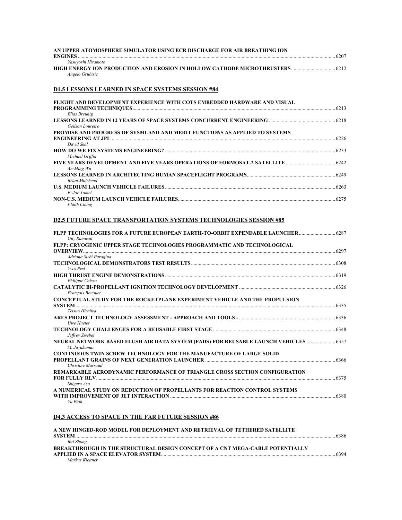| AN UPPER ATOMOSPHERE SIMULATOR USING ECR DISCHARGE FOR AIR BREATHING ION        | 6207 |
|---------------------------------------------------------------------------------|------|
| Yasuyoshi Hisamoto                                                              |      |
| Angelo Grubisic                                                                 |      |
| <b>D1.5 LESSONS LEARNED IN SPACE SYSTEMS SESSION #84</b>                        |      |
| <b>FLIGHT AND DEVELOPMENT EXPERIENCE WITH COTS EMBEDDED HARDWARE AND VISUAL</b> |      |
| Elias Breunig                                                                   |      |
| Geilson Loureiro                                                                |      |
| PROMISE AND PROGRESS OF SYSMLAND AND MERIT FUNCTIONS AS APPLIED TO SYSTEMS      |      |
|                                                                                 |      |
| David Seal                                                                      |      |
| Michael Griffin                                                                 | 6233 |
| $An$ -Ming Wu                                                                   |      |
| <b>Brian Muirhead</b>                                                           |      |
|                                                                                 |      |
| E. Joe Tomei                                                                    |      |
|                                                                                 |      |
| I-Shih Chang                                                                    |      |

# **D2.5 FUTURE SPACE TRANSPORTATION SYSTEMS TECHNOLOGIES SESSION #85**

| <b>Guv Ramusat</b>                                                                                                                                                        |      |
|---------------------------------------------------------------------------------------------------------------------------------------------------------------------------|------|
| FLPP: CRYOGENIC UPPER STAGE TECHNOLOGIES PROGRAMMATIC AND TECHNOLOGICAL                                                                                                   |      |
|                                                                                                                                                                           |      |
| Adriana Sirbi Paragina                                                                                                                                                    |      |
|                                                                                                                                                                           |      |
| <b>Yves</b> Prel                                                                                                                                                          |      |
|                                                                                                                                                                           |      |
| Philippe Caisso                                                                                                                                                           |      |
| François Bouquet                                                                                                                                                          |      |
| <b>CONCEPTUAL STUDY FOR THE ROCKETPLANE EXPERIMENT VEHICLE AND THE PROPULSION</b>                                                                                         |      |
|                                                                                                                                                                           |      |
| Tetsuo Hiraiwa                                                                                                                                                            |      |
| Uwe Hueter                                                                                                                                                                |      |
| Jeffrey Zweber                                                                                                                                                            |      |
| NEURAL NETWORK BASED FLUSH AIR DATA SYSTEM (FADS) FOR REUSABLE LAUNCH VEHICLES  6357<br>M. Javakumar                                                                      |      |
| <b>CONTINUOUS TWIN SCREW TECHNOLOGY FOR THE MANUFACTURE OF LARGE SOLID</b><br><b>PROPELLANT GRAINS OF NEXT GENERATION LAUNCHER <i>CONDUCTER <b>CONDUCTER</b></i></b> 6366 |      |
| Christine Marraud                                                                                                                                                         |      |
| REMARKABLE AERODYNAMIC PERFORMANCE OF TRIANGLE CROSS SECTION CONFIGURATION                                                                                                |      |
|                                                                                                                                                                           |      |
| Shigeru Aso                                                                                                                                                               |      |
| A NUMERICAL STUDY ON REDUCTION OF PROPELLANTS FOR REACTION CONTROL SYSTEMS                                                                                                | 6380 |
| Yu Etoh                                                                                                                                                                   |      |
|                                                                                                                                                                           |      |
|                                                                                                                                                                           |      |

### **D4.3 ACCESS TO SPACE IN THE FAR FUTURE SESSION #86**

| A NEW HINGED-ROD MODEL FOR DEPLOYMENT AND RETRIEVAL OF TETHERED SATELLITE     |      |
|-------------------------------------------------------------------------------|------|
|                                                                               | 6386 |
| Rui Zhong                                                                     |      |
| BREAKTHROUGH IN THE STRUCTURAL DESIGN CONCEPT OF A CNT MEGA-CABLE POTENTIALLY |      |
|                                                                               | 6394 |
| Markus Klettner                                                               |      |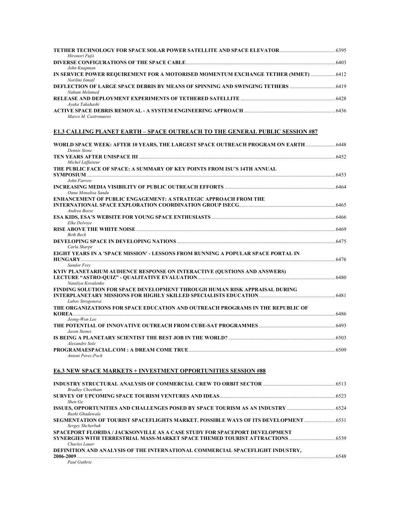| Hironori Fujii                                                                          |  |
|-----------------------------------------------------------------------------------------|--|
|                                                                                         |  |
| John Knapman                                                                            |  |
| IN SERVICE POWER REQUIREMENT FOR A MOTORISED MOMENTUM EXCHANGE TETHER (MMET)  6412      |  |
| Norilmi Ismail                                                                          |  |
| <b>DEFLECTION OF LARGE SPACE DEBRIS BY MEANS OF SPINNING AND SWINGING TETHERS </b> 6419 |  |
| Nahum Melamed                                                                           |  |
|                                                                                         |  |
| Avaka Takahashi                                                                         |  |
|                                                                                         |  |
| Marco M. Castronuovo                                                                    |  |

## **E1.3 CALLING PLANET EARTH – SPACE OUTREACH TO THE GENERAL PUBLIC SESSION #87**

| WORLD SPACE WEEK: AFTER 10 YEARS, THE LARGEST SPACE OUTREACH PROGRAM ON EARTH 6448<br>Dennis Stone |       |
|----------------------------------------------------------------------------------------------------|-------|
|                                                                                                    |       |
| Michel Laffaiteur                                                                                  |       |
| THE PUBLIC FACE OF SPACE: A SUMMARY OF KEY POINTS FROM ISU'S 14TH ANNUAL                           | .6453 |
| John Farrow                                                                                        |       |
| Oana Monalisa Sandu                                                                                |       |
| ENHANCEMENT OF PUBLIC ENGAGEMENT: A STRATEGIC APPROACH FROM THE                                    |       |
| Andrea Boese                                                                                       |       |
| Elke Delvove                                                                                       |       |
| <b>Beth Beck</b>                                                                                   |       |
| Carla Sharpe                                                                                       |       |
| EIGHT YEARS IN A 'SPACE MISSION' - LESSONS FROM RUNNING A POPULAR SPACE PORTAL IN                  | 6476  |
| Sandor Frey                                                                                        |       |
| KYIV PLANETARIUM AUDIENCE RESPONSE ON INTERACTIVE (QUSTIONS AND ANSWERS)                           | 6480  |
| Nataliya Kovalenko                                                                                 |       |
| FINDING SOLUTION FOR SPACE DEVELOPMENT THROUGH HUMAN RISK APPRAISAL DURING                         | 6481  |
| Lubov Strogonova                                                                                   |       |
| THE ORGANIZATIONS FOR SPACE EDUCATION AND OUTREACH PROGRAMS IN THE REPUBLIC OF                     |       |
| 6486<br><b>KOREA <i>KOREA</i></b>                                                                  |       |
| Jeong-Won Lee                                                                                      |       |
| <b>Jason Stones</b>                                                                                |       |
|                                                                                                    |       |
| Alexandre Sole                                                                                     |       |
| Antoni Perez-Poch                                                                                  | .6509 |

### **E6.3 NEW SPACE MARKETS + INVESTMENT OPPORTUNITIES SESSION #88**

| <b>Bradley Cheetham</b>                                                                             | 6513 |
|-----------------------------------------------------------------------------------------------------|------|
| Shen Ge                                                                                             |      |
| ISSUES, OPPORTUNITIES AND CHALLENGES POSED BY SPACE TOURISM AS AN INDUSTRY  6524<br>Rushi Ghadawala |      |
| Sergey Shcherbak                                                                                    |      |
| <b>SPACEPORT FLORIDA / JACKSONVILLE AS A CASE STUDY FOR SPACEPORT DEVELOPMENT</b>                   |      |
| Charles Lauer                                                                                       |      |
| DEFINITION AND ANALYSIS OF THE INTERNATIONAL COMMERCIAL SPACEFLIGHT INDUSTRY,                       | 6548 |
| Paul Guthrie                                                                                        |      |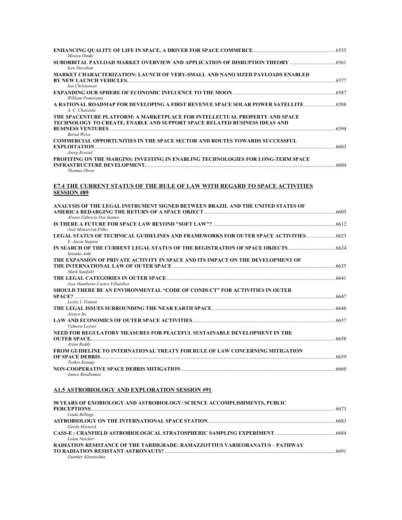| Misuzu Onuki                                                                         |      |
|--------------------------------------------------------------------------------------|------|
|                                                                                      |      |
| Ken Davidian                                                                         |      |
| <b>MARKET CHARACTERIZATION: LAUNCH OF VERY-SMALL AND NANO SIZED PAYLOADS ENABLED</b> |      |
|                                                                                      | 6577 |
| Ian Christensen                                                                      |      |
|                                                                                      |      |
| <b>William Pomerantz</b>                                                             |      |
| A RATIONAL ROADMAP FOR DEVELOPING A FIRST REVENUE SPACE SOLAR POWER SATELLITE        |      |
| A. C. Charania                                                                       |      |
| THE SPACENTURE PLATFORM: A MARKETPLACE FOR INTELLECTUAL PROPERTY AND SPACE           |      |
| TECHNOLOGY TO CREATE, ENABLE AND SUPPORT SPACE RELATED BUSINESS IDEAS AND            |      |
|                                                                                      |      |
| <b>Bernd Weiss</b>                                                                   |      |
| <b>COMMERCIAL OPPORTUNITIES IN THE SPACE SECTOR AND ROUTES TOWARDS SUCCESSFUL</b>    |      |
|                                                                                      | 6603 |
| Joerg Kreisel                                                                        |      |
| PROFITING ON THE MARGINS: INVESTING IN ENABLING TECHNOLOGIES FOR LONG-TERM SPACE     |      |
|                                                                                      | 6604 |
| <b>Thomas Olson</b>                                                                  |      |
|                                                                                      |      |
|                                                                                      |      |

#### **E7.4 THE CURRENT STATUS OF THE RULE OF LAW WITH REGARD TO SPACE ACTIVITIES SESSION #89**

| ANALYSIS OF THE LEGAL INSTRUMENT SIGNED BETWEEN BRAZIL AND THE UNITED STATES OF            |       |
|--------------------------------------------------------------------------------------------|-------|
|                                                                                            | 6605  |
| Alvaro Fabricio Dos Santos                                                                 |       |
|                                                                                            |       |
| José Monserrat-Filho                                                                       |       |
|                                                                                            |       |
| E. Jason Steptoe                                                                           |       |
| IN SEARCH OF THE CURRENT LEGAL STATUS OF THE REGISTRATION OF SPACE OBJECTS<br>Setsuko Aoki | .6624 |
| THE EXPANSION OF PRIVATE ACTIVITY IN SPACE AND ITS IMPACT ON THE DEVELOPMENT OF            |       |
|                                                                                            | 6635  |
| Mark Sundahl                                                                               |       |
|                                                                                            |       |
| Jose Humberto Castro Villalobos                                                            |       |
| <b>SHOULD THERE BE AN ENVIRONMENTAL "CODE OF CONDUCT" FOR ACTIVITIES IN OUTER</b>          |       |
|                                                                                            | 6647  |
| Leslie I. Tennen                                                                           |       |
|                                                                                            | 6648  |
| Atsuvo Ito                                                                                 |       |
|                                                                                            |       |
| Valnora Leister                                                                            |       |
| NEED FOR REGULATORY MEASURES FOR PEACEFUL SUSTAINABLE DEVELOPMENT IN THE                   |       |
|                                                                                            | 6658  |
|                                                                                            |       |
| Arjun Reddy                                                                                |       |
| FROM GUIDELINE TO INTERNATIONAL TREATY FOR RULE OF LAW CONCERNING MITIGATION               |       |
|                                                                                            | 6659  |
| Toshio Kosuge                                                                              |       |
|                                                                                            | 6660  |
| James Rendleman                                                                            |       |

## **A1.5 ASTROBIOLOGY AND EXPLORATION SESSION #91**

| 50 YEARS OF EXOBIOLOGY AND ASTROBIOLOGY: SCIENCE ACCOMPLISHMENTS, PUBLIC     |      |
|------------------------------------------------------------------------------|------|
|                                                                              | 6673 |
| Linda Billings                                                               |      |
|                                                                              |      |
| Gerda Horneck                                                                |      |
|                                                                              |      |
| Lolan Naicker                                                                |      |
| RADIATION RESISTANCE OF THE TARDIGRADE: RAMAZZOTTIUS VARIEORANATUS – PATHWAY |      |
|                                                                              |      |
| Gunther Kletetschka                                                          |      |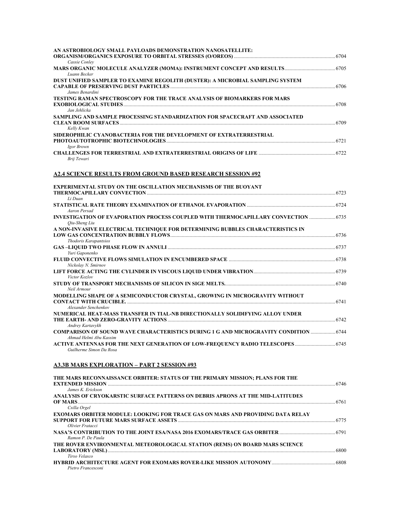| AN ASTROBIOLOGY SMALL PAYLOADS DEMONSTRATION NANOSATELLITE:<br>Cassie Conley                                   |  |
|----------------------------------------------------------------------------------------------------------------|--|
| Luann Becker                                                                                                   |  |
| DUST UNIFIED SAMPLER TO EXAMINE REGOLITH (DUSTER): A MICROBIAL SAMPLING SYSTEM<br>James Benardini              |  |
| TESTING RAMAN SPECTROSCOPY FOR THE TRACE ANALYSIS OF BIOMARKERS FOR MARS<br>Jan Jehlicka                       |  |
| SAMPLING AND SAMPLE PROCESSING STANDARDIZATION FOR SPACECRAFT AND ASSOCIATED<br>Kelly Kwan                     |  |
| SIDEROPHILIC CYANOBACTERIA FOR THE DEVELOPMENT OF EXTRATERRESTRIAL<br>Igor Brown                               |  |
| Brij Tewari                                                                                                    |  |
| <b>A2.4 SCIENCE RESULTS FROM GROUND BASED RESEARCH SESSION #92</b>                                             |  |
| EXPERIMENTAL STUDY ON THE OSCILLATION MECHANISMS OF THE BUOYANT<br>Li Duan                                     |  |
| Aaron Persad                                                                                                   |  |
| <b>INVESTIGATION OF EVAPORATION PROCESS COUPLED WITH THERMOCAPILLARY CONVECTION  6735</b><br>Oiu-Sheng Liu     |  |
| A NON-INVASIVE ELECTRICAL TECHNIOUE FOR DETERMINING BUBBLES CHARACTERISTICS IN<br>Thodoris Karapantsios        |  |
| Yuri Gaponenko                                                                                                 |  |
| Nickolay N. Smirnov                                                                                            |  |
| Victor Kozlov                                                                                                  |  |
| Neil Armour                                                                                                    |  |
| MODELLING SHAPE OF A SEMICONDUCTOR CRYSTAL, GROWING IN MICROGRAVITY WITHOUT<br>Alexander Senchenkov            |  |
| NUMERICAL HEAT-MASS TRANSFER IN TIAL-NB DIRECTIONALLY SOLIDIFYING ALLOY UNDER<br>Andrey Kartavykh              |  |
| COMPARISON OF SOUND WAVE CHARACTERISTICS DURING 1 G AND MICROGRAVITY CONDITION  6744<br>Ahmad Helmi Abu Kassim |  |
| Guilherme Simon Da Rosa                                                                                        |  |
| <b>A3.3B MARS EXPLORATION - PART 2 SESSION #93</b>                                                             |  |
| THE MARS RECONNAISSANCE ORBITER: STATUS OF THE PRIMARY MISSION; PLANS FOR THE<br>James K. Erickson             |  |
| ANALYSIS OF CRYOKARSTIC SURFACE PATTERNS ON DEBRIS APRONS AT THE MID-LATITUDES                                 |  |
| Csilla Orgel<br>EVOMADE ODDITED MODIII E. I OOKING EOD TRACE GAS ON MADE AND DROVIDING DATA DELAV              |  |

| <b>EXOMARS ORBITER MODULE: LOOKING FOR TRACE GAS ON MARS AND PROVIDING DATA RELAY</b> |  |
|---------------------------------------------------------------------------------------|--|
|                                                                                       |  |
| Olivier Fratacci                                                                      |  |
|                                                                                       |  |
| Ramon P. De Paula                                                                     |  |
| THE ROVER ENVIRONMENTAL METEOROLOGICAL STATION (REMS) ON BOARD MARS SCIENCE           |  |
|                                                                                       |  |
| Tirso Velasco                                                                         |  |
|                                                                                       |  |

*Pietro Francesconi*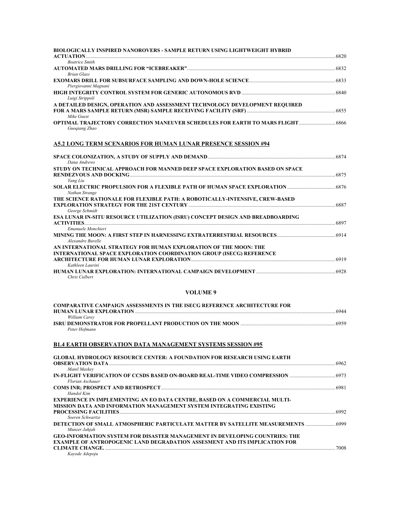| <b>Beatrice Smith</b>                                                                  |  |
|----------------------------------------------------------------------------------------|--|
|                                                                                        |  |
| <b>Brian Glass</b>                                                                     |  |
|                                                                                        |  |
| Piergiovanni Magnani                                                                   |  |
|                                                                                        |  |
| Luigi Strippoli                                                                        |  |
| A DETAILED DESIGN, OPERATION AND ASSESSMENT TECHNOLOGY DEVELOPMENT REQUIRED            |  |
|                                                                                        |  |
| Mike Guest                                                                             |  |
| <b>OPTIMAL TRAJECTORY CORRECTION MANEUVER SCHEDULES FOR EARTH TO MARS FLIGHT </b> 6866 |  |
| Guogiang Zhao                                                                          |  |

# **A5.2 LONG TERM SCENARIOS FOR HUMAN LUNAR PRESENCE SESSION #94**

| Dana Andrews                                                                                                                             |      |
|------------------------------------------------------------------------------------------------------------------------------------------|------|
| STUDY ON TECHNICAL APPROACH FOR MANNED DEEP SPACE EXPLORATION BASED ON SPACE                                                             | 6875 |
| Yang Liu                                                                                                                                 |      |
| Nathan Strange                                                                                                                           |      |
| THE SCIENCE RATIONALE FOR FLEXIBLE PATH: A ROBOTICALLY-INTENSIVE, CREW-BASED<br>George Schmidt                                           | 6887 |
| <b>ESA LUNAR IN-SITU RESOURCE UTILIZATION (ISRU) CONCEPT DESIGN AND BREADBOARDING</b><br><b>ACTIVITIES</b>                               |      |
| Emanuele Monchieri                                                                                                                       |      |
| Alexandre Burelle                                                                                                                        |      |
| AN INTERNATIONAL STRATEGY FOR HUMAN EXPLORATION OF THE MOON: THE<br>INTERNATIONAL SPACE EXPLORATION COORDINATION GROUP (ISECG) REFERENCE |      |
| Kathleen Laurini                                                                                                                         | 6919 |
| Chris Culbert                                                                                                                            |      |

### **VOLUME 9**

| <b>COMPARATIVE CAMPAIGN ASSESSMENTS IN THE ISECG REFERENCE ARCHITECTURE FOR</b> |      |
|---------------------------------------------------------------------------------|------|
|                                                                                 | 6944 |
| William Carev                                                                   |      |
|                                                                                 | 6959 |
| Peter Hofmann                                                                   |      |

# **B1.4 EARTH OBSERVATION DATA MANAGEMENT SYSTEMS SESSION #95**

| <b>GLOBAL HYDROLOGY RESOURCE CENTER: A FOUNDATION FOR RESEARCH USING EARTH</b>     |      |
|------------------------------------------------------------------------------------|------|
| <b>OBSERVATION DATA</b>                                                            | 6962 |
| Manil Maskey                                                                       |      |
|                                                                                    |      |
| Florian Aschauer                                                                   |      |
|                                                                                    | 6981 |
| Handol Kim                                                                         |      |
| <b>EXPERIENCE IN IMPLEMENTING AN EO DATA CENTRE, BASED ON A COMMERCIAL MULTI-</b>  |      |
| MISSION DATA AND INFORMATION MANAGEMENT SYSTEM INTEGRATING EXISTING                |      |
|                                                                                    | 6992 |
| Soeren Schwartze                                                                   |      |
|                                                                                    |      |
| Munzer Jahjah                                                                      |      |
| <b>GEO-INFORMATION SYSTEM FOR DISASTER MANAGEMENT IN DEVELOPING COUNTRIES: THE</b> |      |
| <b>EXAMPLE OF ANTROPOGENIC LAND DEGRADATION ASSESMENT AND ITS IMPLICATION FOR</b>  |      |
| CLIMATE CHANGE.                                                                    | 7008 |
| Kayode Adepoju                                                                     |      |
|                                                                                    |      |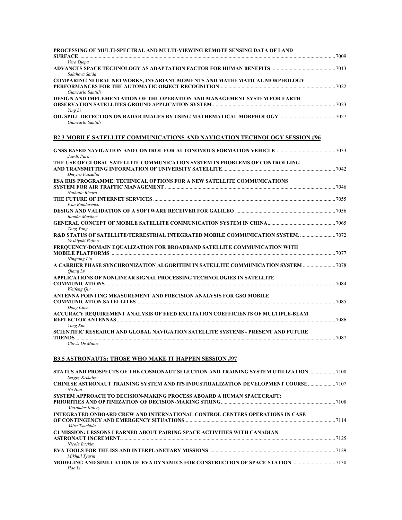| PROCESSING OF MULTI-SPECTRAL AND MULTI-VIEWING REMOTE SENSING DATA OF LAND                                       |      |
|------------------------------------------------------------------------------------------------------------------|------|
| Vera Djepa                                                                                                       |      |
| Salahova Saida<br>COMPARING NEURAL NETWORKS, INVARIANT MOMENTS AND MATHEMATICAL MORPHOLOGY<br>Giancarlo Santilli |      |
| DESIGN AND IMPLEMENTATION OF THE OPERATION AND MANAGEMENT SYSTEM FOR EARTH                                       |      |
| Ying Li<br>Giancarlo Santilli                                                                                    |      |
| <b>B2.3 MOBILE SATELLITE COMMUNICATIONS AND NAVIGATION TECHNOLOGY SESSION #96</b>                                |      |
| Jae-Ik Park                                                                                                      |      |
| THE USE OF GLOBAL SATELLITE COMMUNICATION SYSTEM IN PROBLEMS OF CONTROLLING<br>Dmytro Faizullin                  |      |
| <b>ESA IRIS PROGRAMME: TECHNICAL OPTIONS FOR A NEW SATELLITE COMMUNICATIONS</b>                                  |      |
| Nathalie Ricard                                                                                                  |      |
| Ivan Bondarenko                                                                                                  |      |
| Ramón Martínez                                                                                                   |      |
| Tong Yang<br>R&D STATUS OF SATELLITE/TERRESTRIAL INTEGRATED MOBILE COMMUNICATION SYSTEM.                         |      |
| Yoshiyuki Fujino<br>FREQUENCY-DOMAIN EQUALIZATION FOR BROADBAND SATELLITE COMMUNICATION WITH                     |      |
| Ningning Liu<br>A CARRIER PHASE SYNCHRONIZATION ALGORITHM IN SATELLITE COMMUNICATION SYSTEM                      |      |
| Oiang Lv<br>APPLICATIONS OF NONLINEAR SIGNAL PROCESSING TECHNOLOGIES IN SATELLITE                                |      |
| Weifeng Qiu<br>ANTENNA POINTING MEASUREMENT AND PRECISION ANALYSIS FOR GSO MOBILE                                |      |
| Dong Chen<br>ACCURACY REQUIREMENT ANALYSIS OF FEED EXCITATION COEFFICIENTS OF MULTIPLE-BEAM                      |      |
| Yong Xue<br>SCIENTIFIC RESEARCH AND GLOBAL NAVIGATION SATELLITE SYSTEMS - PRESENT AND FUTURE<br><b>TRENDS</b>    | 7087 |
| Clovis De Matos<br><b>B3.5 ASTRONAUTS: THOSE WHO MAKE IT HAPPEN SESSION #97</b>                                  |      |
| 7100 STATUS AND PROSPECTS OF THE COSMONAUT SELECTION AND TRAINING SYSTEM UTILIZATION                             |      |
| Sergey Krikalev<br><b>CHINESE ASTRONAUT TRAINING SYSTEM AND ITS INDUSTRIALIZATION DEVELOPMENT COURSE  7107</b>   |      |
| Na Han<br>SYSTEM APPROACH TO DECISION-MAKING PROCESS ABOARD A HUMAN SPACECRAFT:                                  |      |
| Alexander Kalery<br>INTEGRATED ONBOARD CREW AND INTERNATIONAL CONTROL CENTERS OPERATIONS IN CASE                 |      |
| Akira Tsuchida<br>C1 MISSION: LESSONS LEARNED ABOUT PAIRING SPACE ACTIVITIES WITH CANADIAN                       |      |

*Nicole Buckley*  **EVA TOOLS FOR THE ISS AND INTERPLANETARY MISSIONS** .................................................................................................7129 *Mikhail Tyurin*  **MODELING AND SIMULATION OF EVA DYNAMICS FOR CONSTRUCTION OF SPACE STATION** .................................7130 *Hao Li*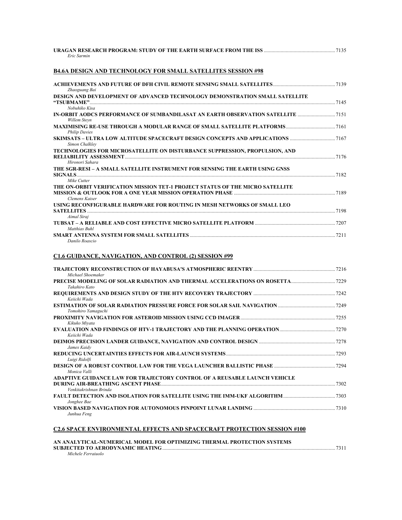| Eric Sarmin                                                                                                            |  |
|------------------------------------------------------------------------------------------------------------------------|--|
| <b>B4.6A DESIGN AND TECHNOLOGY FOR SMALL SATELLITES SESSION #98</b>                                                    |  |
| Zhaoguang Bai                                                                                                          |  |
| <b>DESIGN AND DEVELOPMENT OF ADVANCED TECHNOLOGY DEMONSTRATION SMALL SATELLITE</b><br>Nobuhiko Kisa                    |  |
| <b>IN-ORBIT AODCS PERFORMANCE OF SUMBANDILASAT AN EARTH OBSERVATION SATELLITE </b> 7151<br>Willem Stevn                |  |
| <b>Philip Davies</b>                                                                                                   |  |
| SKIMSATS – ULTRA LOW ALTITUDE SPACECRAFT DESIGN CONCEPTS AND APPLICATIONS ……………………………………………………………………<br>Simon Chalkley |  |
| TECHNOLOGIES FOR MICROSATELLITE ON DISTURBANCE SUPPRESSION, PROPULSION, AND<br>Hironori Sahara                         |  |
| THE SGR-RESI - A SMALL SATELLITE INSTRUMENT FOR SENSING THE EARTH USING GNSS<br>Mike Cutter                            |  |
| THE ON-ORBIT VERIFICATION MISSION TET-1 PROJECT STATUS OF THE MICRO SATELLITE<br>Clemens Kaiser                        |  |
| USING RECONFIGURABLE HARDWARE FOR ROUTING IN MESH NETWORKS OF SMALL LEO<br>Aimal Siraj                                 |  |
| Matthias Buhl                                                                                                          |  |

**SMART ANTENNA SYSTEM FOR SMALL SATELLITES** ................................................................................................................7211 *Danilo Roascio* 

### **C1.6 GUIDANCE, NAVIGATION, AND CONTROL (2) SESSION #99**

| Michael Shoemaker                                                         |      |
|---------------------------------------------------------------------------|------|
|                                                                           |      |
| Takahiro Kato                                                             |      |
| Keiichi Wada                                                              |      |
| Tomohiro Yamaguchi                                                        |      |
| Kikuko Miyata                                                             |      |
| Keiichi Wada                                                              |      |
| James Kaidv                                                               |      |
| Luigi Ridolfi                                                             | 7293 |
| Monica Valli                                                              |      |
| ADAPTIVE GUIDANCE LAW FOR TRAJECTORY CONTROL OF A REUSABLE LAUNCH VEHICLE | 7302 |
| Venkitakrishnan Brinda                                                    |      |
| Jonghee Bae                                                               |      |
|                                                                           |      |
| Junhua Feng                                                               |      |

### **C2.6 SPACE ENVIRONMENTAL EFFECTS AND SPACECRAFT PROTECTION SESSION #100**

| AN ANALYTICAL-NUMERICAL MODEL FOR OPTIMIZING THERMAL PROTECTION SYSTEMS |      |
|-------------------------------------------------------------------------|------|
| SUBJECTED TO AERODYNAMIC HEATING                                        | 7311 |
| Michele Ferraiuolo                                                      |      |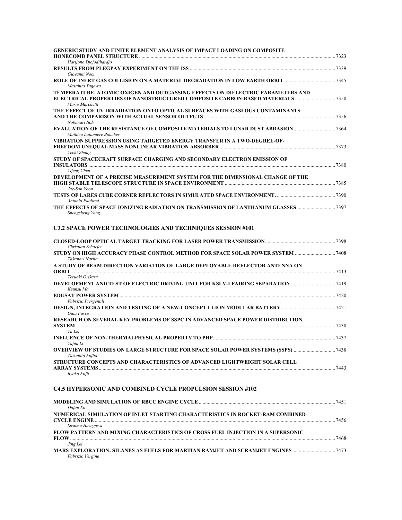| GENERIC STUDY AND FINITE ELEMENT ANALYSIS OF IMPACT LOADING ON COMPOSITE                    |       |
|---------------------------------------------------------------------------------------------|-------|
| Harijono Djojodihardjo                                                                      | .7323 |
|                                                                                             |       |
| Giovanni Noci                                                                               |       |
| Masahito Tagawa                                                                             |       |
| TEMPERATURE, ATOMIC OXIGEN AND OUTGASSING EFFECTS ON DIELECTRIC PARAMETERS AND              |       |
| ELECTRICAL PROPERTIES OF NANOSTRUCTURED COMPOSITE CARBON-BASED MATERIALS<br>Mario Marchetti | 7350  |
| THE EFFECT OF UV IRRADIATION ONTO OPTICAL SURFACES WITH GASEOUS CONTAMINANTS                |       |
| Nobunari Itoh                                                                               | 7356  |
| Mathieu Lalumiere Boucher                                                                   |       |
| VIBRATION SUPPRESSION USING TARGETED ENERGY TRANSFER IN A TWO-DEGREE-OF-                    |       |
|                                                                                             | .7373 |
| Yechi Zhang                                                                                 |       |
| STUDY OF SPACECRAFT SURFACE CHARGING AND SECONDARY ELECTRON EMISSION OF                     |       |
|                                                                                             | 7380  |
| Yifeng Chen                                                                                 |       |
| DEVELOPMENT OF A PRECISE MEASUREMENT SYSTEM FOR THE DIMENSIONAL CHANGE OF THE               |       |
| Jae-San Yoon                                                                                | 7385  |
| Antonio Paolozzi                                                                            |       |
| Shengsheng Yang                                                                             |       |

# **C3.2 SPACE POWER TECHNOLOGIES AND TECHNIQUES SESSION #101**

|                                                                                      | 7398 |
|--------------------------------------------------------------------------------------|------|
| Christian Schaefer                                                                   |      |
| Takanori Narita                                                                      |      |
| A STUDY OF BEAM DIRECTION VARIATION OF LARGE DEPLOYABLE REFLECTOR ANTENNA ON         |      |
| <b>ORBIT</b>                                                                         | 7413 |
| Teruaki Orikasa                                                                      |      |
|                                                                                      |      |
| Keunsu Ma                                                                            |      |
|                                                                                      | 7420 |
| Fabrizio Piergentili                                                                 |      |
|                                                                                      | 7421 |
| Gaia Fusco                                                                           |      |
| <b>RESEARCH ON SEVERAL KEY PROBLEMS OF SSPC IN ADVANCED SPACE POWER DISTRIBUTION</b> |      |
| <b>SYSTEM</b>                                                                        | 7430 |
| Yu Lei                                                                               |      |
|                                                                                      | 7437 |
| Yajun Li                                                                             |      |
|                                                                                      |      |
| Tatsuhito Fujita                                                                     |      |
| STRUCTURE CONCEPTS AND CHARACTERISTICS OF ADVANCED LIGHTWEIGHT SOLAR CELL            |      |
| <b>ARRAY SYSTEMS</b>                                                                 | 7443 |
| Rvoko Fujii                                                                          |      |

# **C4.5 HYPERSONIC AND COMBINED CYCLE PROPULSION SESSION #102**

| Dajun Xu                                                                                           | 7451 |
|----------------------------------------------------------------------------------------------------|------|
| NUMERICAL SIMULATION OF INLET STARTING CHARACTERISTICS IN ROCKET-RAM COMBINED                      |      |
|                                                                                                    | 7456 |
| Susumu Hasegawa<br>FLOW PATTERN AND MIXING CHARACTERISTICS OF CROSS FUEL INJECTION IN A SUPERSONIC |      |
|                                                                                                    | 7468 |
| Jing Lei                                                                                           |      |
| MARS EXPLORATION: SILANES AS FUELS FOR MARTIAN RAMJET AND SCRAMJET ENGINES                         |      |
| Fabrizio Vergine                                                                                   |      |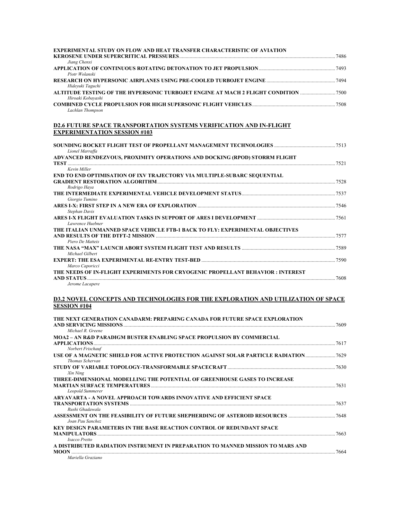| <b>EXPERIMENTAL STUDY ON FLOW AND HEAT TRANSFER CHARACTERISTIC OF AVIATION</b>                                    |  |
|-------------------------------------------------------------------------------------------------------------------|--|
| Jiang Chenxi<br>Piotr Wolanski                                                                                    |  |
|                                                                                                                   |  |
| Hidevuki Taguchi                                                                                                  |  |
| ALTITUDE TESTING OF THE HYPERSONIC TURBOJET ENGINE AT MACH 2 FLIGHT CONDITION<br>Hiroaki Kobavashi                |  |
| Lachlan Thompson                                                                                                  |  |
| <b>D2.6 FUTURE SPACE TRANSPORTATION SYSTEMS VERIFICATION AND IN-FLIGHT</b><br><b>EXPERIMENTATION SESSION #103</b> |  |
| Lionel Marraffa                                                                                                   |  |
| ADVANCED RENDEZVOUS, PROXIMITY OPERATIONS AND DOCKING (RPOD) STORRM FLIGHT                                        |  |
| Kevin Miller                                                                                                      |  |
| END TO END OPTIMISATION OF IXV TRAJECTORY VIA MULTIPLE-SUBARC SEQUENTIAL                                          |  |
| Rodrigo Haya                                                                                                      |  |
| Giorgio Tumino                                                                                                    |  |
| Stephan Davis                                                                                                     |  |
| Lawrence Huebner                                                                                                  |  |
| THE ITALIAN UNMANNED SPACE VEHICLE FTB-1 BACK TO FLY: EXPERIMENTAL OBJECTIVES                                     |  |
| Piero De Matteis<br>Michael Gilbert                                                                               |  |
| Marco Caporicci                                                                                                   |  |
| THE NEEDS OF IN-FLIGHT EXPERIMENTS FOR CRYOGENIC PROPELLANT BEHAVIOR : INTEREST                                   |  |

*Jerome Lacapere* 

#### **D3.2 NOVEL CONCEPTS AND TECHNOLOGIES FOR THE EXPLORATION AND UTILIZATION OF SPACE SESSION #104**

| THE NEXT GENERATION CANADARM: PREPARING CANADA FOR FUTURE SPACE EXPLORATION      |       |
|----------------------------------------------------------------------------------|-------|
|                                                                                  | 7609  |
| Michael R. Greene                                                                |       |
| <b>MOA2 - AN R&amp;D PARADIGM BUSTER ENABLING SPACE PROPULSION BY COMMERCIAL</b> |       |
| <b>APPLICATIONS</b>                                                              | 7617  |
| Norbert Frischauf                                                                |       |
| USE OF A MAGNETIC SHIELD FOR ACTIVE PROTECTION AGAINST SOLAR PARTICLE RADIATION  | 7629  |
| <b>Thomas Schervan</b>                                                           |       |
|                                                                                  | .7630 |
| Xin Ning                                                                         |       |
| THREE-DIMENSIONAL MODELLING THE POTENTIAL OF GREENHOUSE GASES TO INCREASE        |       |
|                                                                                  | 7631  |
| Leopold Summerer                                                                 |       |
| ARYAVARTA - A NOVEL APPROACH TOWARDS INNOVATIVE AND EFFICIENT SPACE              |       |
|                                                                                  | 7637  |
| Rushi Ghadawala                                                                  |       |
| ASSESSMENT ON THE FEASIBILITY OF FUTURE SHEPHERDING OF ASTEROID RESOURCES        | 7648  |
| Joan Pau Sanchez                                                                 |       |
| KEY DESIGN PARAMETERS IN THE BASE REACTION CONTROL OF REDUNDANT SPACE            |       |
|                                                                                  | 7663  |
| Isacco Pretto                                                                    |       |
| A DISTRIBUTED RADIATION INSTRUMENT IN PREPARATION TO MANNED MISSION TO MARS AND  |       |
| <b>MOON</b>                                                                      | 7664  |
| Mariella Graziano                                                                |       |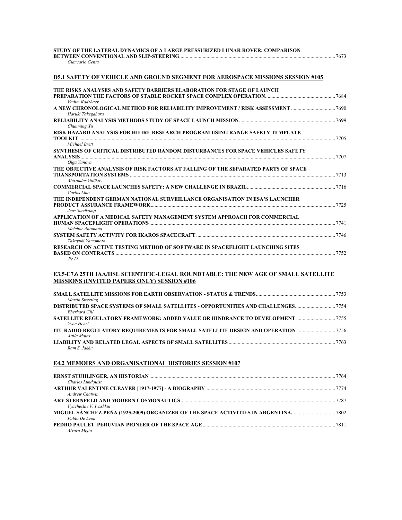| STUDY OF THE LATERAL DYNAMICS OF A LARGE PRESSURIZED LUNAR ROVER: COMPARISON- |  |
|-------------------------------------------------------------------------------|--|
| BETWEEN CONVENTIONAL AND SLIP-STEERING                                        |  |
| Giancarlo Genta                                                               |  |

## **D5.1 SAFETY OF VEHICLE AND GROUND SEGMENT FOR AEROSPACE MISSIONS SESSION #105**

| THE RISKS ANALYSES AND SAFETY BARRIERS ELABORATION FOR STAGE OF LAUNCH<br>Vadim Kadzhaev                                           | 7684  |
|------------------------------------------------------------------------------------------------------------------------------------|-------|
| Haruki Takegahara                                                                                                                  | .7690 |
| Chunming Xu                                                                                                                        | 7699  |
| RISK HAZARD ANALYSIS FOR HIFIRE RESEARCH PROGRAM USING RANGE SAFETY TEMPLATE<br>Michael Brett                                      | 7705  |
| SYNTHESIS OF CRITICAL DISTRIBUTED RANDOM DISTURBANCES FOR SPACE VEHICLES SAFETY                                                    | 7707  |
| Olga Yanova<br>THE OBJECTIVE ANALYSIS OF RISK FACTORS AT FALLING OF THE SEPARATED PARTS OF SPACE                                   | 7713  |
| Alexander Golikov<br>Carlos Lino                                                                                                   |       |
| THE INDEPENDENT GERMAN NATIONAL SURVEILLANCE ORGANISATION IN ESA'S LAUNCHER<br><b>PRODUCT ASSURANCE FRAMEWORK</b><br>Jens Suedkamp | 7725  |
| APPLICATION OF A MEDICAL SAFETY MANAGEMENT SYSTEM APPROACH FOR COMMERCIAL                                                          | 7741  |
| Melchor Antunano<br>Takavuki Yamamoto                                                                                              |       |
| RESEARCH ON ACTIVE TESTING METHOD OF SOFTWARE IN SPACEFLIGHT LAUNCHING SITES<br>Jie Li                                             | 7752  |

#### **E3.5-E7.6 25TH IAA/IISL SCIENTIFIC-LEGAL ROUNDTABLE: THE NEW AGE OF SMALL SATELLITE MISSIONS (INVITED PAPERS ONLY) SESSION #106**

| Martin Sweeting                                                                                      | 7753 |
|------------------------------------------------------------------------------------------------------|------|
| DISTRIBUTED SPACE SYSTEMS OF SMALL SATELLITES - OPPORTUNITIES AND CHALLENGES7754                     |      |
| Eberhard Gill                                                                                        |      |
| Yvon Henri<br><b>ITU RADIO REGULATORY REQUIREMENTS FOR SMALL SATELLITE DESIGN AND OPERATION 7756</b> |      |
| Attila Matas                                                                                         | 7763 |
| Ram S. Jakhu                                                                                         |      |

### **E4.2 MEMOIRS AND ORGANISATIONAL HISTORIES SESSION #107**

|                        | 7764 |
|------------------------|------|
| Charles Lundquist      |      |
|                        |      |
| Andrew Chatwin         |      |
|                        |      |
| Vyacheslav V. Ivashkin |      |
|                        |      |
| Pablo De Leon          |      |
|                        |      |
| Alvaro Mejía           |      |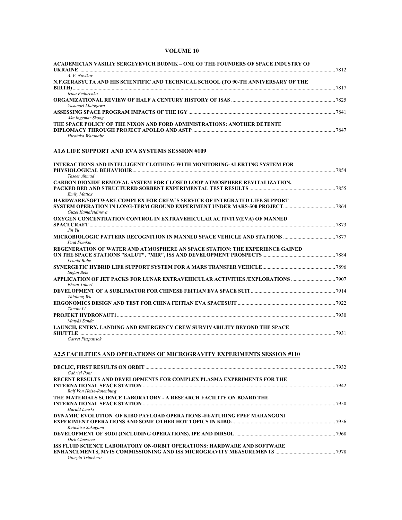### **VOLUME 10**

| ACADEMICIAN VASILIY SERGEYEVICH BUDNIK – ONE OF THE FOUNDERS OF SPACE INDUSTRY OF                   |  |
|-----------------------------------------------------------------------------------------------------|--|
| A. V. Novikov<br>N.F.GERASYUTA AND HIS SCIENTIFIC AND TECHNICAL SCHOOL (TO 90-TH ANNIVERSARY OF THE |  |
| Irina Fedorenko                                                                                     |  |
| Yasunori Matogawa                                                                                   |  |
| Ake Ingemar Skoog                                                                                   |  |
| THE SPACE POLICY OF THE NIXON AND FORD ADMINISTRATIONS: ANOTHER DÉTENTE<br>Hirotaka Watanabe        |  |
| A1.6 LIFE SUPPORT AND EVA SYSTEMS SESSION #109                                                      |  |
| INTERACTIONS AND INTELLIGENT CLOTHING WITH MONITORING-ALERTING SYSTEM FOR<br>Taseer Ahmad           |  |
| CARBON DIOXIDE REMOVAL SYSTEM FOR CLOSED LOOP ATMOSPHERE REVITALIZATION,<br><b>Emily Mattox</b>     |  |
| HARDWARE/SOFTWARE COMPLEX FOR CREW'S SERVICE OF INTEGRATED LIFE SUPPORT<br>Guzel Kamaletdinova      |  |
| OXYGEN CONCENTRATION CONTROL IN EXTRAVEHICULAR ACTIVITY(EVA) OF MANNED<br>Jin Yu                    |  |
| Paul Fomkin                                                                                         |  |
| REGENERATION OF WATER AND ATMOSPHERE AN SPACE STATION: THE EXPERIENCE GAINED<br>Leonid Bobe         |  |
| Stefan Belz                                                                                         |  |
| APPLICATION OF JET PACKS FOR LUNAR EXTRAVEHICULAR ACTIVITIES /EXPLORATIONS 7907<br>Ehsan Taheri     |  |
| Zhiqiang Wu                                                                                         |  |
| Tangiu Li                                                                                           |  |
| Matyáš Sanda                                                                                        |  |
| LAUNCH, ENTRY, LANDING AND EMERGENCY CREW SURVIVABILITY BEYOND THE SPACE                            |  |
| Garret Fitzpatrick                                                                                  |  |
| <b>A2.5 FACILITIES AND OPERATIONS OF MICROGRAVITY EXPERIMENTS SESSION #110</b>                      |  |
| <b>Gabriel Pont</b>                                                                                 |  |
| RECENT RESULTS AND DEVELOPMENTS FOR COMPLEX PLASMA EXPERIMENTS FOR THE<br>Ralf Von Heise-Rotenburg  |  |
| THE MATERIALS SCIENCE LABORATORY - A RESEARCH FACILITY ON BOARD THE<br>Harald Lenski                |  |
| DYNAMIC EVOLUTION  OF KIBO PAYLOAD OPERATIONS -FEATURING FPEF MARANGONI<br>Keiichiro Sakagami       |  |
| Dirk Claessens                                                                                      |  |
| ISS FLUID SCIENCE LABORATORY ON-ORBIT OPERATIONS: HARDWARE AND SOFTWARE<br>Giorgio Trinchero        |  |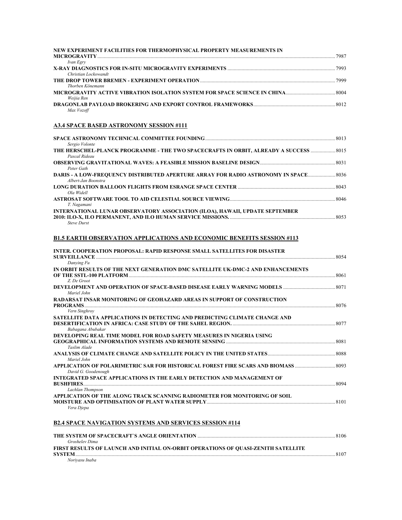| NEW EXPERIMENT FACILITIES FOR THERMOPHYSICAL PROPERTY MEASUREMENTS IN | 7987 |
|-----------------------------------------------------------------------|------|
| Ivan Egry                                                             |      |
| Christian Lockowandt                                                  |      |
| Thorben Könemann                                                      | 7999 |
| Weijia Ren                                                            |      |
| Max Vozoff                                                            |      |

### **A3.4 SPACE BASED ASTRONOMY SESSION #111**

| Sergio Volonte                                                                                              |  |
|-------------------------------------------------------------------------------------------------------------|--|
| THE HERSCHEL-PLANCK PROGRAMME - THE TWO SPACECRAFTS IN ORBIT, ALREADY A SUCCESS  8015<br>Pascal Rideau      |  |
| Peter Gath                                                                                                  |  |
| DARIS - A LOW-FREQUENCY DISTRIBUTED APERTURE ARRAY FOR RADIO ASTRONOMY IN SPACE 8036<br>Albert-Jan Boonstra |  |
| Ola Widell                                                                                                  |  |
| T. Nagamani                                                                                                 |  |
| INTERNATIONAL LUNAR OBSERVATORY ASSOCIATION (ILOA), HAWAII, UPDATE SEPTEMBER<br><b>Steve Durst</b>          |  |

### **B1.5 EARTH OBSERVATION APPLICATIONS AND ECONOMIC BENEFITS SESSION #113**

| INTER. COOPERATION PROPOSAL: RAPID RESPONSE SMALL SATELLITES FOR DISASTER                                 |       |
|-----------------------------------------------------------------------------------------------------------|-------|
|                                                                                                           |       |
| Danying Fu<br>IN ORBIT RESULTS OF THE NEXT GENERATION DMC SATELLITE UK-DMC-2 AND ENHANCEMENTS             |       |
|                                                                                                           |       |
| Z. De Groot                                                                                               |       |
| Mariel John                                                                                               |       |
| RADARSAT INSAR MONITORING OF GEOHAZARD AREAS IN SUPPORT OF CONSTRUCTION                                   |       |
| Vern Singhroy                                                                                             |       |
| SATELLITE DATA APPLICATIONS IN DETECTING AND PREDICTING CLIMATE CHANGE AND                                |       |
|                                                                                                           |       |
| Babagana Abubakar<br>DEVELOPING REAL TIME MODEL FOR ROAD SAFETY MEASURES IN NIGERIA USING                 |       |
| GEOGRAPHICAL INFORMATION SYSTEMS AND REMOTE SENSING <b>CONSUMING AND SEXTEM</b> 8081                      |       |
| Taslim Alade                                                                                              |       |
| Mariel John                                                                                               |       |
| APPLICATION OF POLARIMETRIC SAR FOR HISTORICAL FOREST FIRE SCARS AND BIOMASS  8093<br>David G. Goodenough |       |
| INTEGRATED SPACE APPLICATIONS IN THE EARLY DETECTION AND MANAGEMENT OF                                    |       |
|                                                                                                           |       |
| Lachlan Thompson<br>APPLICATION OF THE ALONG TRACK SCANNING RADIOMETER FOR MONITORING OF SOIL             |       |
|                                                                                                           |       |
| Vera Diepa                                                                                                |       |
| <b>B2.4 SPACE NAVIGATION SYSTEMS AND SERVICES SESSION #114</b>                                            |       |
| <b>THE CUCTION OF CRACKATION AND ANOTE OBJEVILE TO A</b>                                                  | 0.10< |

| THE SYSTEM OF SPACECRAFT'S ANGLE ORIENTATION ……………………………………………………………………………………………  | 8106 |
|-----------------------------------------------------------------------------------|------|
| Groshelev Dima                                                                    |      |
| FIRST RESULTS OF LAUNCH AND INITIAL ON-ORBIT OPERATIONS OF OUASI-ZENITH SATELLITE |      |
| SVSTEM                                                                            | 8107 |
| Norivasu Inaba                                                                    |      |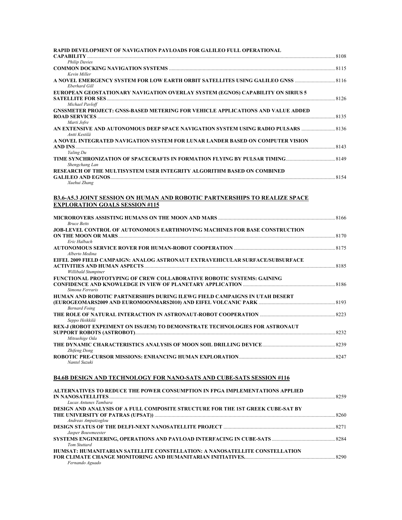| <b>RAPID DEVELOPMENT OF NAVIGATION PAYLOADS FOR GALILEO FULL OPERATIONAL</b><br>8108 ـ 8108 ـ ـ ـ ـ ـ ـ 8108 ـ ـ ـ ـ ـ ـ ـ ـ 8108 ـ ـ ـ ـ ـ ـ ـ ـ 8108 ـ ـ ـ ـ ـ ـ ـ ـ 8108 ـ ـ ـ ـ ـ ـ ـ 8108 |  |
|------------------------------------------------------------------------------------------------------------------------------------------------------------------------------------------------|--|
| <b>Philip Davies</b>                                                                                                                                                                           |  |
| Kevin Miller                                                                                                                                                                                   |  |
| Eberhard Gill                                                                                                                                                                                  |  |
| EUROPEAN GEOSTATIONARY NAVIGATION OVERLAY SYSTEM (EGNOS) CAPABILITY ON SIRIUS 5                                                                                                                |  |
| Michael Pavloff                                                                                                                                                                                |  |
| GNSSMETER PROJECT: GNSS-BASED METERING FOR VEHICLE APPLICATIONS AND VALUE ADDED<br>Marti Jofre                                                                                                 |  |
| AN EXTENSIVE AND AUTONOMOUS DEEP SPACE NAVIGATION SYSTEM USING RADIO PULSARS<br>Antti Kestilä                                                                                                  |  |
| A NOVEL INTEGRATED NAVIGATION SYSTEM FOR LUNAR LANDER BASED ON COMPUTER VISION                                                                                                                 |  |
| Yaling Du                                                                                                                                                                                      |  |
| Shengchang Lan<br>RESEARCH OF THE MULTISYSTEM USER INTEGRITY ALGORITHM BASED ON COMBINED                                                                                                       |  |
| Xuehui Zhang                                                                                                                                                                                   |  |
| <b>B3.6-A5.3 JOINT SESSION ON HUMAN AND ROBOTIC PARTNERSHIPS TO REALIZE SPACE</b>                                                                                                              |  |
| <b>EXPLORATION GOALS SESSION #115</b>                                                                                                                                                          |  |
| <b>Bruce Betts</b>                                                                                                                                                                             |  |
| JOB-LEVEL CONTROL OF AUTONOMOUS EARTHMOVING MACHINES FOR BASE CONSTRUCTION                                                                                                                     |  |
| Eric Halbach<br>Alberto Medina                                                                                                                                                                 |  |
| EIFEL 2009 FIELD CAMPAIGN: ANALOG ASTRONAUT EXTRAVEHICULAR SURFACE/SUBSURFACE<br>Willibald Stumptner                                                                                           |  |
| FUNCTIONAL PROTOTYPING OF CREW COLLABORATIVE ROBOTIC SYSTEMS: GAINING<br>Simona Ferraris                                                                                                       |  |
| HUMAN AND ROBOTIC PARTNERSHIPS DURING ILEWG FIELD CAMPAIGNS IN UTAH DESERT                                                                                                                     |  |
| <b>Bernard Foing</b><br>Seppo Heikkilä                                                                                                                                                         |  |
| REX-J (ROBOT EXPEIMENT ON ISS/JEM) TO DEMONSTRATE TECHNOLOGIES FOR ASTRONAUT                                                                                                                   |  |
| Mitsushige Oda                                                                                                                                                                                 |  |
| Zhifeng Dong<br>Nantel Suzuki                                                                                                                                                                  |  |
| <b>B4.6B DESIGN AND TECHNOLOGY FOR NANO-SATS AND CUBE-SATS SESSION #116</b>                                                                                                                    |  |
| ALTERNATIVES TO REDUCE THE POWER CONSUMPTION IN FPGA IMPLEMENTATIONS APPLIED<br>Lucas Antunes Tambara                                                                                          |  |

| Lucas Antunes Tambara                                                           |  |
|---------------------------------------------------------------------------------|--|
| DESIGN AND ANALYSIS OF A FULL COMPOSITE STRUCTURE FOR THE 1ST GREEK CUBE-SAT BY |  |
|                                                                                 |  |
| Andreas Ampatzoglou                                                             |  |
|                                                                                 |  |
| Jasper Bouwmeester                                                              |  |
|                                                                                 |  |
| <b>Tom Stuttard</b>                                                             |  |
| HUMSAT: HUMANITARIAN SATELLITE CONSTELLATION: A NANOSATELLITE CONSTELLATION     |  |
|                                                                                 |  |
| Fernando Aguado                                                                 |  |
|                                                                                 |  |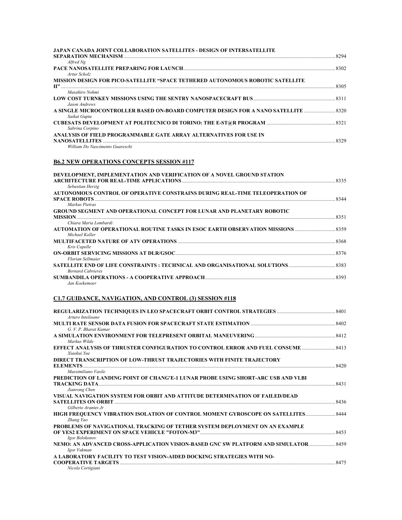| <b>JAPAN CANADA JOINT COLLABORATION SATELLITES - DESIGN OF INTERSATELLITE</b>                               |      |
|-------------------------------------------------------------------------------------------------------------|------|
| Alfred Ng                                                                                                   |      |
| Artur Scholz                                                                                                |      |
| <b>MISSION DESIGN FOR PICO-SATELLITE "SPACE TETHERED AUTONOMOUS ROBOTIC SATELLITE</b><br>$\Pi$ <sup>2</sup> | 8305 |
| Masahiro Nohmi                                                                                              |      |
| Jason Andrews                                                                                               |      |
| A SINGLE MICROCONTROLLER BASED ON-BOARD COMPUTER DESIGN FOR A NANO SATELLITE  8320<br>Saikat Gupta          |      |
| Sabrina Corpino                                                                                             |      |
| ANALYSIS OF FIELD PROGRAMMABLE GATE ARRAY ALTERNATIVES FOR USE IN                                           |      |

*William Do Nascimento Guareschi* 

### **B6.2 NEW OPERATIONS CONCEPTS SESSION #117**

| DEVELOPMENT, IMPLEMENTATION AND VERIFICATION OF A NOVEL GROUND STATION        |      |
|-------------------------------------------------------------------------------|------|
|                                                                               |      |
| Sebastian Herzig                                                              |      |
| AUTONOMOUS CONTROL OF OPERATIVE CONSTRAINS DURING REAL-TIME TELEOPERATION OF  |      |
|                                                                               | 8344 |
| Markus Pietras                                                                |      |
| <b>GROUND SEGMENT AND OPERATIONAL CONCEPT FOR LUNAR AND PLANETARY ROBOTIC</b> |      |
| <b>MISSION</b>                                                                | 8351 |
| Chiara Maria Lombardi                                                         |      |
| AUTOMATION OF OPERATIONAL ROUTINE TASKS IN ESOC EARTH OBSERVATION MISSIONS    |      |
| Michael Koller                                                                |      |
|                                                                               |      |
| Kris Capelle                                                                  |      |
|                                                                               |      |
| Florian Sellmaier                                                             |      |
|                                                                               |      |
| <b>Bernard Cabrieres</b>                                                      |      |
|                                                                               | 8393 |
| Jan Koekemoer                                                                 |      |

# **C1.7 GUIDANCE, NAVIGATION, AND CONTROL (3) SESSION #118**

| Arturo Intelisano                                                                                                         |      |
|---------------------------------------------------------------------------------------------------------------------------|------|
| G. V. P. Bharat Kumar                                                                                                     |      |
| Markus Wilde                                                                                                              |      |
| EFFECT ANALYSIS OF THRUSTER CONFIGURATION TO CONTROL ERROR AND FUEL CONSUME 8413<br>Xiaokui Yue                           |      |
| <b>DIRECT TRANSCRIPTION OF LOW-THRUST TRAJECTORIES WITH FINITE TRAJECTORY</b>                                             |      |
| Massimiliano Vasile<br>PREDICTION OF LANDING POINT OF CHANG'E-1 LUNAR PROBE USING SHORT-ARC USB AND VLBI<br>Jianrong Chen | 8431 |
| VISUAL NAVIGATION SYSTEM FOR ORBIT AND ATTITUDE DETERMINATION OF FAILED/DEAD<br>Gilberto Arantes Jr                       |      |
| HIGH FREQUENCY VIBRATION ISOLATION OF CONTROL MOMENT GYROSCOPE ON SATELLITES<br>Zhang Yao                                 |      |
| PROBLEMS OF NAVIGATIONAL TRACKING OF TETHER SYSTEM DEPLOYMENT ON AN EXAMPLE<br><b>Igor Belokonov</b>                      | 8453 |
| NEMO: AN ADVANCED CROSS-APPLICATION VISION-BASED GNC SW PLATFORM AND SIMULATOR  8459<br>Igor Vukman                       |      |
| A LABORATORY FACILITY TO TEST VISION-AIDED DOCKING STRATEGIES WITH NO-<br>Nicola Cortigiani                               | 8475 |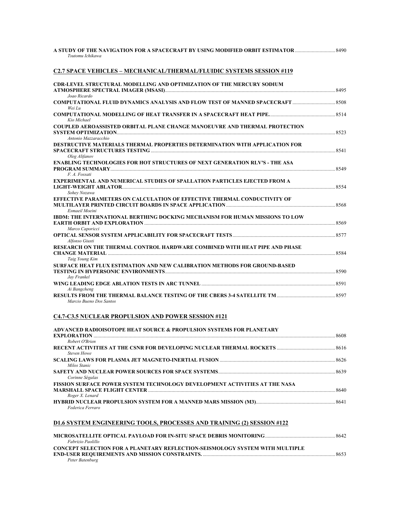| Tsutomu Ichikawa                                                                                           |  |
|------------------------------------------------------------------------------------------------------------|--|
| C2.7 SPACE VEHICLES – MECHANICAL/THERMAL/FLUIDIC SYSTEMS SESSION #119                                      |  |
| <b>CDR-LEVEL STRUCTURAL MODELLING AND OPTIMIZATION OF THE MERCURY SODIUM</b>                               |  |
| Joao Ricardo                                                                                               |  |
| Wei Lu                                                                                                     |  |
| Kio Michael                                                                                                |  |
| <b>COUPLED AEROASSISTED ORBITAL PLANE CHANGE MANOEUVRE AND THERMAL PROTECTION</b>                          |  |
| Antonio Mazzaracchio<br><b>DESTRUCTIVE MATERIALS THERMAL PROPERTIES DETERMINATION WITH APPLICATION FOR</b> |  |
| Oleg Alifanov                                                                                              |  |
| <b>ENABLING TECHNOLOGIES FOR HOT STRUCTURES OF NEXT GENERATION RLV'S - THE ASA</b>                         |  |
| F. A. Fossati                                                                                              |  |
| <b>EXPERIMENTAL AND NUMERICAL STUDIES OF SPALLATION PARTICLES EJECTED FROM A</b>                           |  |
| Sohev Nozawa                                                                                               |  |
| <b>EFFECTIVE PARAMETERS ON CALCULATION OF EFFECTIVE THERMAL CONDUCTIVITY OF</b>                            |  |
| Esmaeil Moeini                                                                                             |  |
| IBDM: THE INTERNATIONAL BERTHING DOCKING MECHANISM FOR HUMAN MISSIONS TO LOW                               |  |
| Marco Caporicci                                                                                            |  |
| Alfonso Giusti                                                                                             |  |
| RESEARCH ON THE THERMAL CONTROL HARDWARE COMBINED WITH HEAT PIPE AND PHASE                                 |  |
|                                                                                                            |  |
| Taig Young Kim<br>SURFACE HEAT FLUX ESTIMATION AND NEW CALIBRATION METHODS FOR GROUND-BASED                |  |
|                                                                                                            |  |
| Jay Frankel                                                                                                |  |
| Ai Bangcheng                                                                                               |  |
| Marcio Bueno Dos Santos                                                                                    |  |

# **C4.7-C3.5 NUCLEAR PROPULSION AND POWER SESSION #121**

| <b>ADVANCED RADIOISOTOPE HEAT SOURCE &amp; PROPULSION SYSTEMS FOR PLANETARY</b> |      |
|---------------------------------------------------------------------------------|------|
|                                                                                 | 8608 |
| Robert O'Brien                                                                  |      |
|                                                                                 |      |
| <b>Steven Howe</b>                                                              |      |
|                                                                                 |      |
| Milos Stanic                                                                    |      |
|                                                                                 | 8639 |
| Corinne Ségalas                                                                 |      |
| FISSION SURFACE POWER SYSTEM TECHNOLOGY DEVELOPMENT ACTIVITIES AT THE NASA      |      |
|                                                                                 | 8640 |
| Roger X. Lenard                                                                 |      |
|                                                                                 |      |
| Federica Ferraro                                                                |      |
|                                                                                 |      |
|                                                                                 |      |

# **D1.6 SYSTEM ENGINEERING TOOLS, PROCESSES AND TRAINING (2) SESSION #122**

|                                                                                     | 8642 |
|-------------------------------------------------------------------------------------|------|
| Fabrizio Paolillo                                                                   |      |
| <b>CONCEPT SELECTION FOR A PLANETARY REFLECTION-SEISMOLOGY SYSTEM WITH MULTIPLE</b> |      |
|                                                                                     | 8653 |
| Peter Batenburg                                                                     |      |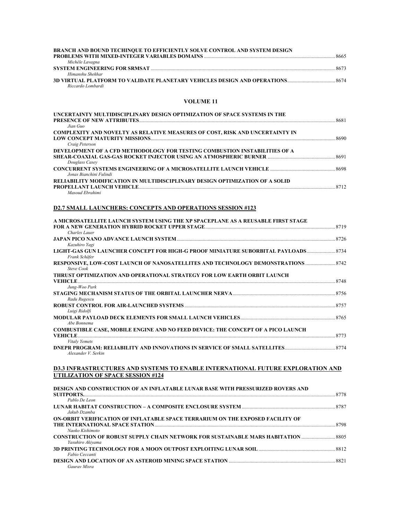| BRANCH AND BOUND TECHINQUE TO EFFICIENTLY SOLVE CONTROL AND SYSTEM DESIGN |      |
|---------------------------------------------------------------------------|------|
|                                                                           | 8665 |
| Michèle Lavagna                                                           |      |
|                                                                           | 8673 |
| Himanshu Shekhar                                                          |      |
|                                                                           |      |
| Riccardo Lombardi                                                         |      |

#### **VOLUME 11**

| UNCERTAINTY MULTIDISCIPLINARY DESIGN OPTIMIZATION OF SPACE SYSTEMS IN THE           |      |
|-------------------------------------------------------------------------------------|------|
|                                                                                     | 8681 |
| Jian Guo                                                                            |      |
| <b>COMPLEXITY AND NOVELTY AS RELATIVE MEASURES OF COST, RISK AND UNCERTAINTY IN</b> |      |
|                                                                                     |      |
| Craig Peterson                                                                      |      |
| DEVELOPMENT OF A CFD METHODOLOGY FOR TESTING COMBUSTION INSTABILITIES OF A          |      |
| 8691 [891] SHEAR-COAXIAL GAS-GAS ROCKET INJECTOR USING AN ATMOSPHERIC BURNER        |      |
| Douglass Casey                                                                      |      |
|                                                                                     |      |
| Jonas Bianchini Fulindi                                                             |      |
| RELIABILITY MODIFICATION IN MULTIDISCIPLINARY DESIGN OPTIMIZATION OF A SOLID        |      |
|                                                                                     |      |

*Masoud Ebrahimi* 

#### **D2.7 SMALL LAUNCHERS: CONCEPTS AND OPERATIONS SESSION #123**

| A MICROSATELLITE LAUNCH SYSTEM USING THE XP SPACEPLANE AS A REUSABLE FIRST STAGE                |       |
|-------------------------------------------------------------------------------------------------|-------|
| Charles Lauer                                                                                   |       |
|                                                                                                 |       |
| Kazuhiro Yagi                                                                                   |       |
| LIGHT-GAS GUN LAUNCHER CONCEPT FOR HIGH-G PROOF MINIATURE SUBORBITAL PAYLOADS<br>Frank Schäfer  |       |
| RESPONSIVE, LOW-COST LAUNCH OF NANOSATELLITES AND TECHNOLOGY DEMONSTRATIONS  8742<br>Steve Cook |       |
| THRUST OPTIMIZATION AND OPERATIONAL STRATEGY FOR LOW EARTH ORBIT LAUNCH                         |       |
| Jung-Woo Park                                                                                   |       |
| Radu Rugescu                                                                                    |       |
| Luigi Ridolfi                                                                                   |       |
| Abe Bonnema                                                                                     |       |
| <b>COMBUSTIBLE CASE, MOBILE ENGINE AND NO FEED DEVICE: THE CONCEPT OF A PICO LAUNCH</b>         |       |
| <b>Vitaly Yemets</b>                                                                            |       |
| Alexander V. Serkin                                                                             |       |
| <b>D3.3 INFRASTRUCTURES AND SYSTEMS TO ENABLE INTERNATIONAL FUTURE EXPLORATION AND</b>          |       |
| UTILIZATION OF SPACE SESSION #124                                                               |       |
| DESIGN AND CONSTRUCTION OF AN INFLATABLE LUNAR BASE WITH PRESSURIZED ROVERS AND                 |       |
| Pablo De Leon                                                                                   |       |
|                                                                                                 |       |
| Jakub Dzamba                                                                                    |       |
| ON-ORBIT VERIFICATION OF INFLATABLE SPACE TERRARIUM ON THE EXPOSED FACILITY OF                  | .8798 |
| Naoko Kishimoto                                                                                 |       |
| <b>CONSTRUCTION OF ROBUST SUPPLY CHAIN NETWORK FOR SUSTAINABLE MARS HABITATION </b> 8805        |       |

*Yasuhiro Akiyama*  **3D PRINTING TECHNOLOGY FOR A MOON OUTPOST EXPLOITING LUNAR SOIL** ...........................................................8812 *Fabio Ceccanti*  **DESIGN AND LOCATION OF AN ASTEROID MINING SPACE STATION** ..................................................................................8821 *Gaurav Misra*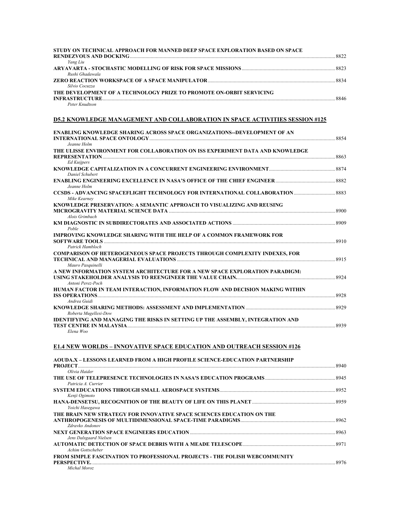| STUDY ON TECHNICAL APPROACH FOR MANNED DEEP SPACE EXPLORATION BASED ON SPACE |      |
|------------------------------------------------------------------------------|------|
|                                                                              | 8822 |
| Yang Liu                                                                     |      |
|                                                                              |      |
| Rushi Ghadawala                                                              |      |
|                                                                              | 8834 |
| Silvio Cocuzza                                                               |      |
| THE DEVELOPMENT OF A TECHNOLOGY PRIZE TO PROMOTE ON-ORBIT SERVICING          |      |
|                                                                              | 8846 |
|                                                                              |      |

*Peter Knudtson* 

### **D5.2 KNOWLEDGE MANAGEMENT AND COLLABORATION IN SPACE ACTIVITIES SESSION #125**

| <b>ENABLING KNOWLEDGE SHARING ACROSS SPACE ORGANIZATIONS--DEVELOPMENT OF AN</b>       |       |
|---------------------------------------------------------------------------------------|-------|
|                                                                                       | .8854 |
| Jeanne Holm                                                                           |       |
| THE ULISSE ENVIRONMENT FOR COLLABORATION ON ISS EXPERIMENT DATA AND KNOWLEDGE         |       |
| REPRESENTATION <b>CONSIDERATION</b><br><b>Ed Kuijpers</b>                             | 8863  |
|                                                                                       |       |
| Daniel Schubert                                                                       |       |
| Jeanne Holm                                                                           |       |
|                                                                                       |       |
| Mike Kearney                                                                          |       |
| KNOWLEDGE PRESERVATION: A SEMANTIC APPROACH TO VISUALIZING AND REUSING                |       |
| Alois Grimbach                                                                        | .8900 |
|                                                                                       | 8909  |
| Poble                                                                                 |       |
| <b>IMPROVING KNOWLEDGE SHARING WITH THE HELP OF A COMMON FRAMEWORK FOR</b>            |       |
| SOFTWARE TOOLS                                                                        | .8910 |
| Patrick Hambloch                                                                      |       |
| <b>COMPARISON OF HETEROGENEOUS SPACE PROJECTS THROUGH COMPLEXITY INDEXES, FOR</b>     |       |
|                                                                                       | 8915  |
| Mauro Pasquinelli                                                                     |       |
| A NEW INFORMATION SYSTEM ARCHITECTURE FOR A NEW SPACE EXPLORATION PARADIGM:           |       |
| Antoni Perez-Poch                                                                     | .8924 |
| HUMAN FACTOR IN TEAM INTERACTION, INFORMATION FLOW AND DECISION MAKING WITHIN         |       |
| <b>ISS OPERATIONS</b> 2028                                                            |       |
| Andrea Guidi                                                                          |       |
|                                                                                       |       |
| Roberta Mugellesi-Dow                                                                 |       |
| <b>IDENTIFYING AND MANAGING THE RISKS IN SETTING UP THE ASSEMBLY, INTEGRATION AND</b> |       |
| <b>TEST CENTRE IN MALAYSIA</b>                                                        | 8939  |
| Elena Woo                                                                             |       |

## **E1.4 NEW WORLDS – INNOVATIVE SPACE EDUCATION AND OUTREACH SESSION #126**

| <b>AOUDA.X – LESSONS LEARNED FROM A HIGH PROFILE SCIENCE-EDUCATION PARTNERSHIP</b><br><b>PROJECT</b>       |  |
|------------------------------------------------------------------------------------------------------------|--|
| Olivia Haider                                                                                              |  |
| Patricia A. Currier                                                                                        |  |
| Kenji Ogimoto                                                                                              |  |
| Yoichi Hasegawa                                                                                            |  |
| THE BRAIN NEW STRATEGY FOR INNOVATIVE SPACE SCIENCES EDUCATION ON THE<br>Zdravko Andonov                   |  |
| Jens Dalsgaard Nielsen                                                                                     |  |
| Achim Gottscheber                                                                                          |  |
| FROM SIMPLE FASCINATION TO PROFESSIONAL PROJECTS - THE POLISH WEBCOMMUNITY<br>PERSPECTIVE.<br>Michal Moroz |  |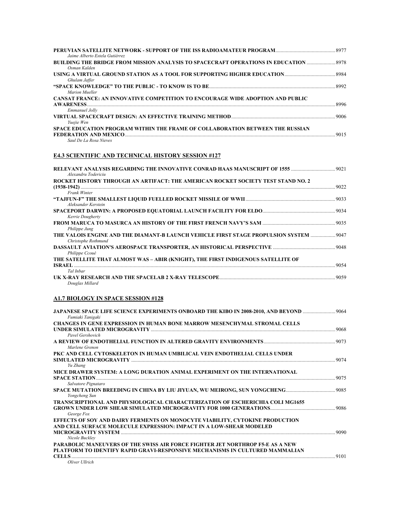| Jaime Alberto Estela Gutiérrez                                                                                                           |      |
|------------------------------------------------------------------------------------------------------------------------------------------|------|
| Osman Kalden                                                                                                                             |      |
| Ghulam Jaffer                                                                                                                            |      |
| Marion Mueller                                                                                                                           |      |
| <b>CANSAT FRANCE: AN INNOVATIVE COMPETITION TO ENCOURAGE WIDE ADOPTION AND PUBLIC</b><br><b>Emmanuel Jolly</b>                           | 8996 |
| VIRTUAL SPACECRAFT DESIGN: AN EFFECTIVE TRAINING METHOD<br>Yuejie Wen                                                                    | 9006 |
| SPACE EDUCATION PROGRAM WITHIN THE FRAME OF COLLABORATION BETWEEN THE RUSSIAN<br><b>FEDERATION AND MEXICO.</b><br>Saul De La Rosa Nieves | 9015 |

#### **E4.3 SCIENTIFIC AND TECHNICAL HISTORY SESSION #127**

| Alexandru Todericiu                                                                                           | 9021  |
|---------------------------------------------------------------------------------------------------------------|-------|
| ROCKET HISTORY THROUGH AN ARTIFACT: THE AMERICAN ROCKET SOCIETY TEST STAND NO. 2                              |       |
| <b>Frank Winter</b>                                                                                           | .9022 |
| Aleksander Kerstein                                                                                           |       |
| Kerrie Dougherty                                                                                              |       |
| Philippe Jung                                                                                                 |       |
| 19047 THE VALOIS ENGINE AND THE DIAMANT-B LAUNCH VEHICLE FIRST STAGE PROPULSION SYSTEM<br>Christophe Rothmund |       |
| Philippe Ccoué                                                                                                |       |
| THE SATELLITE THAT ALMOST WAS - ABIR (KNIGHT), THE FIRST INDIGENOUS SATELLITE OF                              |       |
|                                                                                                               | 9054  |
| Tal Inbar                                                                                                     |       |
| Douglas Millard                                                                                               |       |

### **A1.7 BIOLOGY IN SPACE SESSION #128**

| JAPANESE SPACE LIFE SCIENCE EXPERIMENTS ONBOARD THE KIBO IN 2008-2010, AND BEYOND 9064<br>Fumiaki Tanigaki |       |
|------------------------------------------------------------------------------------------------------------|-------|
| <b>CHANGES IN GENE EXPRESSION IN HUMAN BONE MARROW MESENCHYMAL STROMAL CELLS</b>                           |       |
|                                                                                                            | 9068  |
| Pavel Gershovich                                                                                           |       |
| Marlene Grenon                                                                                             | .9073 |
| PKC AND CELL CYTOSKELETON IN HUMAN UMBILICAL VEIN ENDOTHELIAL CELLS UNDER                                  |       |
|                                                                                                            | 9074  |
| Yu Zhang                                                                                                   |       |
| MICE DRAWER SYSTEM: A LONG DURATION ANIMAL EXPERIMENT ON THE INTERNATIONAL                                 |       |
|                                                                                                            | 9075  |
| Salvatore Pignataro                                                                                        |       |
| Yongcheng Sun                                                                                              |       |
| <b>TRANSCRIPTIONAL AND PHYSIOLOGICAL CHARACTERIZATION OF ESCHERICHIA COLI MG1655</b>                       |       |
| George Fox                                                                                                 |       |
| EFFECTS OF SOY AND DAIRY FERMENTS ON MONOCYTE VIABILITY, CYTOKINE PRODUCTION                               |       |
| AND CELL SURFACE MOLECULE EXPRESSION: IMPACT IN A LOW-SHEAR MODELED                                        |       |
|                                                                                                            | 9090  |
| Nicole Buckley                                                                                             |       |
| <b>PARABOLIC MANEUVERS OF THE SWISS AIR FORCE FIGHTER JET NORTHROP F5-E AS A NEW</b>                       |       |
| PLATFORM TO IDENTIFY RAPID GRAVI-RESPONSIVE MECHANISMS IN CULTURED MAMMALIAN                               |       |
| <b>CELLS</b>                                                                                               | 9101  |
| Oliver Ullrich                                                                                             |       |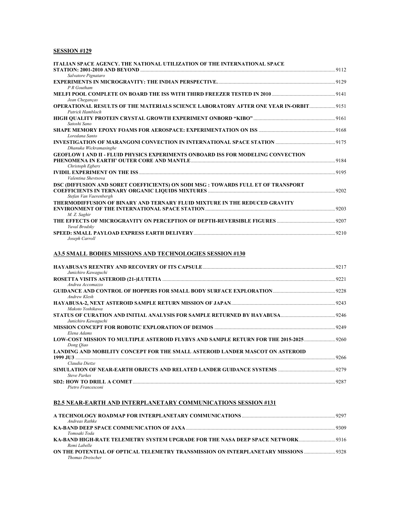### **SESSION #129**

| ITALIAN SPACE AGENCY. THE NATIONAL UTILIZATION OF THE INTERNATIONAL SPACE                                       |      |
|-----------------------------------------------------------------------------------------------------------------|------|
| <b>STATION: 2001-2010 AND BEYOND REVOLUTE AND REVOLUTE AND REVOLUTE</b>                                         | 9112 |
| Salvatore Pignataro                                                                                             |      |
|                                                                                                                 |      |
| $P \ R$ Goutham                                                                                                 |      |
|                                                                                                                 |      |
| Jean Chegancas                                                                                                  |      |
| <b>OPERATIONAL RESULTS OF THE MATERIALS SCIENCE LABORATORY AFTER ONE YEAR IN-ORBIT 9151</b><br>Patrick Hambloch |      |
| Satoshi Sano                                                                                                    |      |
|                                                                                                                 |      |
| Loredana Santo                                                                                                  |      |
|                                                                                                                 |      |
| Dhanuka Wickramasinghe                                                                                          |      |
| <b>GEOFLOW I AND II - FLUID PHYSICS EXPERIMENTS ONBOARD ISS FOR MODELING CONVECTION</b>                         |      |
|                                                                                                                 |      |
| Christoph Egbers                                                                                                |      |
|                                                                                                                 |      |
| Valentina Sheytsova                                                                                             |      |
| DSC (DIFFUSION AND SORET COEFFICIENTS) ON SODI MSG : TOWARDS FULL ET OF TRANSPORT                               |      |
|                                                                                                                 | 9202 |
| Stefan Van Vaerenbergh                                                                                          |      |
| THERMODIFFUSION OF BINARY AND TERNARY FLUID MIXTURE IN THE REDUCED GRAVITY                                      |      |
|                                                                                                                 |      |
| M. Z. Saghir                                                                                                    |      |
|                                                                                                                 |      |
| Yuval Brodsky                                                                                                   |      |
|                                                                                                                 |      |
| Joseph Carroll                                                                                                  |      |

## **A3.5 SMALL BODIES MISSIONS AND TECHNOLOGIES SESSION #130**

| Junichiro Kawaguchi                                                                     | 9217 |
|-----------------------------------------------------------------------------------------|------|
|                                                                                         | 9221 |
| Andrea Accomazzo                                                                        |      |
| Andrew Klesh                                                                            |      |
|                                                                                         | 9243 |
| Makoto Yoshikawa                                                                        |      |
| Junichiro Kawaguchi                                                                     |      |
|                                                                                         | 9249 |
| Elena Adams                                                                             |      |
| 1926). LOW-COST MISSION TO MULTIPLE ASTEROID FLYBYS AND SAMPLE RETURN FOR THE 2015-2025 |      |
| Dong Oiao                                                                               |      |
| LANDING AND MOBILITY CONCEPT FOR THE SMALL ASTEROID LANDER MASCOT ON ASTEROID           |      |
| 1999 JU3                                                                                | 9266 |
| Claudia Dietze                                                                          |      |
|                                                                                         |      |
| <b>Steve Parkes</b>                                                                     |      |
|                                                                                         | 9287 |
| Pietro Francesconi                                                                      |      |

### **B2.5 NEAR-EARTH AND INTERPLANETARY COMMUNICATIONS SESSION #131**

| Andreas Rathke                                                                       |      |
|--------------------------------------------------------------------------------------|------|
|                                                                                      | 9309 |
| Tomoaki Toda                                                                         |      |
| 816. [93] KA-BAND HIGH-RATE TELEMETRY SYSTEM UPGRADE FOR THE NASA DEEP SPACE NETWORK |      |
| Remi Labelle                                                                         |      |
|                                                                                      |      |
| <b>Thomas Dreischer</b>                                                              |      |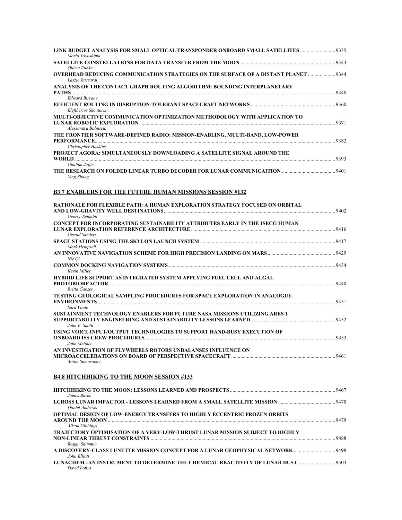| LINK BUDGET ANALYSIS FOR SMALL OPTICAL TRANSPONDER ONBOARD SMALL SATELLITES                                            |  |
|------------------------------------------------------------------------------------------------------------------------|--|
| Morio Toyoshima                                                                                                        |  |
| Ouirin Funke<br><b>OVERHEAD REDUCING COMMUNICATION STRATEGIES ON THE SURFACE OF A DISTANT PLANET  9344</b>             |  |
| Laszlo Bacsardi<br>ANALYSIS OF THE CONTACT GRAPH ROUTING ALGORITHM: BOUNDING INTERPLANETARY                            |  |
|                                                                                                                        |  |
| <b>Edward Birrane</b>                                                                                                  |  |
| Eleftherios Skoutaris<br>MULTI-OBJECTIVE COMMUNICATION OPTIMIZATION METHODOLOGY WITH APPLICATION TO                    |  |
| Alessandra Babuscia                                                                                                    |  |
| THE FRONTIER SOFTWARE-DEFINED RADIO: MISSION-ENABLING, MULTI-BAND, LOW-POWER                                           |  |
| Christopher Haskins                                                                                                    |  |
| PROJECT AGORA: SIMULTANEOUSLY DOWNLOADING A SATELLITE SIGNAL AROUND THE                                                |  |
| Ghulam Jaffer                                                                                                          |  |
| Ying Zhang                                                                                                             |  |
| <b>B3.7 ENABLERS FOR THE FUTURE HUMAN MISSIONS SESSION #132</b>                                                        |  |
| RATIONALE FOR FLEXIBLE PATH: A HUMAN EXPLORATION STRATEGY FOCUSED ON ORBITAL                                           |  |
| George Schmidt                                                                                                         |  |
| <b>CONCEPT FOR INCORPORATING SUSTAINABILITY ATTRIBUTES EARLY IN THE ISECG HUMAN</b>                                    |  |
| <b>Gerald Sanders</b>                                                                                                  |  |
| Mark Hempsell                                                                                                          |  |
|                                                                                                                        |  |
| Nie Oi                                                                                                                 |  |
| Kevin Miller<br>HYBRID LIFE SUPPORT AS INTEGRATED SYSTEM APPLYING FUEL CELL AND ALGAL                                  |  |
|                                                                                                                        |  |
| <b>Britta Ganzer</b><br><b>TESTING GEOLOGICAL SAMPLING PROCEDURES FOR SPACE EXPLORATION IN ANALOGUE</b>                |  |
| Sara Voute                                                                                                             |  |
| SUSTAINMENT TECHNOLOGY ENABLERS FOR FUTURE NASA MISSIONS UTILIZING ARES 1                                              |  |
| John V. Smith                                                                                                          |  |
| USING VOICE INPUT/OUTPUT TECHNOLOGIES TO SUPPORT HAND-BUSY EXECUTION OF                                                |  |
| John Melody                                                                                                            |  |
| AN INVESTIGATION OF FLYWHEELS ROTORS UNBALANSES INFLUENCE ON                                                           |  |
| Anton Sumarokov                                                                                                        |  |
| <b>B4.8 HITCHHIKING TO THE MOON SESSION #133</b>                                                                       |  |
| James Burke                                                                                                            |  |
| 9470 LCROSS LUNAR IMPACTOR - LESSONS LEARNED FROM A SMALL SATELLITE MISSION ………………………………………………………………<br>Daniel Andrews |  |
| OPTIMAL DESIGN OF LOW-ENERGY TRANSFERS TO HIGHLY ECCENTRIC FROZEN ORBITS                                               |  |
| <b>Alison Gibbings</b>                                                                                                 |  |
| TRAJECTORY OPTIMISATION OF A VERY-LOW-THRUST LUNAR MISSION SUBJECT TO HIGHLY                                           |  |
| Rogan Shimmin                                                                                                          |  |
| John Elliott                                                                                                           |  |
| LUNACHEM--AN INSTRUMENT TO DETERMINE THE CHEMICAL REACTIVITY OF LUNAR DUST 9503<br>David Loftus                        |  |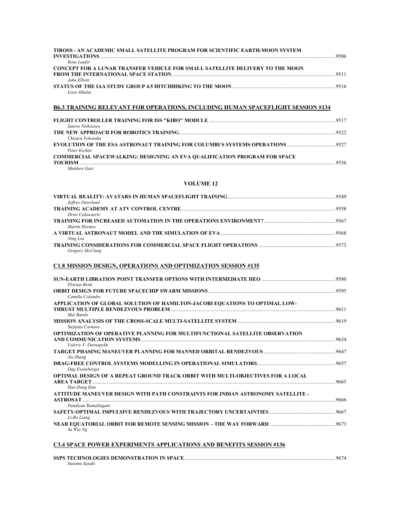| TIROSS - AN ACADEMIC SMALL SATELLITE PROGRAM FOR SCIENTIFIC EARTH-MOON SYSTEM          |      |
|----------------------------------------------------------------------------------------|------|
|                                                                                        | 9506 |
| Rene Laufer                                                                            |      |
| <b>CONCEPT FOR A LUNAR TRANSFER VEHICLE FOR SMALL SATELLITE DELIVERY TO THE MOON</b>   |      |
|                                                                                        | 9511 |
| John Elliott                                                                           |      |
|                                                                                        | 9516 |
| Leon Alkalai                                                                           |      |
| <b>B6.3 TRAINING RELEVANT FOR OPERATIONS, INCLUDING HUMAN SPACEFLIGHT SESSION #134</b> |      |
|                                                                                        |      |
|                                                                                        |      |

|                                                                                  | 9517 |
|----------------------------------------------------------------------------------|------|
| Satoru Nishizawa                                                                 |      |
|                                                                                  | 9522 |
| Chizuru Yokosuka                                                                 |      |
|                                                                                  |      |
| Peter Eichler                                                                    |      |
| <b>COMMERCIAL SPACEWALKING: DESIGNING AN EVA QUALIFICATION PROGRAM FOR SPACE</b> |      |
| <b>TOURISM</b>                                                                   | 9536 |
| Matthew Gast                                                                     |      |
|                                                                                  |      |

#### **VOLUME 12**

| Jeffrey Osterlund |      |
|-------------------|------|
|                   | 9558 |
| Dries Caluwaerts  |      |
| Martin Hermes     | 9568 |
| Ning Liu          |      |
| Gregory McClung   |      |

# **C1.8 MISSION DESIGN, OPERATIONS AND OPTIMIZATION SESSION #135**

| <b>Florian Renk</b>                                                                                                                                                                            |       |
|------------------------------------------------------------------------------------------------------------------------------------------------------------------------------------------------|-------|
|                                                                                                                                                                                                | .9595 |
| Camilla Colombo                                                                                                                                                                                |       |
| APPLICATION OF GLOBAL SOLUTION OF HAMILTON-JACOBI EQUATIONS TO OPTIMAL LOW-                                                                                                                    |       |
|                                                                                                                                                                                                | 9611  |
| Mai Bando                                                                                                                                                                                      |       |
| Stefania Cornara                                                                                                                                                                               | .9619 |
| OPTIMIZATION OF OPERATIVE PLANNING FOR MULTIFUNCTIONAL SATELLITE OBSERVATION<br>AND COMMUNICATION SYSTEMS. The contract of the contract of the contract of the contract of the contract of the | 9634  |
| Valeriy V. Darnopykh                                                                                                                                                                           |       |
| Jin Zhang                                                                                                                                                                                      |       |
| Dag Evensberget                                                                                                                                                                                |       |
| OPTIMAL DESIGN OF A REPEAT GROUND TRACK ORBIT WITH MULTI-OBJECTIVES FOR A LOCAL                                                                                                                |       |
|                                                                                                                                                                                                | 9665  |
| Hae-Dong Kim                                                                                                                                                                                   |       |
| ATTITUDE MANEUVER DESIGN WITH PATH CONSTRAINTS FOR INDIAN ASTRONOMY SATELLITE -                                                                                                                |       |
| <b>ASTROSAT</b>                                                                                                                                                                                | 9666  |
| Pandiyan Ramalingam                                                                                                                                                                            |       |
|                                                                                                                                                                                                |       |
| Li-Bo Liang                                                                                                                                                                                    |       |
| Su Wai Ng                                                                                                                                                                                      |       |
| <b>C3.4 SPACE POWER EXPERIMENTS APPLICATIONS AND BENEFITS SESSION #136</b>                                                                                                                     |       |

| SSPS TECHNOLOGIES DEMONSTRATION IN SPACE. | 9674 |
|-------------------------------------------|------|
| Susumu Sasaki                             |      |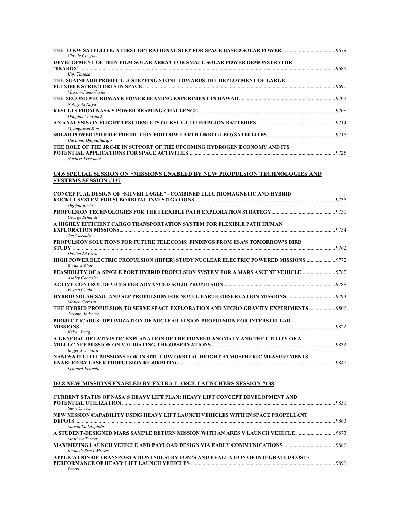| 9679 - THE 10 KW SATELLITE: A FIRST OPERATIONAL STEP FOR SPACE BASED SOLAR POWER<br>Claude Cougnet                       |  |
|--------------------------------------------------------------------------------------------------------------------------|--|
| DEVELOPMENT OF THIN FILM SOLAR ARRAY FOR SMALL SOLAR POWER DEMONSTRATOR                                                  |  |
| Koji Tanaka<br>THE SUAINEADH PROJECT: A STEPPING STONE TOWARDS THE DEPLOYMENT OF LARGE                                   |  |
| Massimiliano Vasile<br>Nobuyuki Kaya                                                                                     |  |
| Douglas Comstock                                                                                                         |  |
| Myunghwan Kim                                                                                                            |  |
| Harijono Djojodihardjo                                                                                                   |  |
| THE ROLE OF THE JRC-IE IN SUPPORT OF THE UPCOMING HYDROGEN ECONOMY AND ITS<br>Norbert Frischauf                          |  |
| <u>C4.6 SPECIAL SESSION ON "MISSIONS ENABLED BY NEW PROPULSION TECHNOLOGIES AND</u>                                      |  |
| <b>SYSTEMS SESSION #137</b>                                                                                              |  |
| CONCEPTUAL DESIGN OF "SILVER EAGLE" - COMBINED ELECTROMAGNETIC AND HYBRID<br>Ognjan Bozic                                |  |
| PROPULSION TECHNOLOGIES FOR THE FLEXIBLE PATH EXPLORATION STRATEGY ………………………………………………………………………………………                     |  |
| George Schmidt<br>A HIGHLY EFFICIENT CARGO TRANSPORTATION SYSTEM FOR FLEXIBLE PATH HUMAN                                 |  |
| Joe Cassady<br>PROPULSION SOLUTIONS FOR FUTURE TELECOMS: FINDINGS FROM ESA'S TOMORROW'S BIRD                             |  |
| Davina Di Cara<br>HIGH POWER ELECTRIC PROPULSION (HIPER) STUDY NUCLEAR ELECTRIC POWERED MISSIONS<br><b>Richard Blott</b> |  |
| Ashley Chandler                                                                                                          |  |
| Pascal Caubet                                                                                                            |  |
| Matteo Ceriotti                                                                                                          |  |
| THE HYBRID PROPULSION TO SERVE SPACE EXPLORATION AND MICRO-GRAVITY EXPERIMENTS  9806<br>Jerome Anthoine                  |  |
| PROJECT ICARUS: OPTIMIZATION OF NUCLEAR FUSION PROPULSION FOR INTERSTELLAR<br>Kelvin Long                                |  |
| A GENERAL RELATIVISTIC EXPLANATION OF THE PIONEER ANOMALY AND THE UTILITY OF A<br>Roger X. Lenard                        |  |
| NANOSATELLITE MISSIONS FOR IN SITU LOW ORBITAL HEIGHT ATMOSPHERIC MEASUREMENTS<br>Leonard Felicetti                      |  |
| <b>D2.8 NEW MISSIONS ENABLED BY EXTRA-LARGE LAUNCHERS SESSION #138</b>                                                   |  |
| <b>CURRENT STATUS OF NASA'S HEAVY LIFT PLAN: HEAVY LIFT CONCEPT DEVELOPMENT AND</b><br><b>Steve Creech</b>               |  |
| NEW MISSION CAPABILITY USING HEAVY LIFT LAUNCH VEHICLES WITH IN SPACE PROPELLANT                                         |  |
| Martin McLaughlin<br>A STUDENT-DESIGNED MARS SAMPLE RETURN MISSION WITH AN ARES V LAUNCH VEHICLE                         |  |
| Matthew Turner<br>Kenneth Bruce Morris                                                                                   |  |
| APPLICATION OF TRANSPORTATION INDUSTRY FOM'S AND EVALUATION OF INTEGRATED COST /<br>Peters                               |  |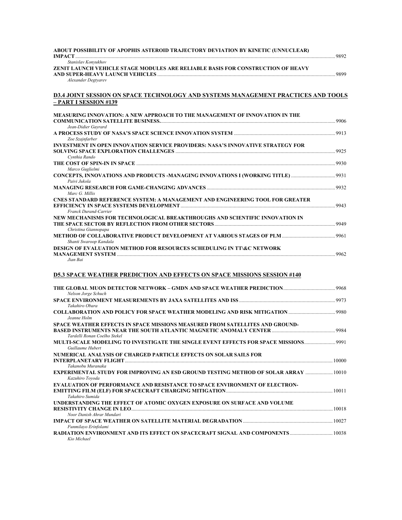| ABOUT POSSIBILITY OF APOPHIS ASTEROID TRAJECTORY DEVIATION BY KINETIC (UNNUCLEAR)                                             |      |
|-------------------------------------------------------------------------------------------------------------------------------|------|
| <b>IMPACT</b>                                                                                                                 | 9892 |
| Stanislav Konvukhov<br>ZENIT LAUNCH VEHICLE STAGE MODULES ARE RELIABLE BASIS FOR CONSTRUCTION OF HEAVY<br>Alexander Degtvarev | 9899 |
| <b>D3.4 JOINT SESSION ON SPACE TECHNOLOGY AND SYSTEMS MANAGEMENT PRACTICES AND TOOLS</b><br>– PART I SESSION #139             |      |
| MEASURING INNOVATION: A NEW APPROACH TO THE MANAGEMENT OF INNOVATION IN THE                                                   |      |
|                                                                                                                               | 9906 |
| Jean-Didier Gayrard<br>Zoe Szajnfarber                                                                                        | 9913 |
| INVESTMENT IN OPEN INNOVATION SERVICE PROVIDERS: NASA'S INNOVATIVE STRATEGY FOR<br>Cynthia Rando                              |      |
|                                                                                                                               |      |
| Marco Guglielmi                                                                                                               |      |
| Paivi Jukola                                                                                                                  |      |
| Marc G. Millis                                                                                                                |      |
| CNES STANDARD REFERENCE SYSTEM: A MANAGEMENT AND ENGINEERING TOOL FOR GREATER<br>Franck Durand-Carrier                        | 9943 |
| NEW MECHANISMS FOR TECHNOLOGICAL BREAKTHROUGHS AND SCIENTIFIC INNOVATION IN<br>Christina Giannopapa                           |      |
|                                                                                                                               |      |
| Shanti Swaroop Kandala                                                                                                        |      |
| <b>DESIGN OF EVALUATION METHOD FOR RESOURCES SCHEDULING IN TT\&amp;C NETWORK</b><br><b>MANAGEMENT SYSTEM</b>                  | 9962 |
| Jian Bai                                                                                                                      |      |

## **D5.3 SPACE WEATHER PREDICTION AND EFFECTS ON SPACE MISSIONS SESSION #140**

| Nelson Jorge Schuch                                                                                           |       |
|---------------------------------------------------------------------------------------------------------------|-------|
| Takahiro Obara                                                                                                | .9973 |
| Jeanne Holm                                                                                                   |       |
| SPACE WEATHER EFFECTS IN SPACE MISSIONS MEASURED FROM SATELLITES AND GROUND-<br>Tardelli Ronan Coelho Stekel  |       |
| 1999 MULTI-SCALE MODELING TO INVESTIGATE THE SINGLE EVENT EFFECTS FOR SPACE MISSIONS<br>Guillaume Hubert      |       |
| NUMERICAL ANALYSIS OF CHARGED PARTICLE EFFECTS ON SOLAR SAILS FOR<br>Takanobu Muranaka                        | 10000 |
| <b>EXPERIMENTAL STUDY FOR IMPROVING AN ESD GROUND TESTING METHOD OF SOLAR ARRAY  10010</b><br>Kazuhiro Tovoda |       |
| <b>EVALUATION OF PERFORMANCE AND RESISTANCE TO SPACE ENVIRONMENT OF ELECTRON-</b><br>Takahiro Sumida          |       |
| UNDERSTANDING THE EFFECT OF ATOMIC OXYGEN EXPOSURE ON SURFACE AND VOLUME<br>Noor Danish Ahrar Mundari         | 10018 |
| Funmilayo Erinfolami                                                                                          |       |
| Kio Michael                                                                                                   |       |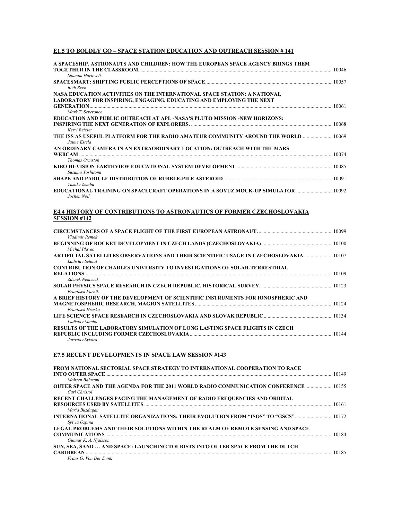## **E1.5 TO BOLDLY GO – SPACE STATION EDUCATION AND OUTREACH SESSION # 141**

| A SPACESHIP, ASTRONAUTS AND CHILDREN: HOW THE EUROPEAN SPACE AGENCY BRINGS THEM                                                                         |  |
|---------------------------------------------------------------------------------------------------------------------------------------------------------|--|
| Shamim Hartevelt                                                                                                                                        |  |
|                                                                                                                                                         |  |
| <b>Beth Beck</b>                                                                                                                                        |  |
| NASA EDUCATION ACTIVITIES ON THE INTERNATIONAL SPACE STATION: A NATIONAL<br><b>LABORATORY FOR INSPIRING, ENGAGING, EDUCATING AND EMPLOYING THE NEXT</b> |  |
|                                                                                                                                                         |  |
| Mark T. Severance                                                                                                                                       |  |
| EDUCATION AND PUBLIC OUTREACH AT APL -NASA'S PLUTO MISSION -NEW HORIZONS:                                                                               |  |
| Kerri Beisser                                                                                                                                           |  |
| THE ISS AS USEFUL PLATFORM FOR THE RADIO AMATEUR COMMUNITY AROUND THE WORLD  10069<br>Jaime Estela                                                      |  |
| AN ORDINARY CAMERA IN AN EXTRAORDINARY LOCATION: OUTREACH WITH THE MARS                                                                                 |  |
|                                                                                                                                                         |  |
| <b>Thomas Ormston</b>                                                                                                                                   |  |
|                                                                                                                                                         |  |
| Susumu Yoshitomi                                                                                                                                        |  |
|                                                                                                                                                         |  |
| Yusuke Zemba                                                                                                                                            |  |
| EDUCATIONAL TRAINING ON SPACECRAFT OPERATIONS IN A SOYUZ MOCK-UP SIMULATOR<br>Jochen Noll                                                               |  |
| E4.4 HISTORY OF CONTRIBUTIONS TO ASTRONAUTICS OF FORMER CZECHOSLOVAKIA                                                                                  |  |
| <b>SESSION #142</b>                                                                                                                                     |  |
|                                                                                                                                                         |  |
| Vladimir Remek                                                                                                                                          |  |
|                                                                                                                                                         |  |
| Michal Playec                                                                                                                                           |  |
| ARTIFICIAL SATELLITES OBSERVATIONS AND THEIR SCIENTIFIC USAGE IN CZECHOSLOVAKIA  10107<br>Ladislav Sehnal                                               |  |
| <b>CONTRIBUTION OF CHARLES UNIVERSITY TO INVESTIGATIONS OF SOLAR-TERRESTRIAL</b>                                                                        |  |
| Zdenek Nemecek                                                                                                                                          |  |
|                                                                                                                                                         |  |
| <b>Frantisek Farnik</b>                                                                                                                                 |  |
| A BRIEF HISTORY OF THE DEVELOPMENT OF SCIENTIFIC INSTRUMENTS FOR IONOSPHERIC AND                                                                        |  |
|                                                                                                                                                         |  |
| Frantisek Hruska                                                                                                                                        |  |
|                                                                                                                                                         |  |

| <u>LII D'OCHAVE OI AVE INDEANVII IN VEBVIIVED L'ANA AND EDV LIN INA INA OBLIVERENTE DE LE CONVERTING IN 1919 T</u> |       |
|--------------------------------------------------------------------------------------------------------------------|-------|
| Ladislav Macho                                                                                                     |       |
| RESULTS OF THE LABORATORY SIMULATION OF LONG LASTING SPACE FLIGHTS IN CZECH                                        |       |
|                                                                                                                    | 10144 |
| Jaroslav Svkora                                                                                                    |       |

### **E7.5 RECENT DEVELOPMENTS IN SPACE LAW SESSION #143**

| FROM NATIONAL SECTORIAL SPACE STRATEGY TO INTERNATIONAL COOPERATION TO RACE                |       |
|--------------------------------------------------------------------------------------------|-------|
|                                                                                            | 10149 |
| Mohsen Bahrami                                                                             |       |
| <b>OUTER SPACE AND THE AGENDA FOR THE 2011 WORLD RADIO COMMUNICATION CONFERENCE  10155</b> |       |
| Carl Christol                                                                              |       |
| RECENT CHALLENGES FACING THE MANAGEMENT OF RADIO FREQUENCIES AND ORBITAL                   |       |
|                                                                                            | 10161 |
| Maria Buzdugan                                                                             |       |
| 10172 INTERNATIONAL SATELLITE ORGANIZATIONS: THEIR EVOLUTION FROM "ISOS" TO "GSCS"         |       |
| Sylvia Ospina                                                                              |       |
| LEGAL PROBLEMS AND THEIR SOLUTIONS WITHIN THE REALM OF REMOTE SENSING AND SPACE            |       |
|                                                                                            | 10184 |
| Gunnar K. A. Nialsson                                                                      |       |
| SUN, SEA, SAND  AND SPACE: LAUNCHING TOURISTS INTO OUTER SPACE FROM THE DUTCH              |       |
|                                                                                            | 10185 |
| Frans G. Von Der Dunk                                                                      |       |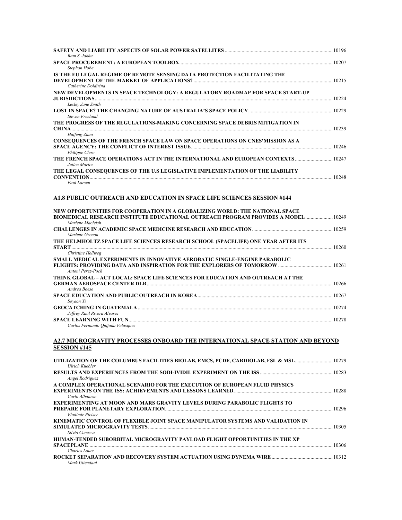| Ram S. Jakhu                                                                                                                                                              |  |
|---------------------------------------------------------------------------------------------------------------------------------------------------------------------------|--|
| Stephan Hobe<br>IS THE EU LEGAL REGIME OF REMOTE SENSING DATA PROTECTION FACILITATING THE<br>Catherine Doldirina                                                          |  |
| NEW DEVELOPMENTS IN SPACE TECHNOLOGY: A REGULATORY ROADMAP FOR SPACE START-UP                                                                                             |  |
| Leslev Jane Smith<br>Steven Freeland                                                                                                                                      |  |
| THE PROGRESS OF THE REGULATIONS-MAKING CONCERNING SPACE DEBRIS MITIGATION IN                                                                                              |  |
| Haifeng Zhao<br>CONSEQUENCES OF THE FRENCH SPACE LAW ON SPACE OPERATIONS ON CNES'MISSION AS A                                                                             |  |
| Philippe Clerc<br>10247 THE FRENCH SPACE OPERATIONS ACT IN THE INTERNATIONAL AND EUROPEAN CONTEXTS<br>Julien Mariez                                                       |  |
| THE LEGAL CONSEQUENCES OF THE U.S LEGISLATIVE IMPLEMENTATION OF THE LIABILITY<br>Paul Larsen                                                                              |  |
| A1.8 PUBLIC OUTREACH AND EDUCATION IN SPACE LIFE SCIENCES SESSION #144                                                                                                    |  |
| NEW OPPORTUNITIES FOR COOPERATION IN A GLOBALIZING WORLD: THE NATIONAL SPACE<br><b>BIOMEDICAL RESEARCH INSTITUTE EDUCATIONAL OUTREACH PROGRAM PROVIDES A MODEL  10249</b> |  |

| Marlene Macleish                                                                 |       |
|----------------------------------------------------------------------------------|-------|
|                                                                                  |       |
| Marlene Grenon                                                                   |       |
| THE HELMHOLTZ SPACE LIFE SCIENCES RESEARCH SCHOOL (SPACELIFE) ONE YEAR AFTER ITS |       |
|                                                                                  | 10260 |
| Christine Hellweg                                                                |       |
| <b>SMALL MEDICAL EXPERIMENTS IN INNOVATIVE AEROBATIC SINGLE-ENGINE PARABOLIC</b> |       |
| Antoni Perez-Poch                                                                |       |
| THINK GLOBAL – ACT LOCAL: SPACE LIFE SCIENCES FOR EDUCATION AND OUTREACH AT THE  |       |
|                                                                                  | 10266 |
| Andrea Boese                                                                     |       |
|                                                                                  | 10267 |
| Soveon Yi                                                                        |       |
|                                                                                  | 10274 |
| Jeffrey Raul Rivera Alvarez                                                      |       |
|                                                                                  | 10278 |
| Carlos Fernando Ouijada Velasquez                                                |       |

#### **A2.7 MICROGRAVITY PROCESSES ONBOARD THE INTERNATIONAL SPACE STATION AND BEYOND SESSION #145**

| UTILIZATION OF THE COLUMBUS FACILITIES BIOLAB, EMCS, PCDF, CARDIOLAB, FSL & MSL 10279<br>Ulrich Kuebler |       |
|---------------------------------------------------------------------------------------------------------|-------|
| 10283. [10283] RESULTS AND EXPERIENCES FROM THE SODI-IVIDIL EXPERIMENT ON THE ISS<br>Angel Rodriguez    |       |
| A COMPLEX OPERATIONAL SCENARIO FOR THE EXECUTION OF EUROPEAN FLUID PHYSICS                              |       |
| Carlo Albanese                                                                                          | 10288 |
| <b>EXPERIMENTING AT MOON AND MARS GRAVITY LEVELS DURING PARABOLIC FLIGHTS TO</b>                        |       |
|                                                                                                         | 10296 |
| Vladimir Pletser                                                                                        |       |
| KINEMATIC CONTROL OF FLEXIBLE JOINT SPACE MANIPULATOR SYSTEMS AND VALIDATION IN                         |       |
|                                                                                                         | 10305 |
| Silvio Cocuzza                                                                                          |       |
| HUMAN-TENDED SUBORBITAL MICROGRAVITY PAYLOAD FLIGHT OPPORTUNITIES IN THE XP                             |       |
| <b>SPACEPLANE</b>                                                                                       | 10306 |
| Charles Lauer                                                                                           |       |
|                                                                                                         |       |
| Mark Uitendaal                                                                                          |       |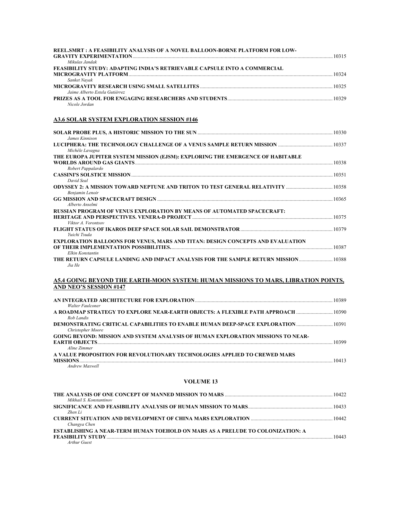| REEL.SMRT : A FEASIBILITY ANALYSIS OF A NOVEL BALLOON-BORNE PLATFORM FOR LOW-<br>Mikulas Jandak           |  |
|-----------------------------------------------------------------------------------------------------------|--|
| FEASIBILITY STUDY: ADAPTING INDIA'S RETRIEVABLE CAPSULE INTO A COMMERCIAL<br>Sanket Navak                 |  |
| Jaime Alberto Estela Gutiérrez                                                                            |  |
| Nicole Jordan                                                                                             |  |
| <b>A3.6 SOLAR SYSTEM EXPLORATION SESSION #146</b>                                                         |  |
| James Kinnison                                                                                            |  |
| Michèle Lavagna                                                                                           |  |
| THE EUROPA JUPITER SYSTEM MISSION (EJSM): EXPLORING THE EMERGENCE OF HABITABLE<br>Robert Pappalardo       |  |
| David Seal                                                                                                |  |
| <b>ODYSSEY 2: A MISSION TOWARD NEPTUNE AND TRITON TO TEST GENERAL RELATIVITY 10358</b><br>Benjamin Lenoir |  |
| Alberto Anselmi                                                                                           |  |
| RUSSIAN PROGRAM OF VENUS EXPLORATION BY MEANS OF AUTOMATED SPACECRAFT:<br>Viktor A. Vorontsov             |  |
| Yuichi Tsuda                                                                                              |  |
| EXPLORATION BALLOONS FOR VENUS, MARS AND TITAN: DESIGN CONCEPTS AND EVALUATION<br>Elkin Konstantin        |  |
| 10388 metal CAPSULE LANDING AND IMPACT ANALYSIS FOR THE SAMPLE RETURN MISSION<br>Jia He                   |  |
| A5.4 GOING BEYOND THE EARTH-MOON SYSTEM: HUMAN MISSIONS TO MARS, LIBRATION POINTS,                        |  |
| <b>AND NEO'S SESSION #147</b>                                                                             |  |
| Walter Faulconer                                                                                          |  |
| A ROADMAP STRATEGY TO EXPLORE NEAR-EARTH OBJECTS: A FLEXIBLE PATH APPROACH  10390<br>Rob Landis           |  |
| Christopher Moore                                                                                         |  |
| GOING BEYOND: MISSION AND SYSTEM ANALYSIS OF HUMAN EXPLORATION MISSIONS TO NEAR-<br>Aline Zimmer          |  |
| A VALUE PROPOSITION FOR REVOLUTIONARY TECHNOLOGIES APPLIED TO CREWED MARS<br>Andrew Maxwell               |  |
|                                                                                                           |  |

#### **VOLUME 13**

| Mikhail S. Konstantinov                                                               |       |
|---------------------------------------------------------------------------------------|-------|
| 10433 - 10433 SIGNIFICANCE AND FEASIBILITY ANALYSIS OF HUMAN MISSION TO MARS          |       |
| Zhen Li                                                                               |       |
| 10442 - 10442 CURRENT SITUATION AND DEVELOPMENT OF CHINA MARS EXPLORATION             |       |
| Changya Chen                                                                          |       |
| <b>ESTABLISHING A NEAR-TERM HUMAN TOEHOLD ON MARS AS A PRELUDE TO COLONIZATION: A</b> |       |
|                                                                                       | 10443 |
| Arthur Guest                                                                          |       |
|                                                                                       |       |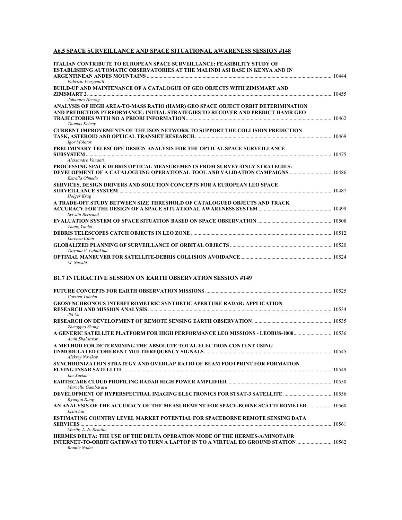### **A6.5 SPACE SURVEILLANCE AND SPACE SITUATIONAL AWARENESS SESSION #148**

| <b>ITALIAN CONTRIBUTE TO EUROPEAN SPACE SURVEILLANCE: FEASIBILITY STUDY OF</b>                    |       |
|---------------------------------------------------------------------------------------------------|-------|
| <b>ESTABLISHING AUTOMATIC OBSERVATORIES AT THE MALINDI ASI BASE IN KENYA AND IN</b>               |       |
|                                                                                                   |       |
| Fabrizio Piergentili                                                                              |       |
| <b>BUILD-UP AND MAINTENANCE OF A CATALOGUE OF GEO OBJECTS WITH ZIMSMART AND</b>                   |       |
|                                                                                                   | 10455 |
| Johannes Herzog                                                                                   |       |
| ANALYSIS OF HIGH AREA-TO-MASS RATIO (HAMR) GEO SPACE OBJECT ORBIT DETERIMINATION                  |       |
| AND PREDICTION PERFORMANCE: INITIAL STRATEGIES TO RECOVER AND PREDICT HAMR GEO                    |       |
|                                                                                                   | 10462 |
| Thomas Kelecy                                                                                     |       |
| <b>CURRENT IMPROVEMENTS OF THE ISON NETWORK TO SUPPORT THE COLLISION PREDICTION</b>               |       |
|                                                                                                   |       |
| Igor Molotov                                                                                      |       |
| PRELIMINARY TELESCOPE DESIGN ANALYSIS FOR THE OPTICAL SPACE SURVEILLANCE                          |       |
|                                                                                                   | 10475 |
| Alessandro Vananti                                                                                |       |
| PROCESSING SPACE DEBRIS OPTICAL MEASUREMENTS FROM SURVEY-ONLY STRATEGIES:                         |       |
| <b>DEVELOPMENT OF A CATALOGUING OPERATIONAL TOOL AND VALIDATION CAMPAIGNS 10486</b>               |       |
| Estrella Olmedo                                                                                   |       |
| SERVICES, DESIGN DRIVERS AND SOLUTION CONCEPTS FOR A EUROPEAN LEO SPACE                           |       |
|                                                                                                   |       |
| Holger Krag                                                                                       |       |
| A TRADE-OFF STUDY BETWEEN SIZE THRESHOLD OF CATALOGUED OBJECTS AND TRACK                          |       |
|                                                                                                   |       |
| Sylvain Bertrand                                                                                  |       |
| <b>EVALUATION SYSTEM OF SPACE SITUATION BASED ON SPACE OBSERVATION [19508]</b> EVALUATION [19508] |       |
| Zhang Yaolei                                                                                      |       |
| 10512 DEBRIS TELESCOPES CATCH OBJECTS IN LEO ZONE                                                 |       |
| Lorenzo Cibin                                                                                     |       |
|                                                                                                   |       |
| Tatyana V. Labutkina                                                                              |       |
|                                                                                                   |       |
| M. Navabi                                                                                         |       |
|                                                                                                   |       |

#### **B1.7 INTERACTIVE SESSION ON EARTH OBSERVATION SESSION #149**

|                                                                                                                                                                                                                                      | 10525 |
|--------------------------------------------------------------------------------------------------------------------------------------------------------------------------------------------------------------------------------------|-------|
| Carsten Tobehn                                                                                                                                                                                                                       |       |
| <b>GEOSYNCHRONOUS INTERFEROMETRIC SYNTHETIC APERTURE RADAR: APPLICATION</b>                                                                                                                                                          |       |
| Jia Xu                                                                                                                                                                                                                               |       |
|                                                                                                                                                                                                                                      |       |
| Zhengguo Shang                                                                                                                                                                                                                       |       |
| A GENERIC SATELLITE PLATFORM FOR HIGH PERFORMANCE LEO MISSIONS - LEOBUS-1000  10536                                                                                                                                                  |       |
| Amin Shahsayar                                                                                                                                                                                                                       |       |
| A METHOD FOR DETERMINING THE ABSOLUTE TOTAL ELECTRON CONTENT USING                                                                                                                                                                   |       |
| Aleksev Novikov                                                                                                                                                                                                                      |       |
| SYNCHRONIZATION STRATEGY AND OVERLAP RATIO OF BEAM FOOTPRINT FOR FORMATION                                                                                                                                                           |       |
|                                                                                                                                                                                                                                      | 10549 |
| Liu Xuekui                                                                                                                                                                                                                           |       |
| Marcello Gambarara                                                                                                                                                                                                                   |       |
| Kyungin Kang                                                                                                                                                                                                                         |       |
| AN ANALYSIS OF THE ACCURACY OF THE MEASUREMENT FOR SPACE-BORNE SCATTEROMETER 10560                                                                                                                                                   |       |
| Lixia Liu                                                                                                                                                                                                                            |       |
| <b>ESTIMATING COUNTRY LEVEL MARKET POTENTIAL FOR SPACEBORNE REMOTE SENSING DATA</b>                                                                                                                                                  |       |
| SERVICES <b>And The Contract of the Contract of the Contract of Contract of Contract of Contract of Contract of Contract of Contract of Contract of Contract of Contract of Contract of Contract of Contract of Contract of Cont</b> | 10561 |
| Murthy L. N. Remilla                                                                                                                                                                                                                 |       |
| <b>HERMES DELTA: THE USE OF THE DELTA OPERATION MODE OF THE HERMES-A/MINOTAUR</b>                                                                                                                                                    |       |
| INTERNET-TO-ORBIT GATEWAY TO TURN A LAPTOP IN TO A VIRTUAL EO GROUND STATION  10562                                                                                                                                                  |       |
| Ronnie Nader                                                                                                                                                                                                                         |       |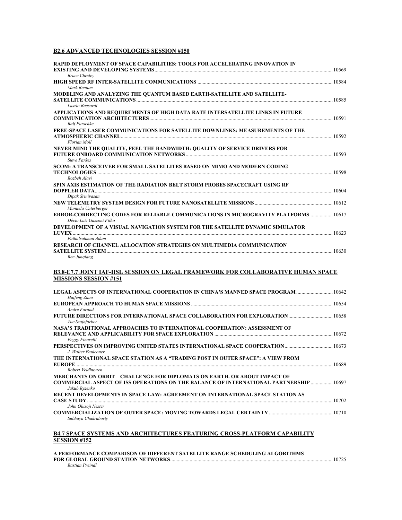### **B2.6 ADVANCED TECHNOLOGIES SESSION #150**

| RAPID DEPLOYMENT OF SPACE CAPABILITIES: TOOLS FOR ACCELERATING INNOVATION IN<br><b>Bruce Chesley</b>                                                                                               |  |
|----------------------------------------------------------------------------------------------------------------------------------------------------------------------------------------------------|--|
| Mark Bentum                                                                                                                                                                                        |  |
| MODELING AND ANALYZING THE QUANTUM BASED EARTH-SATELLITE AND SATELLITE-<br>Laszlo Bacsardi                                                                                                         |  |
| APPLICATIONS AND REQUIREMENTS OF HIGH DATA RATE INTERSATELLITE LINKS IN FUTURE<br>Ralf Purschke                                                                                                    |  |
| FREE-SPACE LASER COMMUNICATIONS FOR SATELLITE DOWNLINKS: MEASUREMENTS OF THE<br>Florian Moll                                                                                                       |  |
| NEVER MIND THE QUALITY, FEEL THE BANDWIDTH: QUALITY OF SERVICE DRIVERS FOR<br><b>Steve Parkes</b>                                                                                                  |  |
| <b>SCOM- A TRANSCEIVER FOR SMALL SATELLITES BASED ON MIMO AND MODERN CODING</b><br>Rozbeh Alavi                                                                                                    |  |
| SPIN AXIS ESTIMATION OF THE RADIATION BELT STORM PROBES SPACECRAFT USING RF<br>Dipak Srinivasan                                                                                                    |  |
| Manuela Unterberger                                                                                                                                                                                |  |
| <b>ERROR-CORRECTING CODES FOR RELIABLE COMMUNICATIONS IN MICROGRAVITY PLATFORMS  10617</b><br>Décio Luiz Gazzoni Filho                                                                             |  |
| DEVELOPMENT OF A VISUAL NAVIGATION SYSTEM FOR THE SATELLITE DYNAMIC SIMULATOR<br>Fathalrahman Adam                                                                                                 |  |
| RESEARCH OF CHANNEL ALLOCATION STRATEGIES ON MULTIMEDIA COMMUNICATION<br>Ren Jungiang                                                                                                              |  |
| B3.8-E7.7 JOINT IAF-IISL SESSION ON LEGAL FRAMEWORK FOR COLLABORATIVE HUMAN SPACE                                                                                                                  |  |
| <b>MISSIONS SESSION #151</b>                                                                                                                                                                       |  |
| 10642 LEGAL ASPECTS OF INTERNATIONAL COOPERATION IN CHINA'S MANNED SPACE PROGRAM  1<br>Haifeng Zhao                                                                                                |  |
| Andre Farand                                                                                                                                                                                       |  |
| Zoe Szajnfarber<br>NASA'S TRADITIONAL APPROACHES TO INTERNATIONAL COOPERATION: ASSESSMENT OF                                                                                                       |  |
| Peggy Finarelli                                                                                                                                                                                    |  |
| J. Walter Faulconer<br>THE INTERNATIONAL SPACE STATION AS A "TRADING POST IN OUTER SPACE": A VIEW FROM<br>Robert Veldhuyzen                                                                        |  |
| <b>MERCHANTS ON ORBIT – CHALLENGE FOR DIPLOMATS ON EARTH. OR ABOUT IMPACT OF</b><br><b>COMMERCIAL ASPECT OF ISS OPERATIONS ON THE BALANCE OF INTERNATIONAL PARTNERSHIP  10697</b><br>Jakub Ryzenko |  |
| RECENT DEVELOPMENTS IN SPACE LAW: AGREEMENT ON INTERNATIONAL SPACE STATION AS                                                                                                                      |  |
| John Olusoii Nester<br>Subhayu Chakraborty                                                                                                                                                         |  |
| <b>B4.7 SPACE SYSTEMS AND ARCHITECTURES FEATURING CROSS-PLATFORM CAPABILITY</b>                                                                                                                    |  |
| <b>SESSION #152</b>                                                                                                                                                                                |  |

**A PERFORMANCE COMPARISON OF DIFFERENT SATELLITE RANGE SCHEDULING ALGORITHMS FOR GLOBAL GROUND STATION NETWORKS**.............................................................................................................................10725 *Bastian Preindl*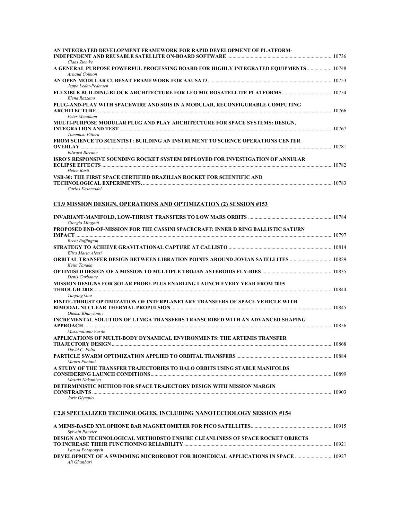| AN INTEGRATED DEVELOPMENT FRAMEWORK FOR RAPID DEVELOPMENT OF PLATFORM-<br>Claas Ziemke                   |  |
|----------------------------------------------------------------------------------------------------------|--|
| A GENERAL PURPOSE POWERFUL PROCESSING BOARD FOR HIGHLY INTEGRATED EQUIPMENTS 10748<br>Arnaud Colmon      |  |
| Jeppe Ledet-Pedersen                                                                                     |  |
| Elena Razzano                                                                                            |  |
| PLUG-AND-PLAY WITH SPACEWIRE AND SOIS IN A MODULAR, RECONFIGURABLE COMPUTING<br>Peter Mendham            |  |
| MULTI-PURPOSE MODULAR PLUG AND PLAY ARCHITECTURE FOR SPACE SYSTEMS: DESIGN,<br>Tommaso Pittera           |  |
| FROM SCIENCE TO SCIENTIST: BUILDING AN INSTRUMENT TO SCIENCE OPERATIONS CENTER                           |  |
| <b>Edward Birrane</b><br>ISRO'S RESPONSIVE SOUNDING ROCKET SYSTEM DEPLOYED FOR INVESTIGATION OF ANNULAR  |  |
| Helen Basil                                                                                              |  |
| VSB-30: THE FIRST SPACE CERTIFIED BRAZILIAN ROCKET FOR SCIENTIFIC AND<br>Carlos Kasemodel                |  |
| C1.9 MISSION DESIGN, OPERATIONS AND OPTIMIZATION (2) SESSION #153                                        |  |
| Giorgio Mingotti                                                                                         |  |
| PROPOSED END-OF-MISSION FOR THE CASSINI SPACECRAFT: INNER D RING BALLISTIC SATURN                        |  |
| <b>Brent Buffington</b><br>Elisa Maria Alessi                                                            |  |
| <b>ORBITAL TRANSFER DESIGN BETWEEN LIBRATION POINTS AROUND JOVIAN SATELLITES  10829</b><br>Keita Tanaka  |  |
| Denis Carbonne                                                                                           |  |
| MISSION DESIGNS FOR SOLAR PROBE PLUS ENABLING LAUNCH EVERY YEAR FROM 2015                                |  |
| Yanping Guo                                                                                              |  |
| FINITE-THRUST OPTIMIZATION OF INTERPLANETARY TRANSFERS OF SPACE VEHICLE WITH<br>Oleksii Kharytonov       |  |
| INCREMENTAL SOLUTION OF LTMGA TRANSFERS TRANSCRIBED WITH AN ADVANCED SHAPING<br>Massimiliano Vasile      |  |
| APPLICATIONS OF MULTI-BODY DYNAMICAL ENVIRONMENTS: THE ARTEMIS TRANSFER                                  |  |
| David C. Folta<br>Mauro Pontani                                                                          |  |
| A STUDY OF THE TRANSFER TRAJECTORIES TO HALO ORBITS USING STABLE MANIFOLDS                               |  |
| Masaki Nakamiya<br>DETERMINISTIC METHOD FOR SPACE TRAJECTORY DESIGN WITH MISSION MARGIN<br>Joris Olympio |  |
| <b>C2.8 SPECIALIZED TECHNOLOGIES, INCLUDING NANOTECHOLOGY SESSION #154</b>                               |  |

|                                                                                      | 10915 |
|--------------------------------------------------------------------------------------|-------|
| Sylvain Ranvier                                                                      |       |
| <b>DESIGN AND TECHNOLOGICAL METHODSTO ENSURE CLEANLINESS OF SPACE ROCKET OBJECTS</b> |       |
|                                                                                      | 10921 |
| Larysa Potapovych                                                                    |       |
|                                                                                      |       |
| Ali Ghanbari                                                                         |       |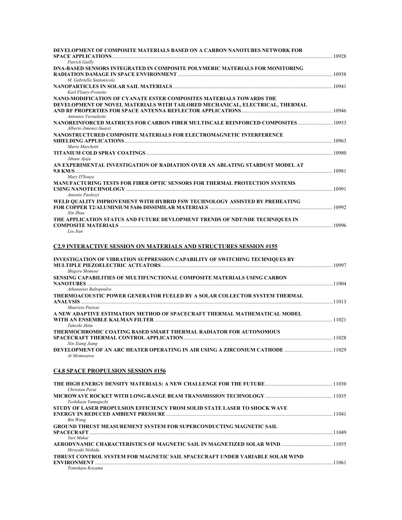| DEVELOPMENT OF COMPOSITE MATERIALS BASED ON A CARBON NANOTUBES NETWORK FOR                               |  |
|----------------------------------------------------------------------------------------------------------|--|
| Patrick Gailly                                                                                           |  |
| DNA-BASED SENSORS INTEGRATED IN COMPOSITE POLYMERIC MATERIALS FOR MONITORING<br>M. Gabriella Santonicola |  |
|                                                                                                          |  |
| Karl Fleury-Frenette                                                                                     |  |
| NANO-MODIFICATION OF CYANATE ESTER COMPOSITES MATERIALS TOWARDS THE                                      |  |
| DEVELOPMENT OF NOVEL MATERIALS WITH TAILORED MECHANICAL, ELECTRICAL, THERMAL                             |  |
| <b>Antonios Vavouliotis</b>                                                                              |  |
|                                                                                                          |  |
| Alberto Jimenez-Suarez                                                                                   |  |
| NANOSTRUCTURED COMPOSITE MATERIALS FOR ELECTROMAGNETIC INTERFERENCE                                      |  |
|                                                                                                          |  |
| Mario Marchetti                                                                                          |  |
| Jihane Ajaja                                                                                             |  |
| AN EXPERIMENTAL INVESTIGATION OF RADIATION OVER AN ABLATING STARDUST MODEL AT                            |  |
|                                                                                                          |  |
| Mary D'Souza                                                                                             |  |
| MANUFACTURING TESTS FOR FIBER OPTIC SENSORS FOR THERMAL PROTECTION SYSTEMS                               |  |
| Antonio Paolozzi                                                                                         |  |
| WELD OUALITY IMPROVEMENT WITH HYBRID FSW TECHNOLOGY ASSISTED BY PREHEATING                               |  |
|                                                                                                          |  |
| Xin Zhao                                                                                                 |  |
| THE APPLICATION STATUS AND FUTURE DEVLOPMENT TRENDS OF NDT/NDE TECHNIQUES IN                             |  |
| Liu Jian                                                                                                 |  |
|                                                                                                          |  |
| C2.9 INTERACTIVE SESSION ON MATERIALS AND STRUCTURES SESSION #155                                        |  |
|                                                                                                          |  |
| <b>INVESTIGATION OF VIBRATION SUPPRESSION CAPABILITY OF SWITCHING TECHNIQUES BY</b>                      |  |
| Shigeru Shimose                                                                                          |  |
| SENSING CAPABILITIES OF MULTIFUNCTIONAL COMPOSITE MATERIALS USING CARBON                                 |  |
|                                                                                                          |  |
| Athanasios Baltopoulos                                                                                   |  |
| THERMOACOUSTIC POWER GENERATOR FUELED BY A SOLAR COLLECTOR SYSTEM THERMAL                                |  |
| Maurizio Parisse                                                                                         |  |
| A NEW ADAPTIVE ESTIMATION METHOD OF SPACECRAFT THERMAL MATHEMATICAL MODEL                                |  |
|                                                                                                          |  |
| Takeshi Akita                                                                                            |  |
| THERMOCHROMIC COATING BASED SMART THERMAL RADIATOR FOR AUTONOMOUS                                        |  |
| Xin Xiang Jiang                                                                                          |  |
| 1029. [1029] DEVELOPMENT OF AN ARC HEATER OPERATING IN AIR USING A ZIRCONIUM CATHODE                     |  |
| Ai Momozawa                                                                                              |  |
|                                                                                                          |  |
| <b>C4.8 SPACE PROPULSION SESSION #156</b>                                                                |  |
|                                                                                                          |  |
| <b>Christian Perut</b>                                                                                   |  |
|                                                                                                          |  |
| Toshikazu Yamaguchi                                                                                      |  |
| STUDY OF LASER PROPULSION EFFICIENCY FROM SOLID STATE LASER TO SHOCK WAVE                                |  |
|                                                                                                          |  |
| Bin Wang<br>GROUND THRUST MEASUREMENT SYSTEM FOR SUPERCONDUCTING MAGNETIC SAIL                           |  |
|                                                                                                          |  |
| Yuri Mukai                                                                                               |  |
|                                                                                                          |  |
| Hiroyuki Nishida<br>THRUST CONTROL SYSTEM FOR MAGNETIC SAIL SPACECRAFT UNDER VARIABLE SOLAR WIND         |  |
|                                                                                                          |  |
| Tomokazu Koyama                                                                                          |  |
|                                                                                                          |  |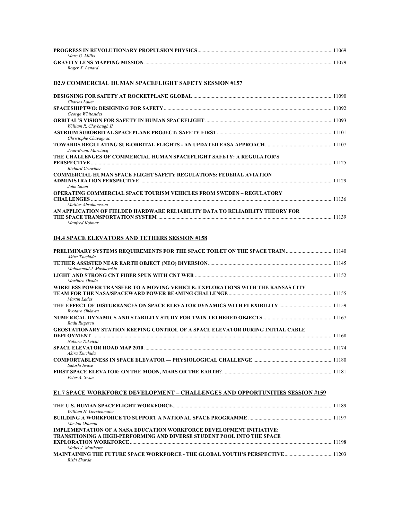| <b>PROGRESS IN REVOLUTIONARY PROPULSION PHYSICS</b> | 11069 |
|-----------------------------------------------------|-------|
| Marc G. Millis                                      |       |
| <b>GRAVITY LENS MAPPING MISSION</b>                 | 11079 |
| Roger X. Lenard                                     |       |

# **D2.9 COMMERCIAL HUMAN SPACEFLIGHT SAFETY SESSION #157**

| <b>Charles Lauer</b>                                                                                                                       |       |
|--------------------------------------------------------------------------------------------------------------------------------------------|-------|
|                                                                                                                                            | 11092 |
| George Whitesides                                                                                                                          |       |
| William R. Claybaugh II                                                                                                                    |       |
| Christophe Chavagnac                                                                                                                       |       |
| Jean-Bruno Marciaca<br>THE CHALLENGES OF COMMERCIAL HUMAN SPACEFLIGHT SAFETY: A REGULATOR'S<br><b>PERSPECTIVE</b>                          | 11125 |
| <b>Richard Crowther</b><br><b>COMMERCIAL HUMAN SPACE FLIGHT SAFETY REGULATIONS: FEDERAL AVIATION</b>                                       |       |
| John Sloan                                                                                                                                 | 11129 |
| <b>OPERATING COMMERCIAL SPACE TOURISM VEHICLES FROM SWEDEN - REGULATORY</b><br><b>CHALLENGES</b><br>Mattias Abrahamsson                    | 11136 |
| AN APPLICATION OF FIELDED HARDWARE RELIABILITY DATA TO RELIABILITY THEORY FOR<br><b>THE SPACE TRANSPORTATION SYSTEM.</b><br>Manfred Kolmar | 11139 |

### **D4.4 SPACE ELEVATORS AND TETHERS SESSION #158**

| Akira Tsuchida                                                                                 |       |
|------------------------------------------------------------------------------------------------|-------|
| Mohammad J. Mashayekhi                                                                         |       |
| Morihiro Okada                                                                                 |       |
| WIRELESS POWER TRANSFER TO A MOVING VEHICLE: EXPLORATIONS WITH THE KANSAS CITY<br>Martin Lades |       |
| Rvotaro Ohkawa                                                                                 |       |
| Radu Rugescu                                                                                   |       |
| <b>GEOSTATIONARY STATION KEEPING CONTROL OF A SPACE ELEVATOR DURING INITIAL CABLE</b>          | 11168 |
| Noboru Takeichi<br>Akira Tsuchida                                                              |       |
| Satoshi Iwase                                                                                  |       |
| Peter A. Swan                                                                                  |       |

# **E1.7 SPACE WORKFORCE DEVELOPMENT – CHALLENGES AND OPPORTUNITIES SESSION #159**

| William H. Gerstenmaier                                                     |  |
|-----------------------------------------------------------------------------|--|
|                                                                             |  |
| Mazlan Othman                                                               |  |
| <b>IMPLEMENTATION OF A NASA EDUCATION WORKFORCE DEVELOPMENT INITIATIVE:</b> |  |
| TRANSITIONING A HIGH-PERFORMING AND DIVERSE STUDENT POOL INTO THE SPACE     |  |
|                                                                             |  |
| Mabel J. Matthews                                                           |  |
|                                                                             |  |
| Rishi Sharda                                                                |  |